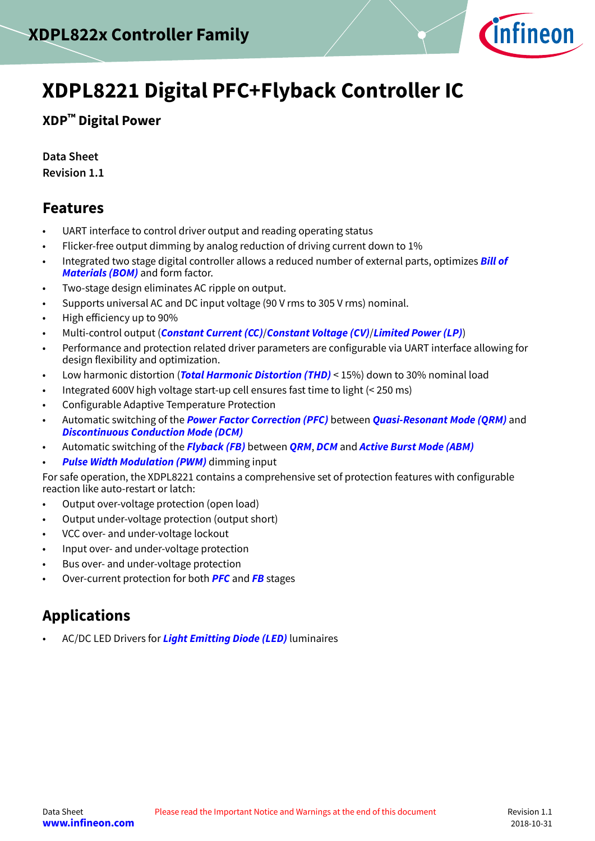

# <span id="page-0-0"></span>**XDPL8221 Digital PFC+Flyback Controller IC**

**XDP™ Digital Power**

**Data Sheet Revision 1.1**

## **Features**

- UART interface to control driver output and reading operating status
- Flicker-free output dimming by analog reduction of driving current down to 1%
- Integrated two stage digital controller allows a reduced number of external parts, optimizes **[Bill of](#page-52-0) [Materials \(BOM\)](#page-52-0)** and form factor.
- Two-stage design eliminates AC ripple on output.
- Supports universal AC and DC input voltage (90 V rms to 305 V rms) nominal.
- High efficiency up to 90%
- Multi-control output (**[Constant Current \(CC\)](#page-52-0)**/**[Constant Voltage \(CV\)](#page-53-0)**/**[Limited Power \(LP\)](#page-54-0)**)
- Performance and protection related driver parameters are configurable via UART interface allowing for design flexibility and optimization.
- Low harmonic distortion (**[Total Harmonic Distortion \(THD\)](#page-55-0)** < 15%) down to 30% nominal load
- Integrated 600V high voltage start-up cell ensures fast time to light (< 250 ms)
- Configurable Adaptive Temperature Protection
- Automatic switching of the **[Power Factor Correction \(PFC\)](#page-54-0)** between **[Quasi-Resonant Mode \(QRM\)](#page-55-0)** and **[Discontinuous Conduction Mode \(DCM\)](#page-53-0)**
- Automatic switching of the **[Flyback \(FB\)](#page-53-0)** between **[QRM](#page-55-0)**, **[DCM](#page-53-0)** and **[Active Burst Mode \(ABM\)](#page-52-0)**
- **[Pulse Width Modulation \(PWM\)](#page-54-0)** dimming input

For safe operation, the XDPL8221 contains a comprehensive set of protection features with configurable reaction like auto-restart or latch:

- Output over-voltage protection (open load)
- Output under-voltage protection (output short)
- VCC over- and under-voltage lockout
- Input over- and under-voltage protection
- Bus over- and under-voltage protection
- Over-current protection for both **[PFC](#page-54-0)** and **[FB](#page-53-0)** stages

# **Applications**

• AC/DC LED Drivers for **[Light Emitting Diode \(LED\)](#page-54-0)** luminaires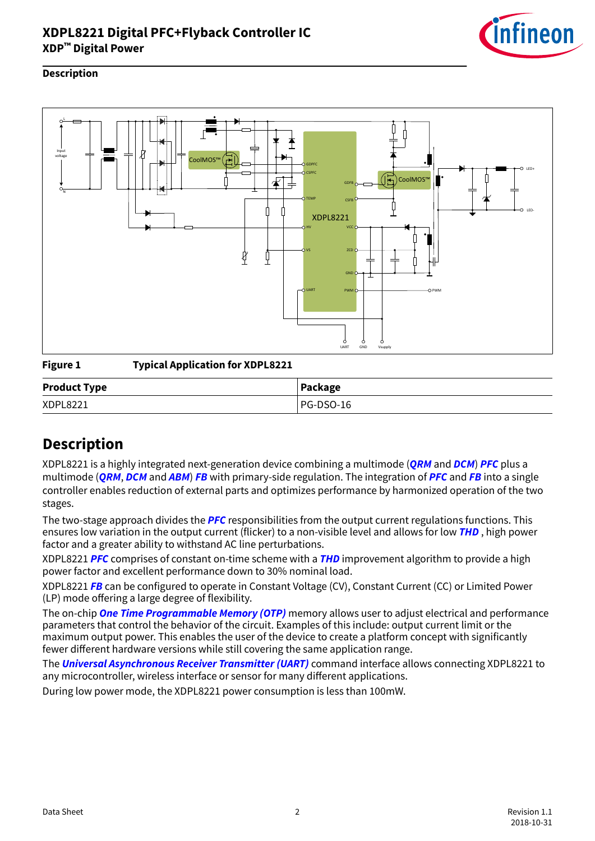

#### <span id="page-1-0"></span>**Description**



**Figure 1 Typical Application for XDPL8221**

| <b>Product Type</b> | Package          |
|---------------------|------------------|
| XDPL8221            | <b>PG-DSO-16</b> |

# **Description**

XDPL8221 is a highly integrated next-generation device combining a multimode (**[QRM](#page-55-0)** and **[DCM](#page-53-0)**) **[PFC](#page-54-0)** plus a multimode (**[QRM](#page-55-0)**, **[DCM](#page-53-0)** and **[ABM](#page-52-0)**) **[FB](#page-53-0)** with primary-side regulation. The integration of **[PFC](#page-54-0)** and **[FB](#page-53-0)** into a single controller enables reduction of external parts and optimizes performance by harmonized operation of the two stages.

The two-stage approach divides the **[PFC](#page-54-0)** responsibilities from the output current regulations functions. This ensures low variation in the output current (flicker) to a non-visible level and allows for low **[THD](#page-55-0)** , high power factor and a greater ability to withstand AC line perturbations.

XDPL8221 **[PFC](#page-54-0)** comprises of constant on-time scheme with a **[THD](#page-55-0)** improvement algorithm to provide a high power factor and excellent performance down to 30% nominal load.

XDPL8221 **[FB](#page-53-0)** can be configured to operate in Constant Voltage (CV), Constant Current (CC) or Limited Power (LP) mode offering a large degree of flexibility.

The on-chip **[One Time Programmable Memory \(OTP\)](#page-54-0)** memory allows user to adjust electrical and performance parameters that control the behavior of the circuit. Examples of this include: output current limit or the maximum output power. This enables the user of the device to create a platform concept with significantly fewer different hardware versions while still covering the same application range.

The **[Universal Asynchronous Receiver Transmitter \(UART\)](#page-55-0)** command interface allows connecting XDPL8221 to any microcontroller, wireless interface or sensor for many different applications.

During low power mode, the XDPL8221 power consumption is less than 100mW.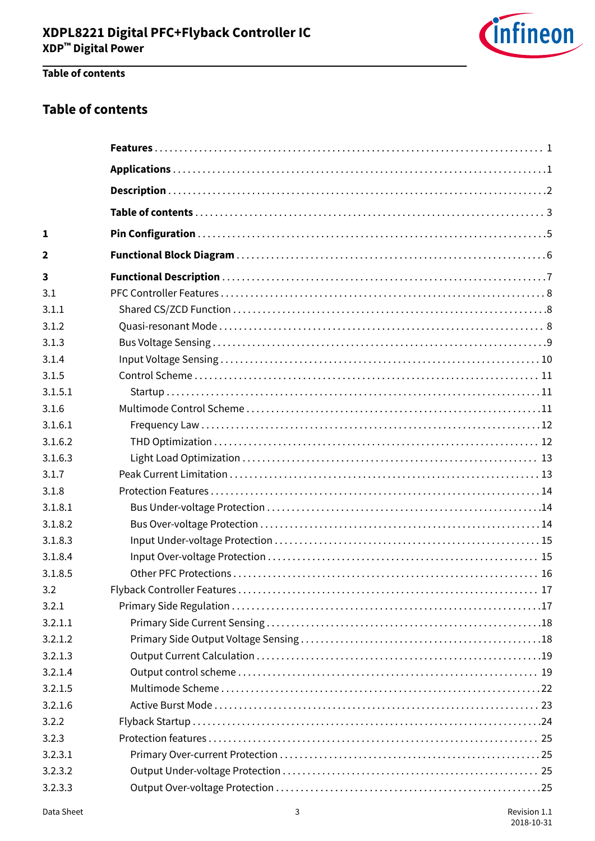

### Table of contents

### **Table of contents**

| $\mathbf{1}$ |  |
|--------------|--|
| $\mathbf{2}$ |  |
| 3            |  |
| 3.1          |  |
| 3.1.1        |  |
| 3.1.2        |  |
| 3.1.3        |  |
| 3.1.4        |  |
| 3.1.5        |  |
| 3.1.5.1      |  |
| 3.1.6        |  |
| 3.1.6.1      |  |
| 3.1.6.2      |  |
| 3.1.6.3      |  |
| 3.1.7        |  |
| 3.1.8        |  |
| 3.1.8.1      |  |
| 3.1.8.2      |  |
| 3.1.8.3      |  |
| 3.1.8.4      |  |
| 3.1.8.5      |  |
| 3.2          |  |
| 3.2.1        |  |
| 3.2.1.1      |  |
| 3.2.1.2      |  |
| 3.2.1.3      |  |
| 3.2.1.4      |  |
| 3.2.1.5      |  |
| 3.2.1.6      |  |
| 3.2.2        |  |
| 3.2.3        |  |
| 3.2.3.1      |  |
| 3.2.3.2      |  |
| 3.2.3.3      |  |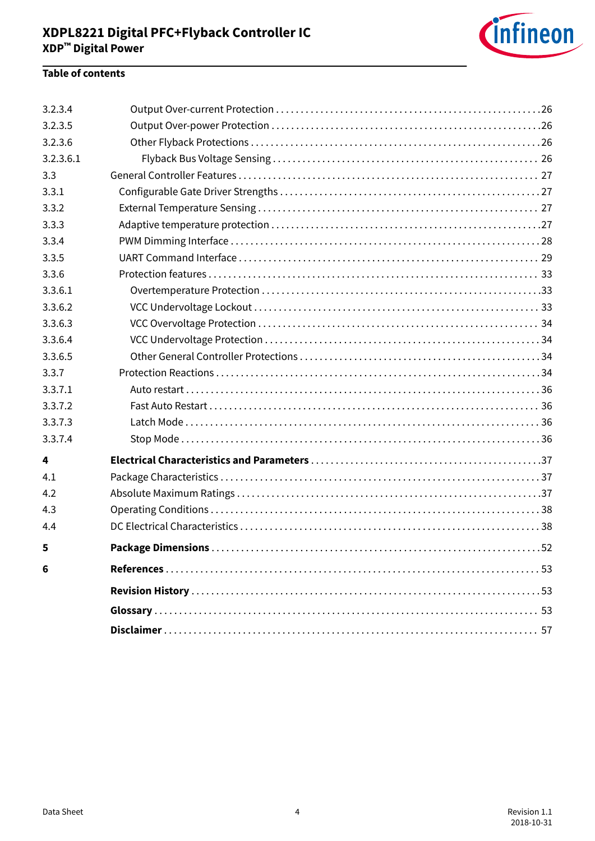

### **Table of contents**

| 3.2.3.4   |                                 |
|-----------|---------------------------------|
| 3.2.3.5   |                                 |
| 3.2.3.6   |                                 |
| 3.2.3.6.1 |                                 |
| 3.3       |                                 |
| 3.3.1     |                                 |
| 3.3.2     |                                 |
| 3.3.3     |                                 |
| 3.3.4     |                                 |
| 3.3.5     |                                 |
| 3.3.6     |                                 |
| 3.3.6.1   |                                 |
| 3.3.6.2   |                                 |
| 3.3.6.3   |                                 |
| 3.3.6.4   |                                 |
| 3.3.6.5   |                                 |
| 3.3.7     |                                 |
| 3.3.7.1   |                                 |
| 3.3.7.2   |                                 |
| 3.3.7.3   |                                 |
| 3.3.7.4   |                                 |
| 4         |                                 |
| 4.1       |                                 |
| 4.2       |                                 |
| 4.3       |                                 |
| 4.4       |                                 |
| 5         | <b>Package Dimensions</b><br>52 |
| 6         |                                 |
|           |                                 |
|           |                                 |
|           |                                 |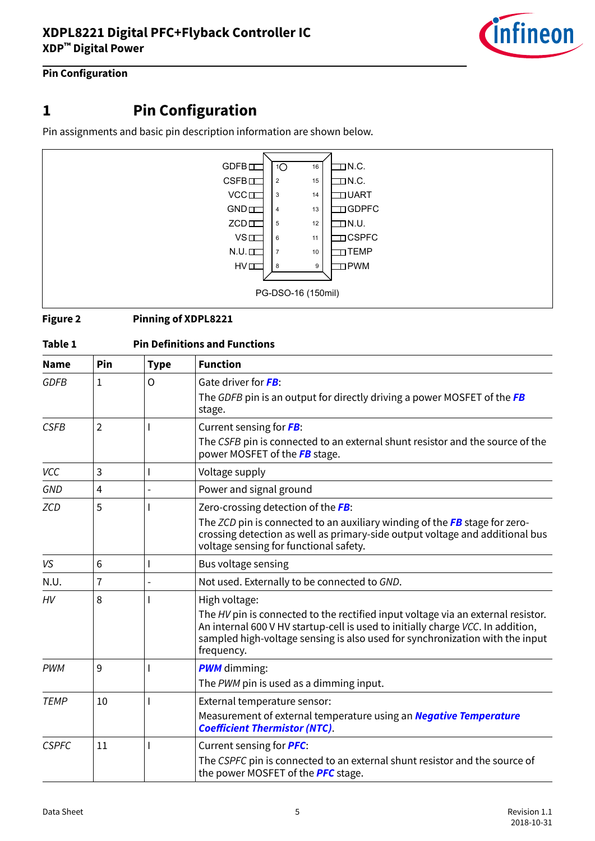

### <span id="page-4-0"></span>**Pin Configuration**

# **1 Pin Configuration**

Pin assignments and basic pin description information are shown below.



#### **Figure 2 Pinning of XDPL8221**

| Table 1      |                |             | <b>Pin Definitions and Functions</b>                                                                                                                                                                                                                                               |
|--------------|----------------|-------------|------------------------------------------------------------------------------------------------------------------------------------------------------------------------------------------------------------------------------------------------------------------------------------|
| <b>Name</b>  | Pin            | <b>Type</b> | <b>Function</b>                                                                                                                                                                                                                                                                    |
| <b>GDFB</b>  | $\mathbf{1}$   | O           | Gate driver for FB:<br>The GDFB pin is an output for directly driving a power MOSFET of the FB<br>stage.                                                                                                                                                                           |
| <b>CSFB</b>  | $\overline{2}$ |             | Current sensing for FB:<br>The CSFB pin is connected to an external shunt resistor and the source of the<br>power MOSFET of the FB stage.                                                                                                                                          |
| <b>VCC</b>   | 3              |             | Voltage supply                                                                                                                                                                                                                                                                     |
| GND          | 4              |             | Power and signal ground                                                                                                                                                                                                                                                            |
| ZCD          | 5              |             | Zero-crossing detection of the FB:<br>The ZCD pin is connected to an auxiliary winding of the $FB$ stage for zero-<br>crossing detection as well as primary-side output voltage and additional bus<br>voltage sensing for functional safety.                                       |
| VS           | 6              |             | Bus voltage sensing                                                                                                                                                                                                                                                                |
| N.U.         | 7              |             | Not used. Externally to be connected to GND.                                                                                                                                                                                                                                       |
| HV           | 8              |             | High voltage:<br>The HV pin is connected to the rectified input voltage via an external resistor.<br>An internal 600 V HV startup-cell is used to initially charge VCC. In addition,<br>sampled high-voltage sensing is also used for synchronization with the input<br>frequency. |
| <b>PWM</b>   | 9              |             | <b>PWM</b> dimming:<br>The PWM pin is used as a dimming input.                                                                                                                                                                                                                     |
| <b>TEMP</b>  | 10             |             | External temperature sensor:<br>Measurement of external temperature using an <b>Negative Temperature</b><br><b>Coefficient Thermistor (NTC).</b>                                                                                                                                   |
| <b>CSPFC</b> | 11             |             | Current sensing for <b>PFC</b> :<br>The CSPFC pin is connected to an external shunt resistor and the source of<br>the power MOSFET of the <b>PFC</b> stage.                                                                                                                        |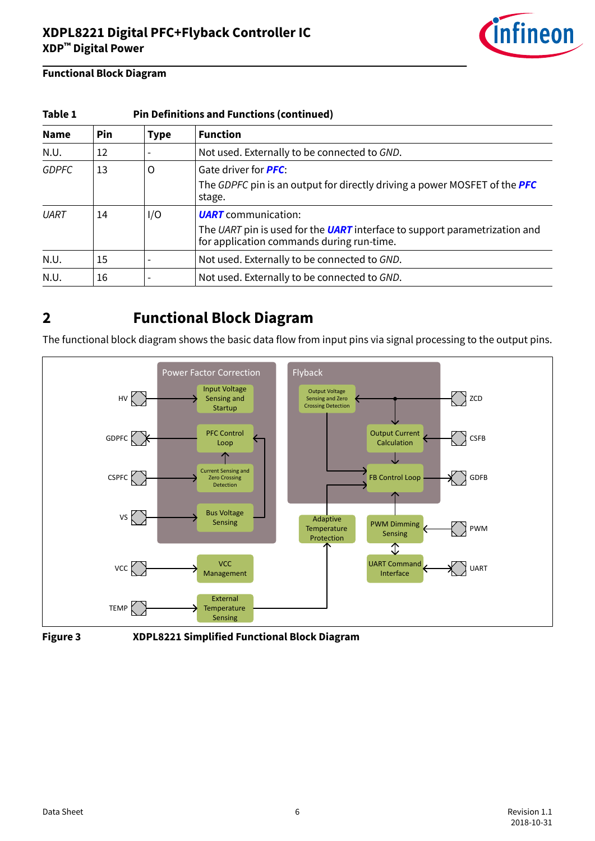

### <span id="page-5-0"></span>**Functional Block Diagram**

| Table 1      |     |             | <b>Pin Definitions and Functions (continued)</b>                                                                                                      |
|--------------|-----|-------------|-------------------------------------------------------------------------------------------------------------------------------------------------------|
| <b>Name</b>  | Pin | <b>Type</b> | <b>Function</b>                                                                                                                                       |
| N.U.         | 12  |             | Not used. Externally to be connected to GND.                                                                                                          |
| <b>GDPFC</b> | 13  | O           | Gate driver for <b>PFC</b> :<br>The GDPFC pin is an output for directly driving a power MOSFET of the <b>PFC</b><br>stage.                            |
| UART         | 14  | I/O         | <b>UART</b> communication:<br>The UART pin is used for the UART interface to support parametrization and<br>for application commands during run-time. |
| N.U.         | 15  |             | Not used. Externally to be connected to GND.                                                                                                          |
| N.U.         | 16  |             | Not used. Externally to be connected to GND.                                                                                                          |

## **2 Functional Block Diagram**

The functional block diagram shows the basic data flow from input pins via signal processing to the output pins.





**Figure 3 XDPL8221 Simplified Functional Block Diagram**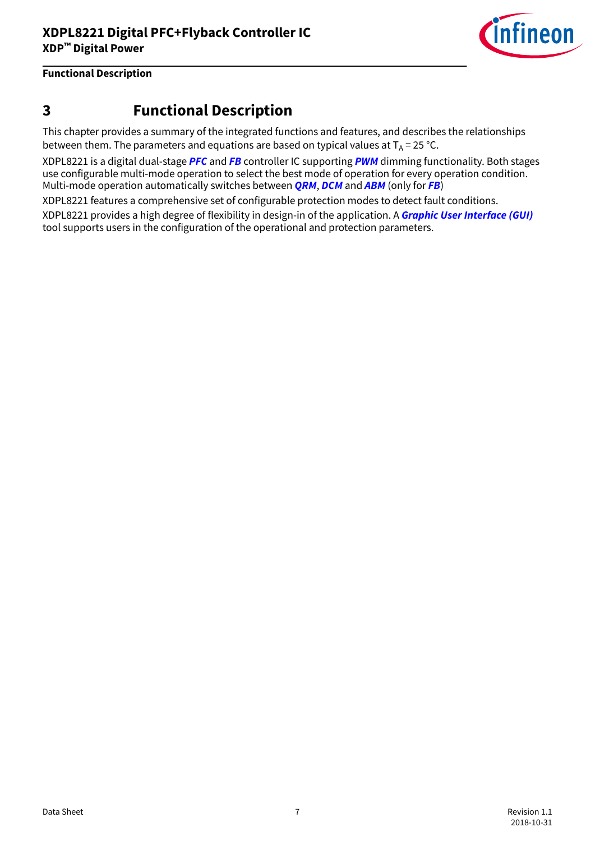

# <span id="page-6-0"></span>**3 Functional Description**

This chapter provides a summary of the integrated functions and features, and describes the relationships between them. The parameters and equations are based on typical values at  $T_A = 25 \degree C$ .

XDPL8221 is a digital dual-stage **[PFC](#page-54-0)** and **[FB](#page-53-0)** controller IC supporting **[PWM](#page-54-0)** dimming functionality. Both stages use configurable multi-mode operation to select the best mode of operation for every operation condition. Multi-mode operation automatically switches between **[QRM](#page-55-0)**, **[DCM](#page-53-0)** and **[ABM](#page-52-0)** (only for **[FB](#page-53-0)**)

XDPL8221 features a comprehensive set of configurable protection modes to detect fault conditions.

XDPL8221 provides a high degree of flexibility in design-in of the application. A **[Graphic User Interface \(GUI\)](#page-53-0)** tool supports users in the configuration of the operational and protection parameters.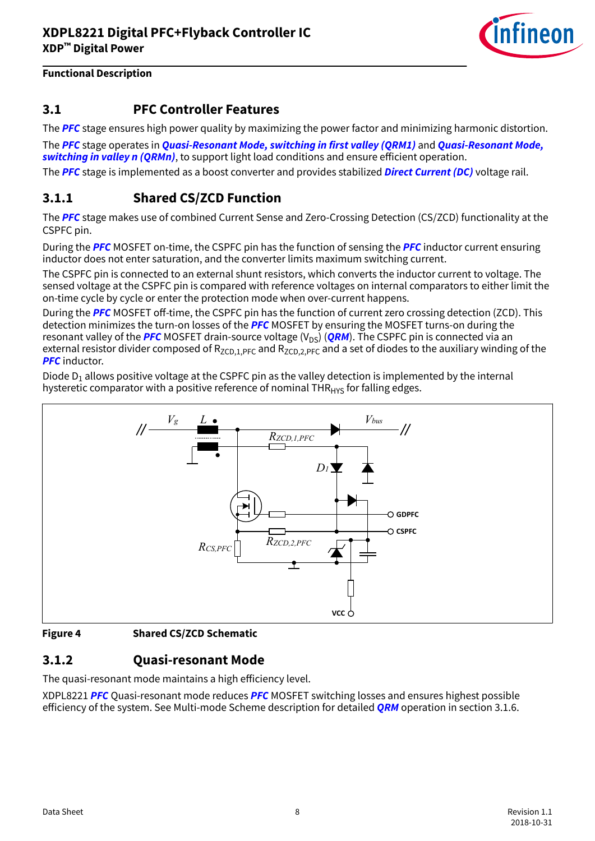

### <span id="page-7-0"></span>**3.1 PFC Controller Features**

The **[PFC](#page-54-0)** stage ensures high power quality by maximizing the power factor and minimizing harmonic distortion.

The **[PFC](#page-54-0)** stage operates in **[Quasi-Resonant Mode, switching in first valley \(QRM1\)](#page-55-0)** and **[Quasi-Resonant Mode,](#page-55-0) [switching in valley n \(QRMn\)](#page-55-0)**, to support light load conditions and ensure efficient operation.

The **[PFC](#page-54-0)** stage is implemented as a boost converter and provides stabilized **[Direct Current \(DC\)](#page-53-0)** voltage rail.

### **3.1.1 Shared CS/ZCD Function**

The **[PFC](#page-54-0)** stage makes use of combined Current Sense and Zero-Crossing Detection (CS/ZCD) functionality at the CSPFC pin.

During the **[PFC](#page-54-0)** MOSFET on-time, the CSPFC pin has the function of sensing the **[PFC](#page-54-0)** inductor current ensuring inductor does not enter saturation, and the converter limits maximum switching current.

The CSPFC pin is connected to an external shunt resistors, which converts the inductor current to voltage. The sensed voltage at the CSPFC pin is compared with reference voltages on internal comparators to either limit the on-time cycle by cycle or enter the protection mode when over-current happens.

During the **[PFC](#page-54-0)** MOSFET off-time, the CSPFC pin has the function of current zero crossing detection (ZCD). This detection minimizes the turn-on losses of the **[PFC](#page-54-0)** MOSFET by ensuring the MOSFET turns-on during the resonant valley of the **[PFC](#page-54-0)** MOSFET drain-source voltage  $(V_{DS})$  (**[QRM](#page-55-0)**). The CSPFC pin is connected via an external resistor divider composed of  $R_{ZCD,1,PFC}$  and  $R_{ZCD,2,PFC}$  and a set of diodes to the auxiliary winding of the **[PFC](#page-54-0)** inductor.

Diode D $_1$  allows positive voltage at the CSPFC pin as the valley detection is implemented by the internal hysteretic comparator with a positive reference of nominal  $THR<sub>HYS</sub>$  for falling edges.



#### **Figure 4 Shared CS/ZCD Schematic**

### **3.1.2 Quasi-resonant Mode**

The quasi-resonant mode maintains a high efficiency level.

XDPL8221 **[PFC](#page-54-0)** Quasi-resonant mode reduces **[PFC](#page-54-0)** MOSFET switching losses and ensures highest possible efficiency of the system. See Multi-mode Scheme description for detailed **[QRM](#page-55-0)** operation in section 3.1.6.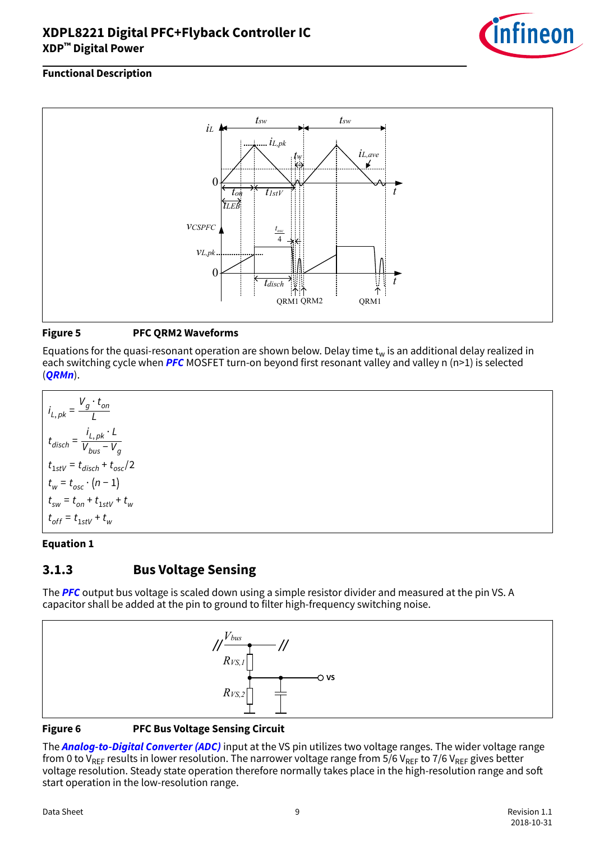

### <span id="page-8-0"></span>**Functional Description**



#### **Figure 5 PFC QRM2 Waveforms**

Equations for the quasi-resonant operation are shown below. Delay time  $t_w$  is an additional delay realized in each switching cycle when **[PFC](#page-54-0)** MOSFET turn-on beyond first resonant valley and valley n (n>1) is selected (**[QRMn](#page-55-0)**).

$$
i_{L, pk} = \frac{V_g \cdot t_{on}}{L}
$$
  
\n
$$
t_{disch} = \frac{i_{L, pk} \cdot L}{V_{bus} - V_g}
$$
  
\n
$$
t_{1stV} = t_{disch} + t_{osc}/2
$$
  
\n
$$
t_w = t_{osc} \cdot (n - 1)
$$
  
\n
$$
t_{sw} = t_{on} + t_{1stV} + t_w
$$
  
\n
$$
t_{off} = t_{1stV} + t_w
$$

#### **Equation 1**

### **3.1.3 Bus Voltage Sensing**

The **[PFC](#page-54-0)** output bus voltage is scaled down using a simple resistor divider and measured at the pin VS. A capacitor shall be added at the pin to ground to filter high-frequency switching noise.



#### **Figure 6 PFC Bus Voltage Sensing Circuit**

The **[Analog-to-Digital Converter \(ADC\)](#page-52-0)** input at the VS pin utilizes two voltage ranges. The wider voltage range from 0 to V<sub>RFF</sub> results in lower resolution. The narrower voltage range from 5/6 V<sub>RFF</sub> to 7/6 V<sub>RFF</sub> gives better voltage resolution. Steady state operation therefore normally takes place in the high-resolution range and soft start operation in the low-resolution range.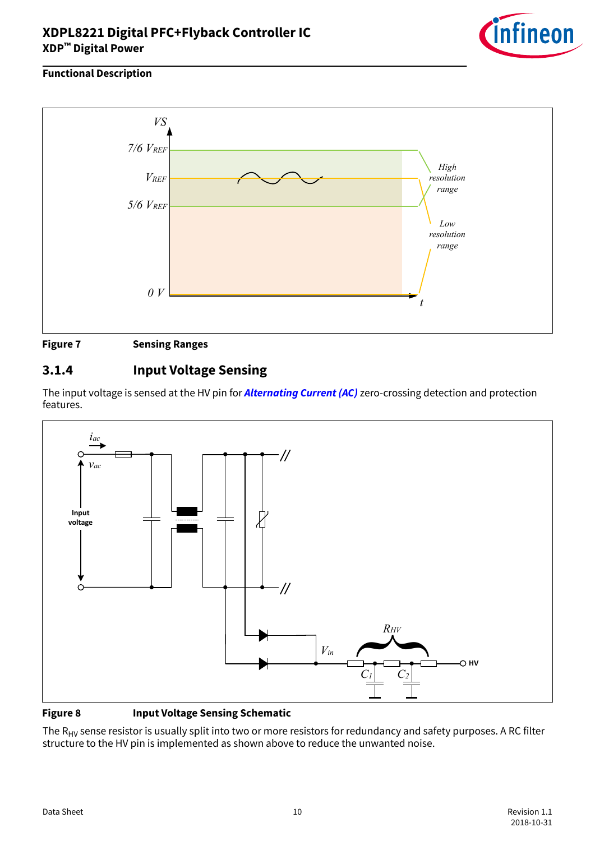

#### <span id="page-9-0"></span>**Functional Description**



### **3.1.4 Input Voltage Sensing**

The input voltage is sensed at the HV pin for **[Alternating Current \(AC\)](#page-52-0)** zero-crossing detection and protection features.



#### **Figure 8 Input Voltage Sensing Schematic**

The  $R_{HV}$  sense resistor is usually split into two or more resistors for redundancy and safety purposes. A RC filter structure to the HV pin is implemented as shown above to reduce the unwanted noise.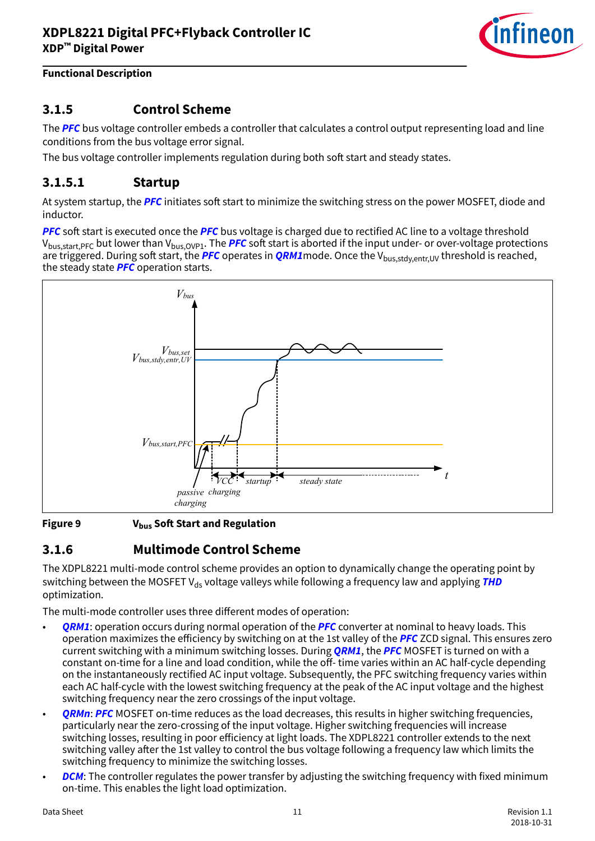

### <span id="page-10-0"></span>**3.1.5 Control Scheme**

The **[PFC](#page-54-0)** bus voltage controller embeds a controller that calculates a control output representing load and line conditions from the bus voltage error signal.

The bus voltage controller implements regulation during both soft start and steady states.

### **3.1.5.1 Startup**

At system startup, the **[PFC](#page-54-0)** initiates soft start to minimize the switching stress on the power MOSFET, diode and inductor.

**[PFC](#page-54-0)** soft start is executed once the **PFC** bus voltage is charged due to rectified AC line to a voltage threshold V<sub>bus,start,[PFC](#page-54-0)</sub> but lower than V<sub>bus,OVP1</sub>. The **PFC** soft start is aborted if the input under- or over-voltage protections are triggered. During soft start, the **[PFC](#page-54-0)** operates in **[QRM1](#page-55-0)**mode. Once the V<sub>bus,stdy,entr,UV threshold is reached,</sub> the steady state **[PFC](#page-54-0)** operation starts.



**Figure 9** V<sub>bus</sub> Soft Start and Regulation

### **3.1.6 Multimode Control Scheme**

The XDPL8221 multi-mode control scheme provides an option to dynamically change the operating point by switching between the MOSFET V<sub>ds</sub> voltage valleys while following a frequency law and applying **[THD](#page-55-0)** optimization.

The multi-mode controller uses three different modes of operation:

- **[QRM1](#page-55-0)**: operation occurs during normal operation of the **[PFC](#page-54-0)** converter at nominal to heavy loads. This operation maximizes the efficiency by switching on at the 1st valley of the **[PFC](#page-54-0)** ZCD signal. This ensures zero current switching with a minimum switching losses. During **[QRM1](#page-55-0)**, the **[PFC](#page-54-0)** MOSFET is turned on with a constant on-time for a line and load condition, while the off-time varies within an AC half-cycle depending on the instantaneously rectified AC input voltage. Subsequently, the PFC switching frequency varies within each AC half-cycle with the lowest switching frequency at the peak of the AC input voltage and the highest switching frequency near the zero crossings of the input voltage.
- **[QRMn](#page-55-0): [PFC](#page-54-0)** MOSFET on-time reduces as the load decreases, this results in higher switching frequencies, particularly near the zero-crossing of the input voltage. Higher switching frequencies will increase switching losses, resulting in poor efficiency at light loads. The XDPL8221 controller extends to the next switching valley after the 1st valley to control the bus voltage following a frequency law which limits the switching frequency to minimize the switching losses.
- **[DCM](#page-53-0)**: The controller regulates the power transfer by adjusting the switching frequency with fixed minimum on-time. This enables the light load optimization.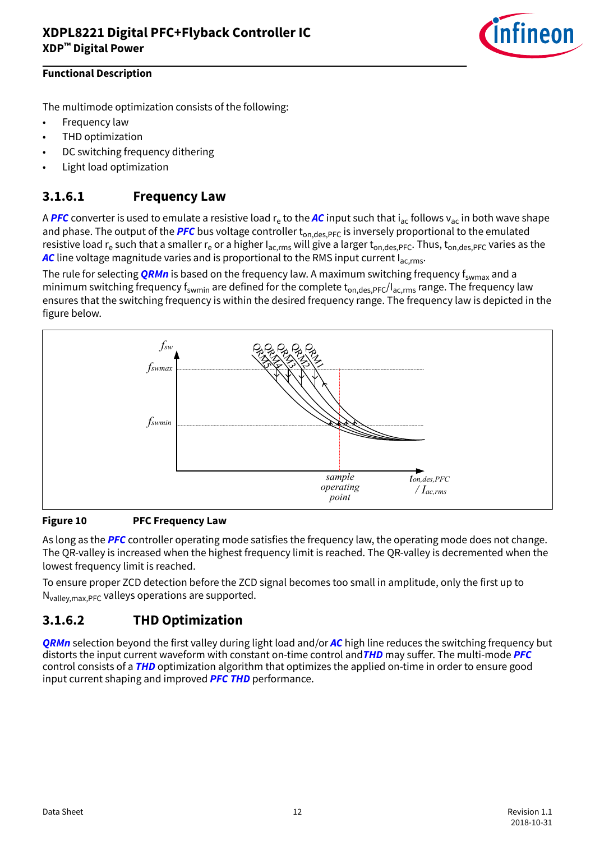

<span id="page-11-0"></span>The multimode optimization consists of the following:

- Frequency law
- THD optimization
- DC switching frequency dithering
- Light load optimization

### **3.1.6.1 Frequency Law**

A <mark>[PFC](#page-54-0)</mark> converter is used to emulate a resistive load r<sub>e</sub> to the <mark>[AC](#page-52-0)</mark> input such that i<sub>ac</sub> follows v<sub>ac</sub> in both wave shape and phase. The output of the **[PFC](#page-54-0)** bus voltage controller t<sub>on,des,PFC</sub> is inversely proportional to the emulated resistive load r<sub>e</sub> such that a smaller r<sub>e</sub> or a higher I<sub>ac,rms</sub> will give a larger t<sub>on,des,PFC</sub>. Thus, t<sub>on,des,PFC</sub> varies as the **[AC](#page-52-0)** line voltage magnitude varies and is proportional to the RMS input current I<sub>ac rms</sub>.

The rule for selecting **[QRMn](#page-55-0)** is based on the frequency law. A maximum switching frequency f<sub>swmax</sub> and a minimum switching frequency  $f_{s$ <sub>wmin</sub> are defined for the complete  $t_{on,des,PFC}/I_{ac,rms}$  range. The frequency law ensures that the switching frequency is within the desired frequency range. The frequency law is depicted in the figure below.



#### **Figure 10 PFC Frequency Law**

As long as the **[PFC](#page-54-0)** controller operating mode satisfies the frequency law, the operating mode does not change. The QR-valley is increased when the highest frequency limit is reached. The QR-valley is decremented when the lowest frequency limit is reached.

To ensure proper ZCD detection before the ZCD signal becomes too small in amplitude, only the first up to  $N_{\text{vallev max}}$  *PFC* valleys operations are supported.

### **3.1.6.2 THD Optimization**

**[QRMn](#page-55-0)** selection beyond the first valley during light load and/or **[AC](#page-52-0)** high line reduces the switching frequency but distorts the input current waveform with constant on-time control and **[THD](#page-55-0)** may suffer. The multi-mode **[PFC](#page-54-0)** control consists of a **[THD](#page-55-0)** optimization algorithm that optimizes the applied on-time in order to ensure good input current shaping and improved **[PFC](#page-54-0) [THD](#page-55-0)** performance.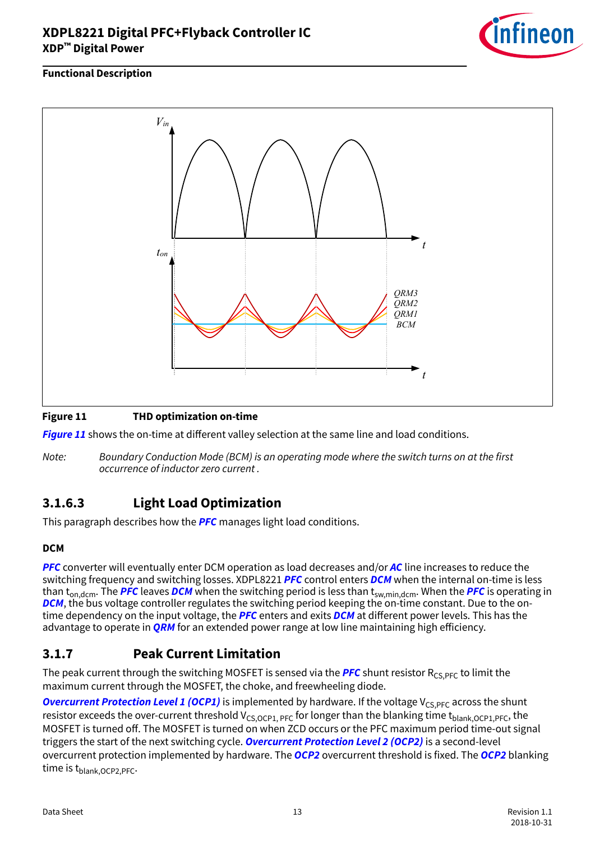

#### <span id="page-12-0"></span>**Functional Description**



#### **Figure 11 THD optimization on-time**

**Figure 11** shows the on-time at different valley selection at the same line and load conditions.

Note: Boundary Conduction Mode (BCM) is an operating mode where the switch turns on at the first occurrence of inductor zero current .

### **3.1.6.3 Light Load Optimization**

This paragraph describes how the **[PFC](#page-54-0)** manages light load conditions.

#### **DCM**

**[PFC](#page-54-0)** converter will eventually enter DCM operation as load decreases and/or **[AC](#page-52-0)** line increases to reduce the switching frequency and switching losses. XDPL8221 **[PFC](#page-54-0)** control enters **[DCM](#page-53-0)** when the internal on-time is less than t<sub>on,dcm</sub>. The [PFC](#page-54-0) leaves [DCM](#page-53-0) when the switching period is less than t<sub>sw,min,dcm</sub>. When the PFC is operating in **[DCM](#page-53-0)**, the bus voltage controller regulates the switching period keeping the on-time constant. Due to the ontime dependency on the input voltage, the **[PFC](#page-54-0)** enters and exits **[DCM](#page-53-0)** at different power levels. This has the advantage to operate in **[QRM](#page-55-0)** for an extended power range at low line maintaining high efficiency.

### **3.1.7 Peak Current Limitation**

The peak current through the switching MOSFET is sensed via the **[PFC](#page-54-0)** shunt resistor  $R_{CS,PFC}$  to limit the maximum current through the MOSFET, the choke, and freewheeling diode.

**[Overcurrent Protection Level 1 \(OCP1\)](#page-54-0)** is implemented by hardware. If the voltage V<sub>CS,PFC</sub> across the shunt resistor exceeds the over-current threshold  $V_{CS,OCP1, PFC}$  for longer than the blanking time t<sub>blank,OCP1,PFC</sub>, the MOSFET is turned off. The MOSFET is turned on when ZCD occurs or the PFC maximum period time-out signal triggers the start of the next switching cycle. **[Overcurrent Protection Level 2 \(OCP2\)](#page-54-0)** is a second-level overcurrent protection implemented by hardware. The **[OCP2](#page-54-0)** overcurrent threshold is fixed. The **[OCP2](#page-54-0)** blanking time is t<sub>blank, OCP2</sub>, PFC.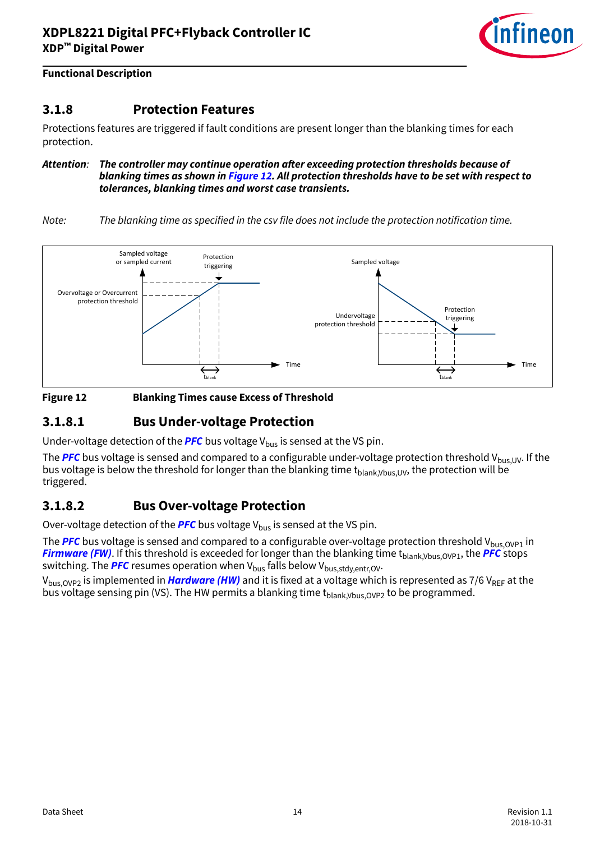

### <span id="page-13-0"></span>**3.1.8 Protection Features**

Protections features are triggered if fault conditions are present longer than the blanking times for each protection.

Attention: The controller may continue operation after exceeding protection thresholds because of **blanking times as shown in Figure 12. All protection thresholds have to be set with respect to tolerances, blanking times and worst case transients.**

Note: The blanking time as specified in the csv file does not include the protection notification time.





### **3.1.8.1 Bus Under-voltage Protection**

Under-voltage detection of the **[PFC](#page-54-0)** bus voltage  $V_{bus}$  is sensed at the VS pin.

The [PFC](#page-54-0) bus voltage is sensed and compared to a configurable under-voltage protection threshold V<sub>bus,UV</sub>. If the bus voltage is below the threshold for longer than the blanking time  $t_{\text{blank}V_{\text{blk}}(W)}$ , the protection will be triggered.

### **3.1.8.2 Bus Over-voltage Protection**

Over-voltage detection of the **[PFC](#page-54-0)** bus voltage V<sub>bus</sub> is sensed at the VS pin.

The **[PFC](#page-54-0)** bus voltage is sensed and compared to a configurable over-voltage protection threshold V<sub>bus,OVP1</sub> in **[Firmware \(FW\)](#page-53-0)**. If this threshold is exceeded for longer than the blanking time t<sub>blank</sub>, Vbus, OVP1, the **[PFC](#page-54-0)** stops **SWITCHILL CONSULTS IN THE PROT** CONSULTED THE VALUE OF SWITCHING. The **[PFC](#page-54-0)** resumes operation when V<sub>bus</sub> falls below V<sub>bus, stdy, entr, OV.</sub>

V<sub>bus, OVP2</sub> is implemented in *[Hardware \(HW\)](#page-53-0)* and it is fixed at a voltage which is represented as 7/6 V<sub>RFF</sub> at the bus voltage sensing pin (VS). The HW permits a blanking time  $t_{\text{blank},V_{\text{bus}},OVP2}$  to be programmed.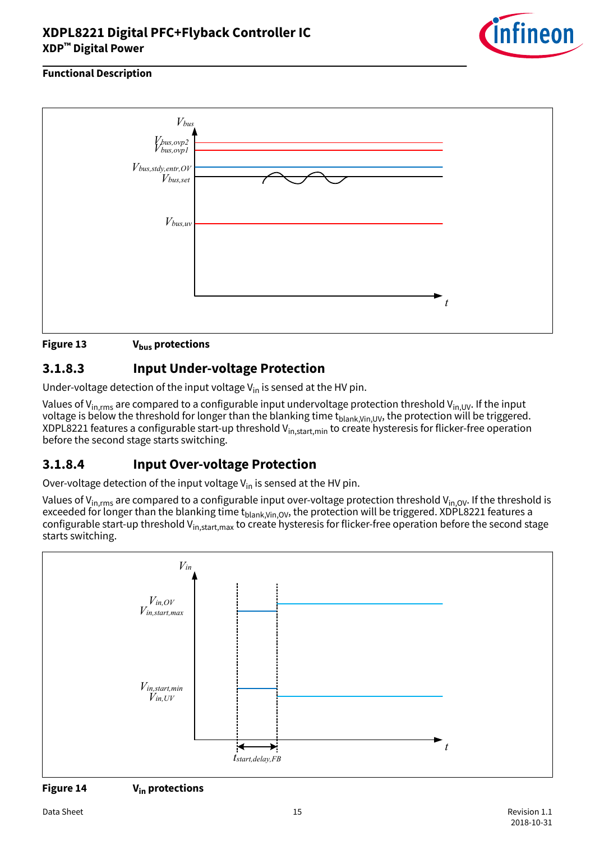

#### <span id="page-14-0"></span>**Functional Description**



#### **Figure 13 Vbus protections**

### **3.1.8.3 Input Under-voltage Protection**

Under-voltage detection of the input voltage  $V_{in}$  is sensed at the HV pin.

Values of V<sub>in,rms</sub> are compared to a configurable input undervoltage protection threshold V<sub>in,UV</sub>. If the input voltage is below the threshold for longer than the blanking time  $t_{\text{blank,Vin,UV}}$ , the protection will be triggered. XDPL8221 features a configurable start-up threshold  $V_{in, start,min}$  to create hysteresis for flicker-free operation before the second stage starts switching.

### **3.1.8.4 Input Over-voltage Protection**

Over-voltage detection of the input voltage  $V_{in}$  is sensed at the HV pin.

Values of V<sub>in,rms</sub> are compared to a configurable input over-voltage protection threshold V<sub>in,OV</sub>. If the threshold is exceeded for longer than the blanking time  $t_{blank,Vin,OV}$ , the protection will be triggered. XDPL8221 features a configurable start-up threshold V<sub>in,start,max</sub> to create hysteresis for flicker-free operation before the second stage starts switching.



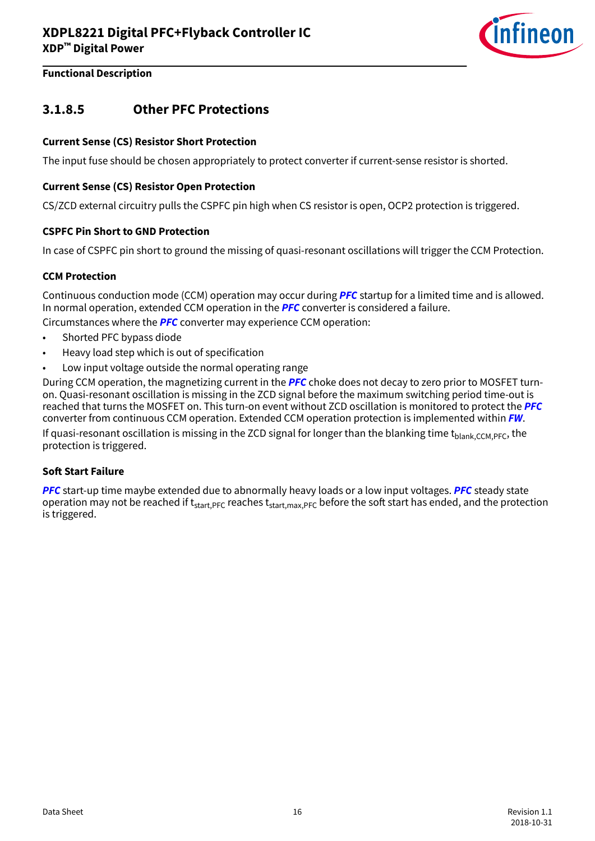

### <span id="page-15-0"></span>**3.1.8.5 Other PFC Protections**

#### **Current Sense (CS) Resistor Short Protection**

The input fuse should be chosen appropriately to protect converter if current-sense resistor is shorted.

#### **Current Sense (CS) Resistor Open Protection**

CS/ZCD external circuitry pulls the CSPFC pin high when CS resistor is open, OCP2 protection is triggered.

#### **CSPFC Pin Short to GND Protection**

In case of CSPFC pin short to ground the missing of quasi-resonant oscillations will trigger the CCM Protection.

#### **CCM Protection**

Continuous conduction mode (CCM) operation may occur during **[PFC](#page-54-0)** startup for a limited time and is allowed. In normal operation, extended CCM operation in the **[PFC](#page-54-0)** converter is considered a failure.

Circumstances where the **[PFC](#page-54-0)** converter may experience CCM operation:

- Shorted PFC bypass diode
- Heavy load step which is out of specification
- Low input voltage outside the normal operating range

During CCM operation, the magnetizing current in the **[PFC](#page-54-0)** choke does not decay to zero prior to MOSFET turnon. Quasi-resonant oscillation is missing in the ZCD signal before the maximum switching period time-out is reached that turns the MOSFET on. This turn-on event without ZCD oscillation is monitored to protect the **[PFC](#page-54-0)** converter from continuous CCM operation. Extended CCM operation protection is implemented within **[FW](#page-53-0)**.

If quasi-resonant oscillation is missing in the ZCD signal for longer than the blanking time t<sub>blank</sub>, CCM, PFC, the protection is triggered.

#### **Soft Start Failure**

**[PFC](#page-54-0)** start-up time maybe extended due to abnormally heavy loads or a low input voltages. **[PFC](#page-54-0)** steady state operation may not be reached if  $t_{start,PFC}$  reaches  $t_{start,max,PFC}$  before the soft start has ended, and the protection is triggered.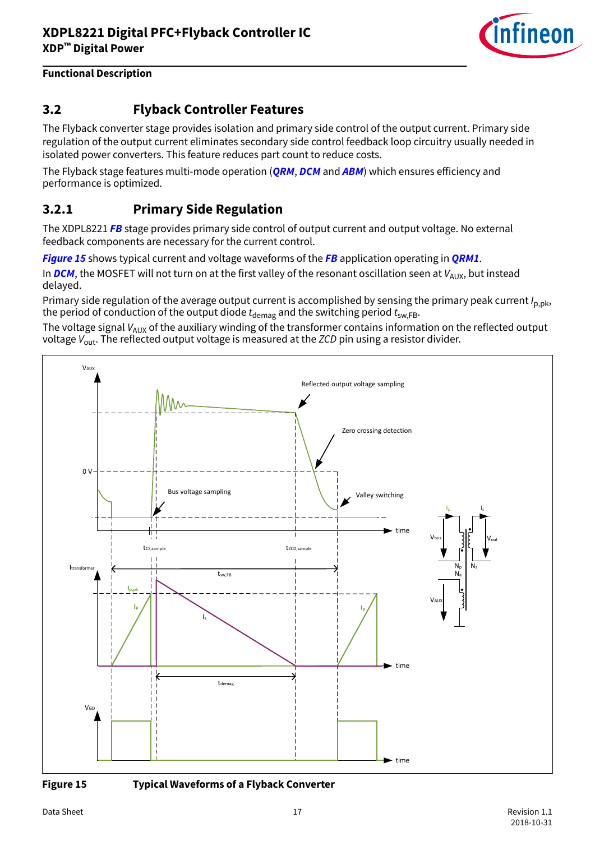

### <span id="page-16-0"></span>**3.2 Flyback Controller Features**

The Flyback converter stage provides isolation and primary side control of the output current. Primary side regulation of the output current eliminates secondary side control feedback loop circuitry usually needed in isolated power converters. This feature reduces part count to reduce costs.

The Flyback stage features multi-mode operation (**[QRM](#page-55-0), [DCM](#page-53-0)** and **[ABM](#page-52-0)**) which ensures efficiency and performance is optimized.

### **3.2.1 Primary Side Regulation**

The XDPL8221 **[FB](#page-53-0)** stage provides primary side control of output current and output voltage. No external feedback components are necessary for the current control.

**Figure 15** shows typical current and voltage waveforms of the **[FB](#page-53-0)** application operating in **[QRM1](#page-55-0)**.

In **[DCM](#page-53-0)**, the MOSFET will not turn on at the first valley of the resonant oscillation seen at  $V_{AUX}$ , but instead delayed.

Primary side regulation of the average output current is accomplished by sensing the primary peak current  $I_{p,pk}$ , the period of conduction of the output diode  $t_{\text{demag}}$  and the switching period  $t_{\text{sw,FB}}$ .

The voltage signal  $V_{AUX}$  of the auxiliary winding of the transformer contains information on the reflected output voltage  $V_{\text{out}}$ . The reflected output voltage is measured at the ZCD pin using a resistor divider.





**Figure 15 Typical Waveforms of a Flyback Converter**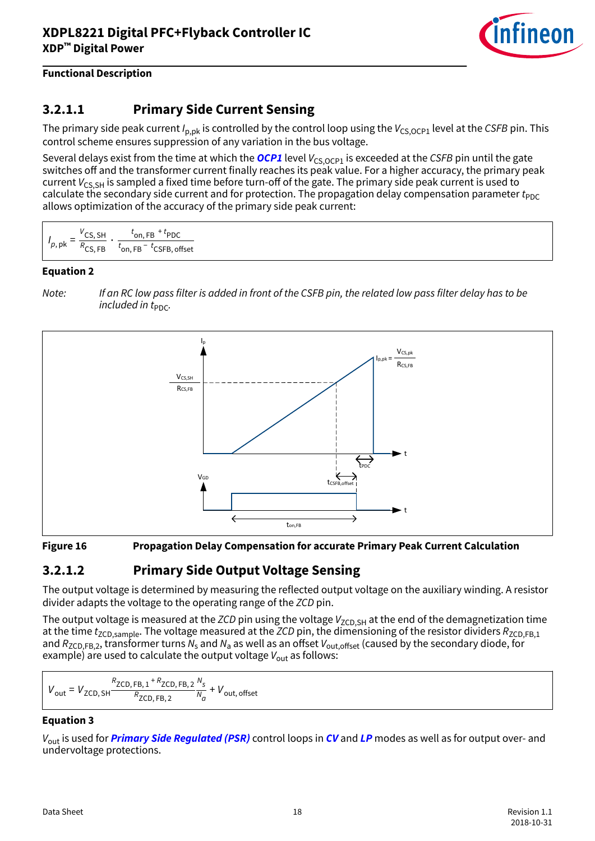

## <span id="page-17-0"></span>**3.2.1.1 Primary Side Current Sensing**

The primary side peak current  $I_{p,pk}$  is controlled by the control loop using the  $V_{CS,OCP1}$  level at the CSFB pin. This control scheme ensures suppression of any variation in the bus voltage.

Several delays exist from the time at which the **[OCP1](#page-54-0)** level  $V_{CS,OCP1}$  is exceeded at the CSFB pin until the gate switches off and the transformer current finally reaches its peak value. For a higher accuracy, the primary peak current  $V_{CS,SH}$  is sampled a fixed time before turn-off of the gate. The primary side peak current is used to calculate the secondary side current and for protection. The propagation delay compensation parameter  $t_{PDC}$ allows optimization of the accuracy of the primary side peak current:

$$
I_{p, \text{ pk}} = \frac{V_{\text{CS, SH}}}{R_{\text{CS, FB}}} \cdot \frac{t_{\text{on, FB}} + t_{\text{PDC}}}{t_{\text{on, FB}} - t_{\text{CSFB, offset}}}
$$

#### **Equation 2**

Note: If an RC low pass filter is added in front of the CSFB pin, the related low pass filter delay has to be included in  $t_{\text{PDC}}$ .



#### **Figure 16 Propagation Delay Compensation for accurate Primary Peak Current Calculation**

### **3.2.1.2 Primary Side Output Voltage Sensing**

The output voltage is determined by measuring the reflected output voltage on the auxiliary winding. A resistor divider adapts the voltage to the operating range of the ZCD pin.

The output voltage is measured at the ZCD pin using the voltage  $V_{ZCD,SH}$  at the end of the demagnetization time at the time  $t_{ZCD,sample}$ . The voltage measured at the  $ZCD$  pin, the dimensioning of the resistor dividers  $R_{ZCD,FB,1}$ and  $R_{\sf ZCD,FB,2}$ , transformer turns  $N_{\sf s}$  and  $N_{\sf a}$  as well as an offset  $V_{\sf out,offset}$  (caused by the secondary diode, for example) are used to calculate the output voltage  $V_{\text{out}}$  as follows:

$$
V_{\text{out}} = V_{\text{ZCD, SH}} \frac{R_{\text{ZCD, FB,1}} + R_{\text{ZCD, FB,2}}}{R_{\text{ZCD, FB,2}}} \frac{N_s}{N_a} + V_{\text{out, offset}}
$$

#### **Equation 3**

Vout is used for **[Primary Side Regulated \(PSR\)](#page-54-0)** control loops in **[CV](#page-53-0)** and **[LP](#page-54-0)** modes as well as for output over- and undervoltage protections.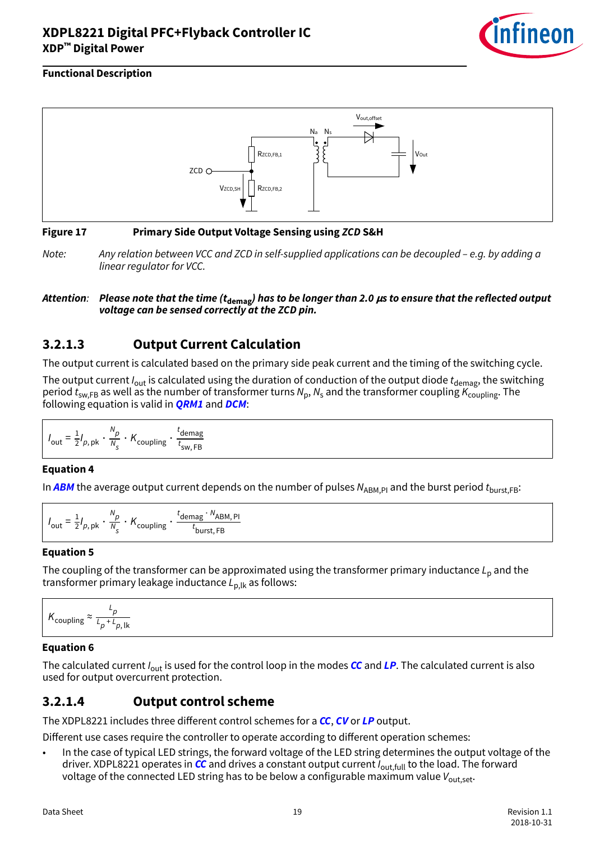

#### <span id="page-18-0"></span>**Functional Description**



#### **Figure 17 Primary Side Output Voltage Sensing using ZCD S&H**

Note: Any relation between VCC and ZCD in self-supplied applications can be decoupled – e.g. by adding a linear regulator for VCC.

#### **Attention**: **Please note that the time (tdemag) has to be longer than 2.0 μs to ensure that the reflected output voltage can be sensed correctly at the ZCD pin.**

### **3.2.1.3 Output Current Calculation**

The output current is calculated based on the primary side peak current and the timing of the switching cycle.

The output current  $I_{\text{out}}$  is calculated using the duration of conduction of the output diode  $t_{\text{denag}}$ , the switching period  $t_{\sf sw,FB}$  as well as the number of transformer turns  $\mathcal{N}_{\sf p}, \mathcal{N}_{\sf s}$  and the transformer coupling  $\mathcal{K}_{\sf coupling}.$  The following equation is valid in **[QRM1](#page-55-0)** and **[DCM](#page-53-0)**:

$$
I_{\text{out}} = \frac{1}{2} I_{p, \text{pk}} \cdot \frac{N_p}{N_s} \cdot K_{\text{coupling}} \cdot \frac{t_{\text{demag}}}{t_{\text{sw, FB}}}
$$

#### **Equation 4**

In **[ABM](#page-52-0)** the average output current depends on the number of pulses  $N_{ABM,PI}$  and the burst period  $t_{burst,FB}$ :

$$
I_{\text{out}} = \frac{1}{2} I_{p, \text{pk}} \cdot \frac{N_p}{N_s} \cdot K_{\text{coupling}} \cdot \frac{t_{\text{demag}} \cdot N_{\text{ABM}, \text{Pl}}}{t_{\text{burst}, \text{FB}}}
$$

#### **Equation 5**

The coupling of the transformer can be approximated using the transformer primary inductance  $L<sub>p</sub>$  and the transformer primary leakage inductance  $L_{p,lk}$  as follows:

$$
K_{\text{coupling}} \approx \frac{L_p}{L_p + L_{p, \, \text{lk}}}
$$

#### **Equation 6**

The calculated current I<sub>out</sub> is used for the control loop in the modes **[CC](#page-52-0)** and **[LP](#page-54-0)**. The calculated current is also used for output overcurrent protection.

### **3.2.1.4 Output control scheme**

The XDPL8221 includes three different control schemes for a **[CC](#page-52-0), [CV](#page-53-0)** or [LP](#page-54-0) output.

Different use cases require the controller to operate according to different operation schemes:

• In the case of typical LED strings, the forward voltage of the LED string determines the output voltage of the driver. XDPL8221 operates in **[CC](#page-52-0)** and drives a constant output current Iout,full to the load. The forward voltage of the connected LED string has to be below a configurable maximum value  $V_{\text{out.set}}$ .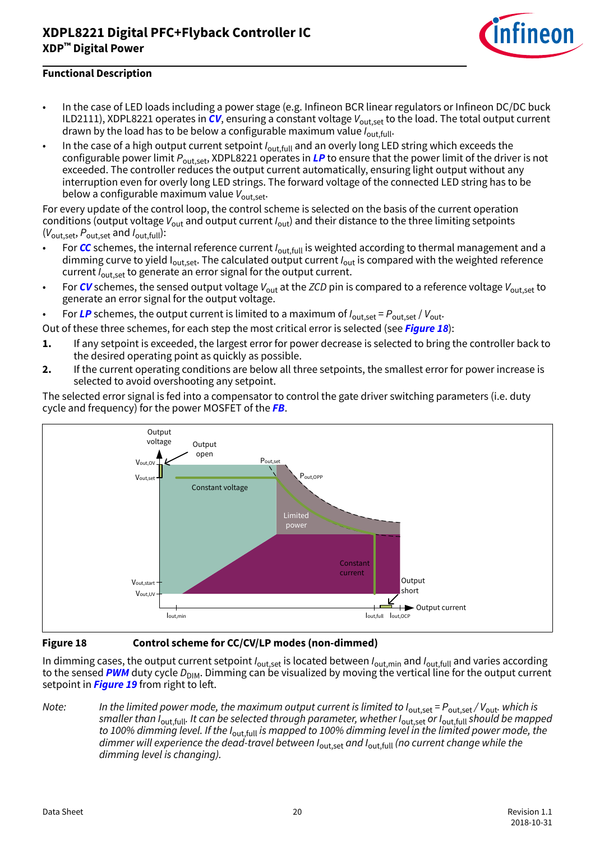

#### **Functional Description**

- In the case of LED loads including a power stage (e.g. Infineon BCR linear regulators or Infineon DC/DC buck ILD2111), XDPL8221 operates in  $CV$ , ensuring a constant voltage  $V_{\text{out, set}}$  to the load. The total output current drawn by the load has to be below a configurable maximum value  $I_{\text{out-full}}$ .
- In the case of a high output current setpoint  $I_{\text{out,full}}$  and an overly long LED string which exceeds the configurable power limit Pout,set, XDPL8221 operates in **[LP](#page-54-0)** to ensure that the power limit of the driver is not exceeded. The controller reduces the output current automatically, ensuring light output without any interruption even for overly long LED strings. The forward voltage of the connected LED string has to be below a configurable maximum value  $V_{\text{out.set}}$ .

For every update of the control loop, the control scheme is selected on the basis of the current operation conditions (output voltage  $V_{\text{out}}$  and output current  $I_{\text{out}}$ ) and their distance to the three limiting setpoints  $(V_{\text{out},\text{set}}, P_{\text{out},\text{set}})$  and  $I_{\text{out},\text{full}}$ :

- For [CC](#page-52-0) schemes, the internal reference current I<sub>out.full</sub> is weighted according to thermal management and a dimming curve to yield  $I_{out,set}$ . The calculated output current  $I_{out}$  is compared with the weighted reference current  $I_{\text{out.set}}$  to generate an error signal for the output current.
- For [CV](#page-53-0) schemes, the sensed output voltage  $V_{\text{out}}$  at the ZCD pin is compared to a reference voltage  $V_{\text{out.set}}$  to generate an error signal for the output voltage.

For [LP](#page-54-0) schemes, the output current is limited to a maximum of  $I_{\text{out.set}} = P_{\text{out.set}} / V_{\text{out}}$ .

- Out of these three schemes, for each step the most critical error is selected (see **Figure 18**):
- **1.** If any setpoint is exceeded, the largest error for power decrease is selected to bring the controller back to the desired operating point as quickly as possible.
- **2.** If the current operating conditions are below all three setpoints, the smallest error for power increase is selected to avoid overshooting any setpoint.





**Figure 18 Control scheme for CC/CV/LP modes (non-dimmed)**

In dimming cases, the output current setpoint  $I_{\text{out,set}}$  is located between  $I_{\text{out,min}}$  and  $I_{\text{out,full}}$  and varies according to the sensed **[PWM](#page-54-0)** duty cycle D<sub>DIM</sub>. Dimming can be visualized by moving the vertical line for the output current setpoint in **[Figure 19](#page-20-0)** from right to left.

Note: In the limited power mode, the maximum output current is limited to  $I_{\text{out,set}} = P_{\text{out,set}}/V_{\text{out}}$ . which is smaller than I<sub>out,full</sub>. It can be selected through parameter, whether I<sub>out,set</sub> or I<sub>out,full</sub> should be mapped to 100% dimming level. If the I<sub>out,full</sub> is mapped to 100% dimming level in the limited power mode, the dimmer will experience the dead-travel between  $I_{\text{out.set}}$  and  $I_{\text{out-full}}$  (no current change while the dimming level is changing).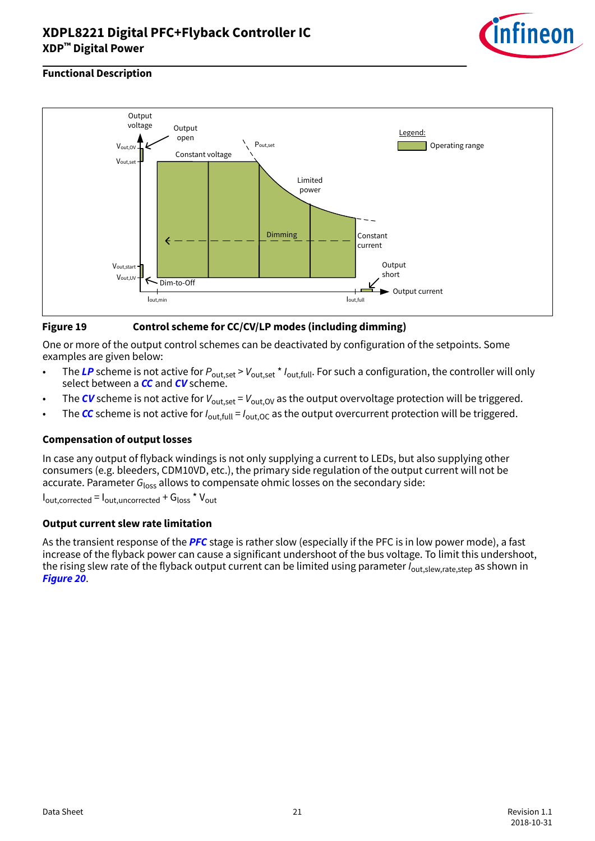

#### <span id="page-20-0"></span>**Functional Description**



#### **Figure 19 Control scheme for CC/CV/LP modes (including dimming)**

One or more of the output control schemes can be deactivated by configuration of the setpoints. Some examples are given below:

- The [LP](#page-54-0) scheme is not active for  $P_{\text{out},{\text{set}}} > V_{\text{out},{\text{set}}} * I_{\text{out},{\text{full}}}$ . For such a configuration, the controller will only select between a **[CC](#page-52-0)** and **[CV](#page-53-0)** scheme.
- The [CV](#page-53-0) scheme is not active for  $V_{\text{out.set}} = V_{\text{out.OV}}$  as the output overvoltage protection will be triggered.
- The **[CC](#page-52-0)** scheme is not active for  $I_{\text{out,full}} = I_{\text{out,OC}}$  as the output overcurrent protection will be triggered.

#### **Compensation of output losses**

In case any output of flyback windings is not only supplying a current to LEDs, but also supplying other consumers (e.g. bleeders, CDM10VD, etc.), the primary side regulation of the output current will not be accurate. Parameter  $G<sub>loss</sub>$  allows to compensate ohmic losses on the secondary side:

 $I_{\text{out,corrected}} = I_{\text{out,uncorrected}} + G_{\text{loss}} * V_{\text{out}}$ 

#### **Output current slew rate limitation**

As the transient response of the **[PFC](#page-54-0)** stage is rather slow (especially if the PFC is in low power mode), a fast increase of the flyback power can cause a significant undershoot of the bus voltage. To limit this undershoot, the rising slew rate of the flyback output current can be limited using parameter  $I_{\text{out,sleep,rate,step}}$  as shown in **[Figure 20](#page-21-0)**.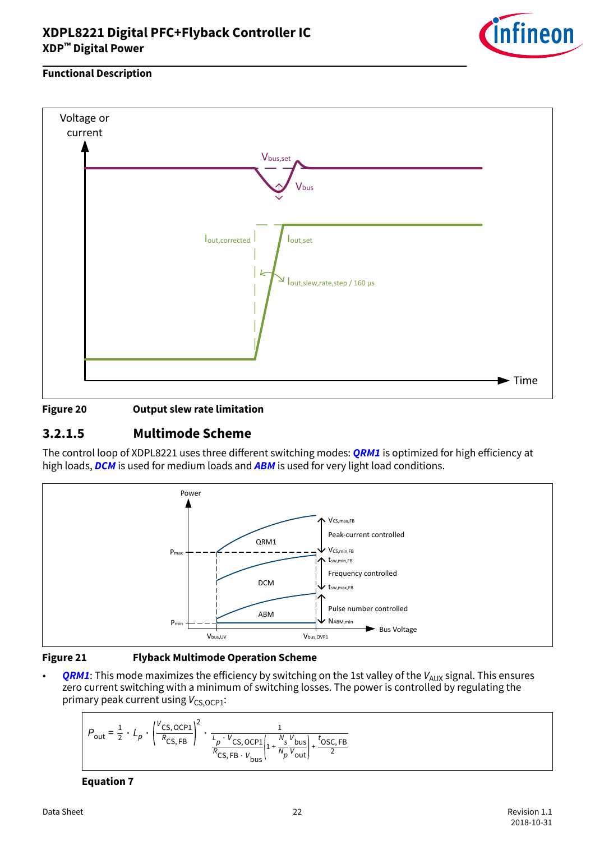

#### <span id="page-21-0"></span>**Functional Description**



#### **Figure 20 Output slew rate limitation**

### **3.2.1.5 Multimode Scheme**

The control loop of XDPL8221 uses three different switching modes: **[QRM1](#page-55-0)** is optimized for high efficiency at high loads, **[DCM](#page-53-0)** is used for medium loads and **[ABM](#page-52-0)** is used for very light load conditions.



#### **Figure 21 Flyback Multimode Operation Scheme**

**[QRM1](#page-55-0)**: This mode maximizes the efficiency by switching on the 1st valley of the  $V_{AUX}$  signal. This ensures zero current switching with a minimum of switching losses. The power is controlled by regulating the primary peak current using  $V_{CS,OCP1}$ :

$$
P_{\text{out}} = \frac{1}{2} \cdot L_p \cdot \left(\frac{V_{\text{CS, OCP1}}}{R_{\text{CS, FB}}}\right)^2 \cdot \frac{1}{\frac{L_p \cdot V_{\text{CS, OCP1}}}{R_{\text{CS, FB}} \cdot V_{\text{bus}}}} \left|1 + \frac{N_s V_{\text{bus}}}{N_p V_{\text{out}}}\right| + \frac{t_{\text{OSC, FB}}}{2}
$$

#### **Equation 7**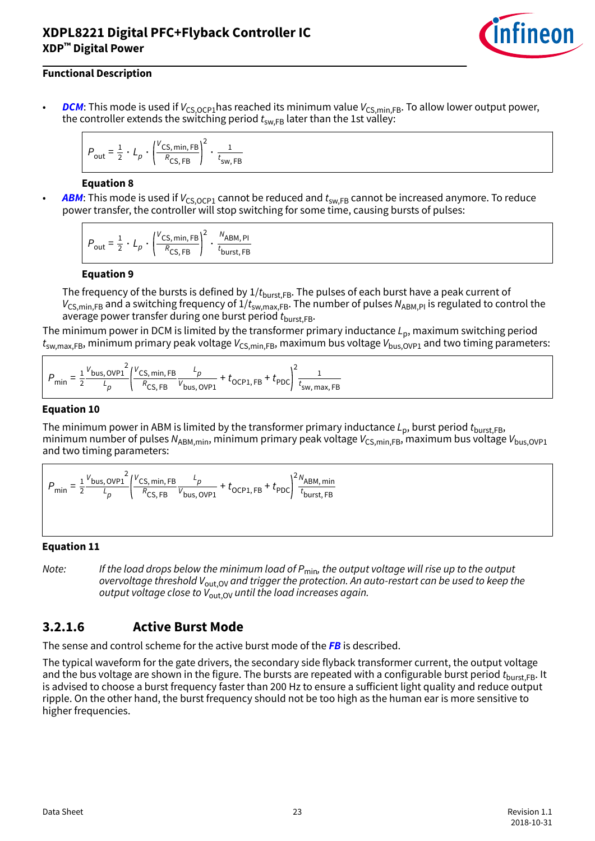

#### <span id="page-22-0"></span>**Functional Description**

**[DCM](#page-53-0):** This mode is used if  $V_{CS,OCP1}$  has reached its minimum value  $V_{CS,min,FB}$ . To allow lower output power, the controller extends the switching period  $t_{sw,FB}$  later than the 1st valley:

$$
P_{\text{out}} = \frac{1}{2} \cdot L_p \cdot \left(\frac{V_{\text{CS, min, FB}}}{R_{\text{CS, FB}}}\right)^2 \cdot \frac{1}{t_{\text{sw, FB}}}
$$

#### **Equation 8**

**[ABM](#page-52-0):** This mode is used if  $V_{CS,OCPI}$  cannot be reduced and  $t_{SWFB}$  cannot be increased anymore. To reduce power transfer, the controller will stop switching for some time, causing bursts of pulses:

$$
P_{\text{out}} = \frac{1}{2} \cdot L_p \cdot \left(\frac{V_{\text{CS, min, FB}}}{R_{\text{CS, FB}}}\right)^2 \cdot \frac{N_{\text{ABM, PI}}}{t_{\text{burst, FB}}}
$$

#### **Equation 9**

The frequency of the bursts is defined by  $1/t_{burst,FB}$ . The pulses of each burst have a peak current of  $V_{CS,min,FB}$  and a switching frequency of  $1/t_{sw,max,FB}$ . The number of pulses  $N_{ABM,PI}$  is regulated to control the average power transfer during one burst period  $t_{\text{burst,EB}}$ .

The minimum power in DCM is limited by the transformer primary inductance  $L_{p}$ , maximum switching period  $t_{\text{sw,max,FB}}$ , minimum primary peak voltage  $V_{\text{CS,min,FB}}$ , maximum bus voltage  $V_{\text{bus}}|_{\text{OVP1}}$  and two timing parameters:

$$
P_{\min} = \frac{1}{2} \frac{V_{\text{bus, OVP1}}^2}{L_p} \left( \frac{V_{\text{CS, min, FB}}}{R_{\text{CS, FB}}} \frac{L_p}{V_{\text{bus, OVP1}}} + t_{\text{OCP1, FB}} + t_{\text{PDC}} \right)^2 \frac{1}{t_{\text{sw, max, FB}}}
$$

#### **Equation 10**

The minimum power in ABM is limited by the transformer primary inductance  $L_{p}$ , burst period  $t_{burst,FB}$ , minimum number of pulses N<sub>ABM,min</sub>, minimum primary peak voltage  $V_{CS,min,FB}$ , maximum bus voltage  $V_{bus,OVP1}$ and two timing parameters:

 $P_{\text{min}} = \frac{1}{2}$ 2  $V_{\text{bus, OVP1}}$ 2 L p V CS, min, FB  $R_{\text{CS, FB}}$ L p  $\frac{p}{V_{\text{bus, OVP1}}}$  +  $t_{\text{OCP1, FB}}$  +  $t_{\text{PDC}}$  $2N_{ABM, min}$ t burst, FB

#### **Equation 11**

Note: If the load drops below the minimum load of  $P_{\text{min}}$ , the output voltage will rise up to the output overvoltage threshold  $V_{\text{out,OV}}$  and trigger the protection. An auto-restart can be used to keep the output voltage close to  $V_{\text{out,OV}}$  until the load increases again.

### **3.2.1.6 Active Burst Mode**

The sense and control scheme for the active burst mode of the **[FB](#page-53-0)** is described.

The typical waveform for the gate drivers, the secondary side flyback transformer current, the output voltage and the bus voltage are shown in the figure. The bursts are repeated with a configurable burst period  $t_{\text{burst ER}}$ . It is advised to choose a burst frequency faster than 200 Hz to ensure a sufficient light quality and reduce output ripple. On the other hand, the burst frequency should not be too high as the human ear is more sensitive to higher frequencies.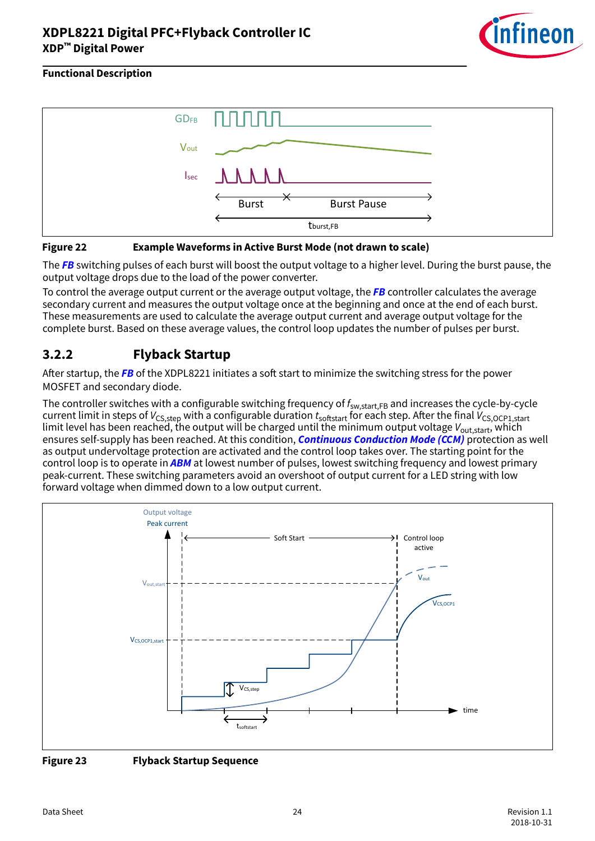

<span id="page-23-0"></span>



The **[FB](#page-53-0)** switching pulses of each burst will boost the output voltage to a higher level. During the burst pause, the output voltage drops due to the load of the power converter.

To control the average output current or the average output voltage, the **[FB](#page-53-0)** controller calculates the average secondary current and measures the output voltage once at the beginning and once at the end of each burst. These measurements are used to calculate the average output current and average output voltage for the complete burst. Based on these average values, the control loop updates the number of pulses per burst.

### **3.2.2 Flyback Startup**

After startup, the [FB](#page-53-0) of the XDPL8221 initiates a soft start to minimize the switching stress for the power MOSFET and secondary diode.

The controller switches with a configurable switching frequency of  $f_{sw, start, FB}$  and increases the cycle-by-cycle current limit in steps of  $V_{CS,step}$  with a configurable duration  $t_{softstart}$  for each step. After the final  $V_{CS,OCP1,start}$ limit level has been reached, the output will be charged until the minimum output voltage  $V_{\text{out.start}}$ , which ensures self-supply has been reached. At this condition, **[Continuous Conduction Mode \(CCM\)](#page-53-0)** protection as well as output undervoltage protection are activated and the control loop takes over. The starting point for the control loop is to operate in **[ABM](#page-52-0)** at lowest number of pulses, lowest switching frequency and lowest primary peak-current. These switching parameters avoid an overshoot of output current for a LED string with low forward voltage when dimmed down to a low output current.



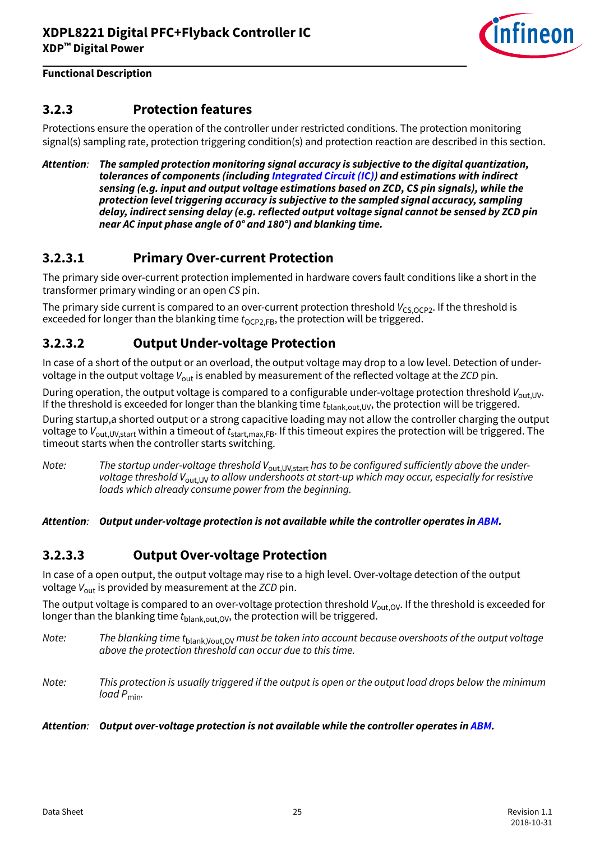

### <span id="page-24-0"></span>**3.2.3 Protection features**

Protections ensure the operation of the controller under restricted conditions. The protection monitoring signal(s) sampling rate, protection triggering condition(s) and protection reaction are described in this section.

**Attention**: **The sampled protection monitoring signal accuracy is subjective to the digital quantization, tolerances of components (including [Integrated Circuit \(IC\)](#page-54-0)) and estimations with indirect sensing (e.g. input and output voltage estimations based on ZCD, CS pin signals), while the protection level triggering accuracy is subjective to the sampled signal accuracy, sampling delay, indirect sensing delay (e.g. reflected output voltage signal cannot be sensed by ZCD pin near AC input phase angle of 0° and 180°) and blanking time.**

### **3.2.3.1 Primary Over-current Protection**

The primary side over-current protection implemented in hardware covers fault conditions like a short in the transformer primary winding or an open CS pin.

The primary side current is compared to an over-current protection threshold  $V_{CS,OCP2}$ . If the threshold is exceeded for longer than the blanking time  $t_{OCP2,FB}$ , the protection will be triggered.

### **3.2.3.2 Output Under-voltage Protection**

In case of a short of the output or an overload, the output voltage may drop to a low level. Detection of undervoltage in the output voltage  $V_{\text{out}}$  is enabled by measurement of the reflected voltage at the ZCD pin.

During operation, the output voltage is compared to a configurable under-voltage protection threshold V<sub>out,UV</sub>. If the threshold is exceeded for longer than the blanking time  $t_{\text{blank.out.UV}}$ , the protection will be triggered. During startup,a shorted output or a strong capacitive loading may not allow the controller charging the output voltage to  $V_{\text{out,UV,start}}$  within a timeout of  $t_{\text{start,max,FB}}$ . If this timeout expires the protection will be triggered. The timeout starts when the controller starts switching.

Note: The startup under-voltage threshold  $V_{\text{out,UV,start}}$  has to be configured sufficiently above the undervoltage threshold  $V_{\text{out,UV}}$  to allow undershoots at start-up which may occur, especially for resistive loads which already consume power from the beginning.

**Attention**: **Output under-voltage protection is not available while the controller operates in [ABM](#page-52-0).**

### **3.2.3.3 Output Over-voltage Protection**

In case of a open output, the output voltage may rise to a high level. Over-voltage detection of the output voltage  $V_{\text{out}}$  is provided by measurement at the ZCD pin.

The output voltage is compared to an over-voltage protection threshold  $V_{\text{out,OV}}$ . If the threshold is exceeded for longer than the blanking time  $t_{\text{blank.out.OV}}$ , the protection will be triggered.

Note: The blanking time t<sub>blank</sub>, Vout, OV must be taken into account because overshoots of the output voltage above the protection threshold can occur due to this time.

Note: This protection is usually triggered if the output is open or the output load drops below the minimum  $load$   $P_{min}$ .

#### **Attention**: **Output over-voltage protection is not available while the controller operates in [ABM](#page-52-0).**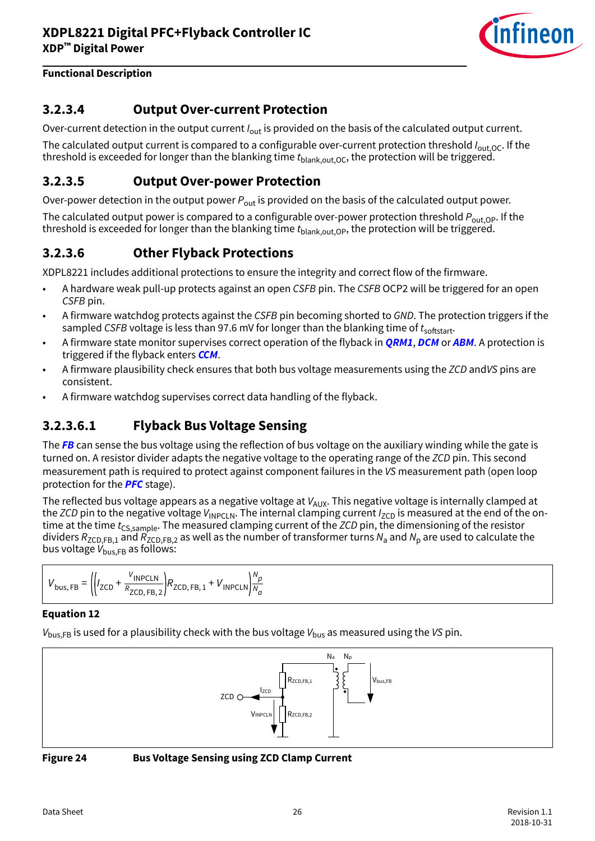

### <span id="page-25-0"></span>**3.2.3.4 Output Over-current Protection**

Over-current detection in the output current  $I_{\text{out}}$  is provided on the basis of the calculated output current.

The calculated output current is compared to a configurable over-current protection threshold  $I_{\text{out,OC}}$ . If the threshold is exceeded for longer than the blanking time  $t_{\text{blank,out,OC}}$ , the protection will be triggered.

### **3.2.3.5 Output Over-power Protection**

Over-power detection in the output power  $P_{\text{out}}$  is provided on the basis of the calculated output power.

The calculated output power is compared to a configurable over-power protection threshold  $P_{\text{out,OP}}$ . If the threshold is exceeded for longer than the blanking time  $t_{\text{blank,out,Opt}}$ , the protection will be triggered.

### **3.2.3.6 Other Flyback Protections**

XDPL8221 includes additional protections to ensure the integrity and correct flow of the firmware.

- A hardware weak pull-up protects against an open CSFB pin. The CSFB OCP2 will be triggered for an open CSFB pin.
- A firmware watchdog protects against the CSFB pin becoming shorted to GND. The protection triggers if the sampled CSFB voltage is less than 97.6 mV for longer than the blanking time of  $t_{\text{softstart}}$ .
- A firmware state monitor supervises correct operation of the flyback in **[QRM1](#page-55-0)**, **[DCM](#page-53-0)** or **[ABM](#page-52-0)**. A protection is triggered if the flyback enters **[CCM](#page-53-0)**.
- A firmware plausibility check ensures that both bus voltage measurements using the ZCD andVS pins are consistent.
- A firmware watchdog supervises correct data handling of the flyback.

### **3.2.3.6.1 Flyback Bus Voltage Sensing**

The **[FB](#page-53-0)** can sense the bus voltage using the reflection of bus voltage on the auxiliary winding while the gate is turned on. A resistor divider adapts the negative voltage to the operating range of the ZCD pin. This second measurement path is required to protect against component failures in the VS measurement path (open loop protection for the **[PFC](#page-54-0)** stage).

The reflected bus voltage appears as a negative voltage at  $V_{AUX}$ . This negative voltage is internally clamped at the ZCD pin to the negative voltage  $V_{\text{INPCLN}}$ . The internal clamping current  $I_{\text{ZCD}}$  is measured at the end of the ontime at the time  $t_{CS,sample}$ . The measured clamping current of the ZCD pin, the dimensioning of the resistor dividers  $R_{\sf ZCD,FB,1}$  and  $R_{\sf ZCD,FB,2}$  as well as the number of transformer turns  $N_{\sf a}$  and  $N_{\sf p}$  are used to calculate the bus voltage  $V_{\text{bus,FB}}$  as follows:

$$
V_{\text{bus, FB}} = \left( \left| I_{\text{ZCD}} + \frac{V_{\text{INPCLN}}}{R_{\text{ZCD, FB, 2}}} \right| R_{\text{ZCD, FB, 1}} + V_{\text{INPCLN}} \right) \frac{N_p}{N_a}
$$

#### **Equation 12**

 $V_{\text{bus,FB}}$  is used for a plausibility check with the bus voltage  $V_{\text{bus}}$  as measured using the VS pin.



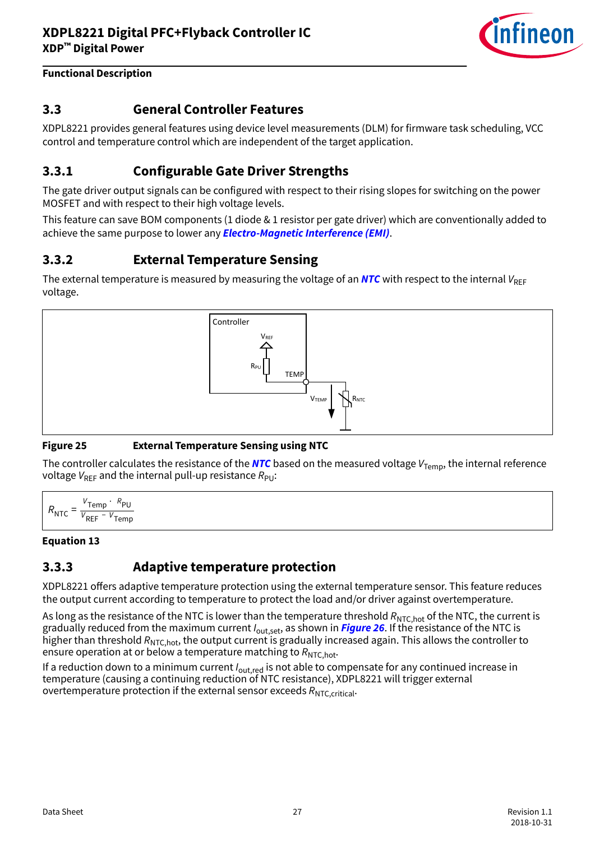

### <span id="page-26-0"></span>**3.3 General Controller Features**

XDPL8221 provides general features using device level measurements (DLM) for firmware task scheduling, VCC control and temperature control which are independent of the target application.

### **3.3.1 Configurable Gate Driver Strengths**

The gate driver output signals can be configured with respect to their rising slopes for switching on the power MOSFET and with respect to their high voltage levels.

This feature can save BOM components (1 diode & 1 resistor per gate driver) which are conventionally added to achieve the same purpose to lower any **[Electro-Magnetic Interference \(EMI\)](#page-53-0)**.

### **3.3.2 External Temperature Sensing**

The external temperature is measured by measuring the voltage of an **[NTC](#page-54-0)** with respect to the internal  $V_{BFF}$ voltage.



#### **Figure 25 External Temperature Sensing using NTC**

The controller calculates the resistance of the **[NTC](#page-54-0)** based on the measured voltage  $V_{Temp}$ , the internal reference voltage  $V_{\text{RFF}}$  and the internal pull-up resistance  $R_{\text{PI}}$ :

$$
R_{\text{NTC}} = \frac{V_{\text{Temp}} \cdot R_{\text{PU}}}{V_{\text{REF}} - V_{\text{Temp}}}
$$

#### **Equation 13**

### **3.3.3 Adaptive temperature protection**

XDPL8221 offers adaptive temperature protection using the external temperature sensor. This feature reduces the output current according to temperature to protect the load and/or driver against overtemperature.

As long as the resistance of the NTC is lower than the temperature threshold  $R_{\text{NTC,hot}}$  of the NTC, the current is gradually reduced from the maximum current I<sub>out, set</sub>, as shown in **[Figure 26](#page-27-0)**. If the resistance of the NTC is higher than threshold  $R_{NTC,hot}$ , the output current is gradually increased again. This allows the controller to ensure operation at or below a temperature matching to  $R_{\text{NTC hot}}$ .

If a reduction down to a minimum current  $I_{\text{out,red}}$  is not able to compensate for any continued increase in temperature (causing a continuing reduction of NTC resistance), XDPL8221 will trigger external overtemperature protection if the external sensor exceeds  $R_{\text{NTC},\text{critical}}$ .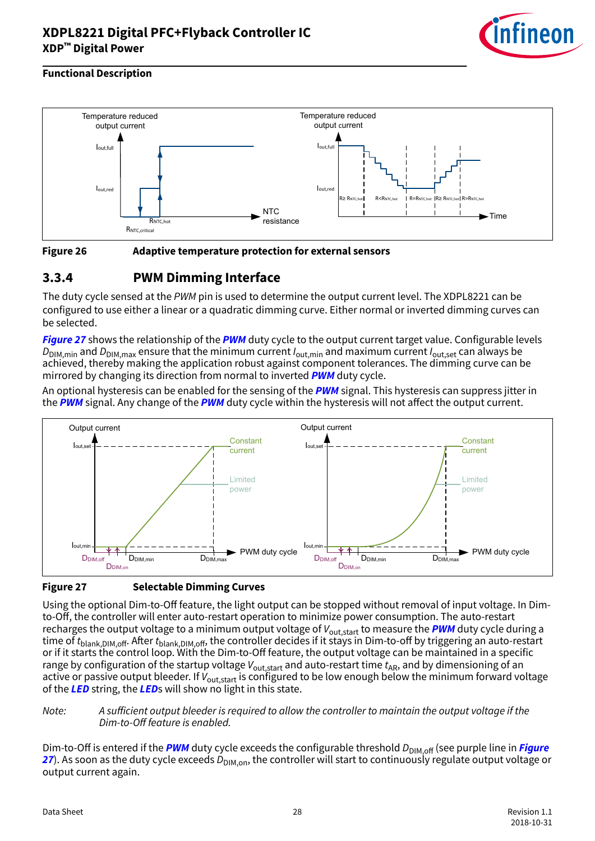

#### <span id="page-27-0"></span>**Functional Description**





### **3.3.4 PWM Dimming Interface**

The duty cycle sensed at the PWM pin is used to determine the output current level. The XDPL8221 can be configured to use either a linear or a quadratic dimming curve. Either normal or inverted dimming curves can be selected.

**Figure 27** shows the relationship of the **[PWM](#page-54-0)** duty cycle to the output current target value. Configurable levels  $D_{\text{DIM,min}}$  and  $D_{\text{DIM,max}}$  ensure that the minimum current  $I_{\text{out,min}}$  and maximum current  $I_{\text{out.set}}$  can always be achieved, thereby making the application robust against component tolerances. The dimming curve can be mirrored by changing its direction from normal to inverted **[PWM](#page-54-0)** duty cycle.

An optional hysteresis can be enabled for the sensing of the **[PWM](#page-54-0)** signal. This hysteresis can suppress jitter in the **[PWM](#page-54-0)** signal. Any change of the **PWM** duty cycle within the hysteresis will not affect the output current.



#### **Figure 27 Selectable Dimming Curves**

Using the optional Dim-to-Off feature, the light output can be stopped without removal of input voltage. In Dimto-Off, the controller will enter auto-restart operation to minimize power consumption. The auto-restart recharges the output voltage to a minimum output voltage of V<sub>out,start</sub> to measure the **[PWM](#page-54-0)** duty cycle during a time of  $t_{\text{blank,DIM,off}}$ . After  $t_{\text{blank,DIM,off}}$ , the controller decides if it stays in Dim-to-off by triggering an auto-restart or if it starts the control loop. With the Dim-to-Off feature, the output voltage can be maintained in a specific range by configuration of the startup voltage  $V_{\text{out.start}}$  and auto-restart time  $t_{AR}$ , and by dimensioning of an active or passive output bleeder. If  $V_{\text{out,start}}$  is configured to be low enough below the minimum forward voltage of the **[LED](#page-54-0)** string, the **[LED](#page-54-0)**s will show no light in this state.

#### Note: A sufficient output bleeder is required to allow the controller to maintain the output voltage if the Dim-to-Off feature is enabled.

Dim-to-Off is entered if the **[PWM](#page-54-0)** duty cycle exceeds the configurable threshold D<sub>DIM.off</sub> (see purple line in *Figure* **27**). As soon as the duty cycle exceeds D<sub>DIM.on</sub>, the controller will start to continuously regulate output voltage or output current again.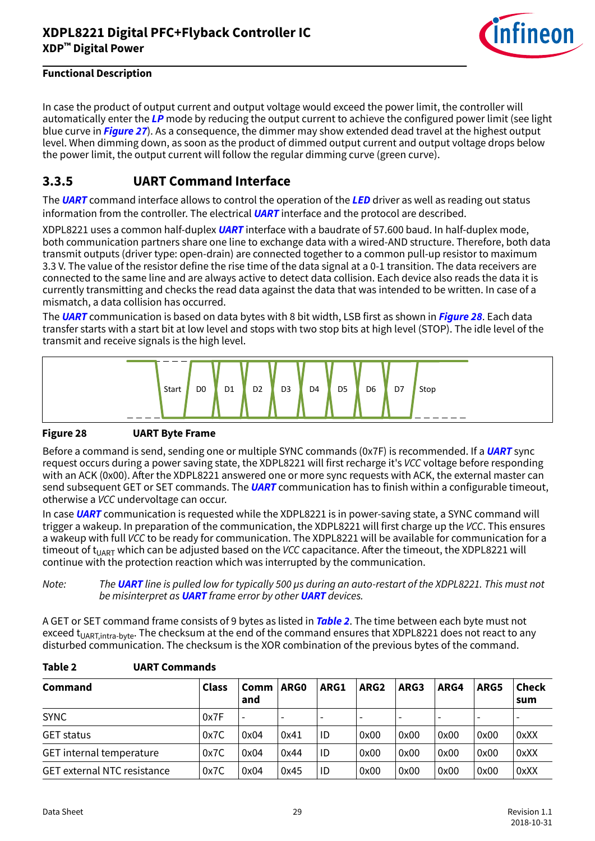

<span id="page-28-0"></span>In case the product of output current and output voltage would exceed the power limit, the controller will automatically enter the **[LP](#page-54-0)** mode by reducing the output current to achieve the configured power limit (see light blue curve in **[Figure 27](#page-27-0)**). As a consequence, the dimmer may show extended dead travel at the highest output level. When dimming down, as soon as the product of dimmed output current and output voltage drops below the power limit, the output current will follow the regular dimming curve (green curve).

### **3.3.5 UART Command Interface**

The **[UART](#page-55-0)** command interface allows to control the operation of the **[LED](#page-54-0)** driver as well as reading out status information from the controller. The electrical **[UART](#page-55-0)** interface and the protocol are described.

XDPL8221 uses a common half-duplex **[UART](#page-55-0)** interface with a baudrate of 57.600 baud. In half-duplex mode, both communication partners share one line to exchange data with a wired-AND structure. Therefore, both data transmit outputs (driver type: open-drain) are connected together to a common pull-up resistor to maximum 3.3 V. The value of the resistor define the rise time of the data signal at a 0-1 transition. The data receivers are connected to the same line and are always active to detect data collision. Each device also reads the data it is currently transmitting and checks the read data against the data that was intended to be written. In case of a mismatch, a data collision has occurred.

The **[UART](#page-55-0)** communication is based on data bytes with 8 bit width, LSB first as shown in **Figure 28**. Each data transfer starts with a start bit at low level and stops with two stop bits at high level (STOP). The idle level of the transmit and receive signals is the high level.



#### **Figure 28 UART Byte Frame**

Before a command is send, sending one or multiple SYNC commands (0x7F) is recommended. If a **[UART](#page-55-0)** sync request occurs during a power saving state, the XDPL8221 will first recharge it's VCC voltage before responding with an ACK (0x00). After the XDPL8221 answered one or more sync requests with ACK, the external master can send subsequent GET or SET commands. The **[UART](#page-55-0)** communication has to finish within a configurable timeout, otherwise a VCC undervoltage can occur.

In case **[UART](#page-55-0)** communication is requested while the XDPL8221 is in power-saving state, a SYNC command will trigger a wakeup. In preparation of the communication, the XDPL8221 will first charge up the VCC. This ensures a wakeup with full VCC to be ready for communication. The XDPL8221 will be available for communication for a timeout of t<sub>UART</sub> which can be adjusted based on the VCC capacitance. After the timeout, the XDPL8221 will continue with the protection reaction which was interrupted by the communication.

Note: The **[UART](#page-55-0)** line is pulled low for typically 500 µs during an auto-restart of the XDPL8221. This must not be misinterpret as **[UART](#page-55-0)** frame error by other **[UART](#page-55-0)** devices.

A GET or SET command frame consists of 9 bytes as listed in **Table 2**. The time between each byte must not exceed t<sub>UART, intra-byte</sub>. The checksum at the end of the command ensures that XDPL8221 does not react to any disturbed communication. The checksum is the XOR combination of the previous bytes of the command.

| <b>Command</b>                     | <b>Class</b> | Comm<br>and | ARG0 | ARG1 | ARG <sub>2</sub>         | ARG3                     | ARG4 | ARG5 | <b>Check</b><br>sum      |
|------------------------------------|--------------|-------------|------|------|--------------------------|--------------------------|------|------|--------------------------|
| <b>SYNC</b>                        | 0x7F         |             |      |      | $\overline{\phantom{0}}$ | $\overline{\phantom{0}}$ |      |      | $\overline{\phantom{0}}$ |
| <b>GET status</b>                  | 0x7C         | 0x04        | 0x41 | ID   | 0x00                     | 0x00                     | 0x00 | 0x00 | 0xXX                     |
| GET internal temperature           | 0x7C         | 0x04        | 0x44 | ID   | 0x00                     | 0x00                     | 0x00 | 0x00 | 0xXX                     |
| <b>GET external NTC resistance</b> | 0x7C         | 0x04        | 0x45 | ID   | 0x00                     | 0x00                     | 0x00 | 0x00 | 0xXX                     |

#### **Table 2 UART Commands**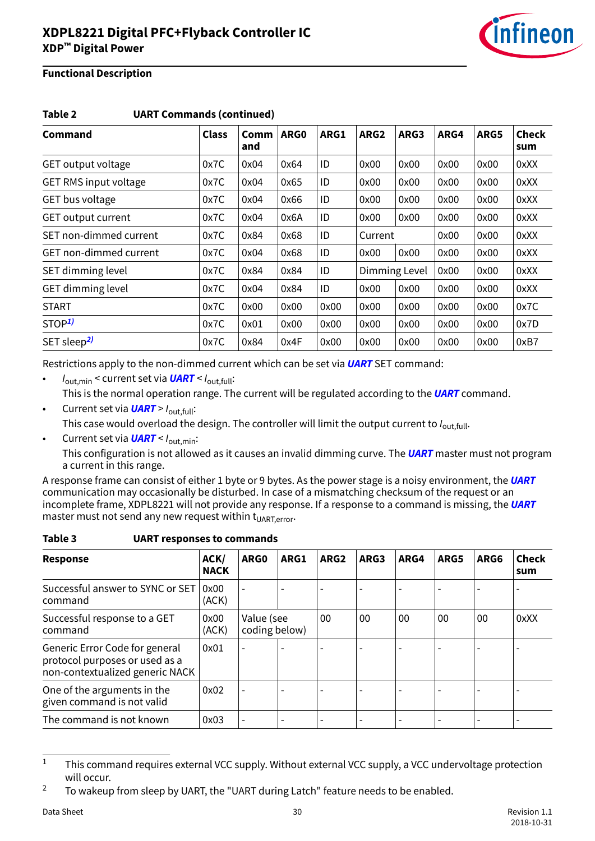

| Table 2<br><b>UART Commands (continued)</b> |              |             |      |      |                  |               |      |      |                     |
|---------------------------------------------|--------------|-------------|------|------|------------------|---------------|------|------|---------------------|
| Command                                     | <b>Class</b> | Comm<br>and | ARG0 | ARG1 | ARG <sub>2</sub> | ARG3          | ARG4 | ARG5 | <b>Check</b><br>sum |
| GET output voltage                          | 0x7C         | 0x04        | 0x64 | ID   | 0x00             | 0x00          | 0x00 | 0x00 | 0xXX                |
| <b>GET RMS input voltage</b>                | 0x7C         | 0x04        | 0x65 | ID   | 0x00             | 0x00          | 0x00 | 0x00 | 0xXX                |
| GET bus voltage                             | 0x7C         | 0x04        | 0x66 | ID   | 0x00             | 0x00          | 0x00 | 0x00 | 0xXX                |
| <b>GET output current</b>                   | 0x7C         | 0x04        | 0x6A | ID   | 0x00             | 0x00          | 0x00 | 0x00 | 0xXX                |
| SET non-dimmed current                      | 0x7C         | 0x84        | 0x68 | ID   | Current          |               | 0x00 | 0x00 | 0xXX                |
| <b>GET non-dimmed current</b>               | 0x7C         | 0x04        | 0x68 | ID   | 0x00             | 0x00          | 0x00 | 0x00 | 0xXX                |
| SET dimming level                           | 0x7C         | 0x84        | 0x84 | ID   |                  | Dimming Level | 0x00 | 0x00 | 0xXX                |
| <b>GET dimming level</b>                    | 0x7C         | 0x04        | 0x84 | ID   | 0x00             | 0x00          | 0x00 | 0x00 | 0xXX                |
| <b>START</b>                                | 0x7C         | 0x00        | 0x00 | 0x00 | 0x00             | 0x00          | 0x00 | 0x00 | 0x7C                |
| STOP <sup>1</sup>                           | 0x7C         | 0x01        | 0x00 | 0x00 | 0x00             | 0x00          | 0x00 | 0x00 | 0x7D                |
| SET sleep <sup>2)</sup>                     | 0x7C         | 0x84        | 0x4F | 0x00 | 0x00             | 0x00          | 0x00 | 0x00 | 0xB7                |

Restrictions apply to the non-dimmed current which can be set via **[UART](#page-55-0)** SET command:

- Iout,min < current set via **[UART](#page-55-0)** < Iout,full: This is the normal operation range. The current will be regulated according to the **[UART](#page-55-0)** command.
- Current set via  $UART > I_{\text{out-full}}$  $UART > I_{\text{out-full}}$ : This case would overload the design. The controller will limit the output current to  $I_{\text{out-full}}$ .
- Current set via **[UART](#page-55-0)** <  $I_{\text{out,min}}$ :

This configuration is not allowed as it causes an invalid dimming curve. The **[UART](#page-55-0)** master must not program a current in this range.

A response frame can consist of either 1 byte or 9 bytes. As the power stage is a noisy environment, the **[UART](#page-55-0)** communication may occasionally be disturbed. In case of a mismatching checksum of the request or an incomplete frame, XDPL8221 will not provide any response. If a response to a command is missing, the **[UART](#page-55-0)** master must not send any new request within  $t_{\text{UART_error}}$ .

| <b>UART responses to commands</b><br>Table 3 |  |  |  |  |  |  |
|----------------------------------------------|--|--|--|--|--|--|
|----------------------------------------------|--|--|--|--|--|--|

| <b>Response</b>                                                                                     | ACK/<br><b>NACK</b> | ARG0                        | ARG1 | ARG <sub>2</sub> | ARG3 | ARG4 | ARG5 | ARG6 | <b>Check</b><br>sum |
|-----------------------------------------------------------------------------------------------------|---------------------|-----------------------------|------|------------------|------|------|------|------|---------------------|
| Successful answer to SYNC or SET<br>command                                                         | 0x00<br>(ACK)       |                             |      |                  |      |      |      |      |                     |
| Successful response to a GET<br>command                                                             | 0x00<br>(ACK)       | Value (see<br>coding below) |      | 00               | 00   | 00   | 00   | 00   | 0xXX                |
| Generic Error Code for general<br>protocol purposes or used as a<br>non-contextualized generic NACK | 0x01                |                             |      |                  |      |      |      |      |                     |
| One of the arguments in the<br>given command is not valid                                           | 0x02                |                             |      |                  |      |      |      |      |                     |
| The command is not known                                                                            | 0x03                |                             |      |                  |      |      |      |      |                     |

<sup>&</sup>lt;sup>1</sup> This command requires external VCC supply. Without external VCC supply, a VCC undervoltage protection will occur.

<sup>&</sup>lt;sup>2</sup> To wakeup from sleep by UART, the "UART during Latch" feature needs to be enabled.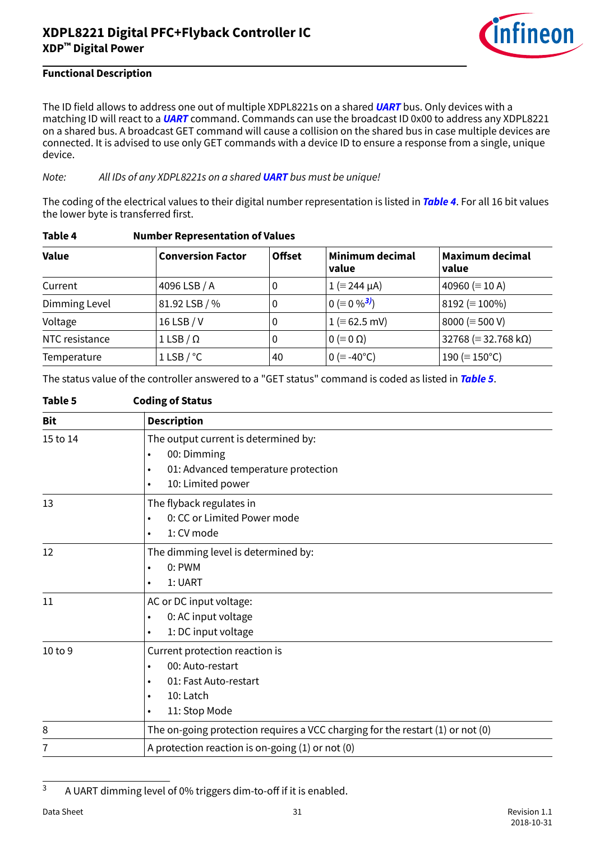

### <span id="page-30-0"></span>**Functional Description**

The ID field allows to address one out of multiple XDPL8221s on a shared **[UART](#page-55-0)** bus. Only devices with a matching ID will react to a **[UART](#page-55-0)** command. Commands can use the broadcast ID 0x00 to address any XDPL8221 on a shared bus. A broadcast GET command will cause a collision on the shared bus in case multiple devices are connected. It is advised to use only GET commands with a device ID to ensure a response from a single, unique device.

Note: All IDs of any XDPL8221s on a shared **[UART](#page-55-0)** bus must be unique!

The coding of the electrical values to their digital number representation is listed in **Table 4**. For all 16 bit values the lower byte is transferred first.

| <b>Value</b>   | <b>Conversion Factor</b> | <b>Offset</b> | <b>Minimum decimal</b><br>value | <b>Maximum decimal</b><br>value        |
|----------------|--------------------------|---------------|---------------------------------|----------------------------------------|
| Current        | 4096 LSB / A             | 0             | $1 (= 244 \mu A)$               | 40960 ( $\equiv$ 10 A)                 |
| Dimming Level  | 81.92 LSB / %            | 0             | $0 (= 0 \%^{3})$                | 8192 ( $\equiv$ 100%)                  |
| Voltage        | 16 LSB / V               | 0             | $1 (= 62.5 \text{ mV})$         | 8000 ( $\equiv$ 500 V)                 |
| NTC resistance | $1$ LSB / $\Omega$       | 0             | $0 \equiv 0 \Omega$             | $32768 \approx 32.768 \text{ k}\Omega$ |
| Temperature    | 1 LSB $/$ °C             | 40            | $0 (= -40^{\circ}C)$            | 190 ( $\equiv$ 150°C)                  |

#### **Table 4 Number Representation of Values**

The status value of the controller answered to a "GET status" command is coded as listed in **Table 5**.

| Table 5    | <b>Coding of Status</b>                                                                                                                                       |
|------------|---------------------------------------------------------------------------------------------------------------------------------------------------------------|
| <b>Bit</b> | <b>Description</b>                                                                                                                                            |
| 15 to 14   | The output current is determined by:<br>00: Dimming<br>$\bullet$<br>01: Advanced temperature protection<br>$\bullet$<br>10: Limited power<br>$\bullet$        |
| 13         | The flyback regulates in<br>0: CC or Limited Power mode<br>$\bullet$<br>1: CV mode<br>$\bullet$                                                               |
| 12         | The dimming level is determined by:<br>$0:$ PWM<br>$\bullet$<br>1: UART<br>$\bullet$                                                                          |
| 11         | AC or DC input voltage:<br>0: AC input voltage<br>$\bullet$<br>1: DC input voltage<br>$\bullet$                                                               |
| 10 to 9    | Current protection reaction is<br>00: Auto-restart<br>$\bullet$<br>01: Fast Auto-restart<br>$\bullet$<br>10: Latch<br>$\bullet$<br>11: Stop Mode<br>$\bullet$ |
| 8          | The on-going protection requires a VCC charging for the restart (1) or not (0)                                                                                |
| 7          | A protection reaction is on-going $(1)$ or not $(0)$                                                                                                          |

<sup>3</sup> A UART dimming level of 0% triggers dim-to-off if it is enabled.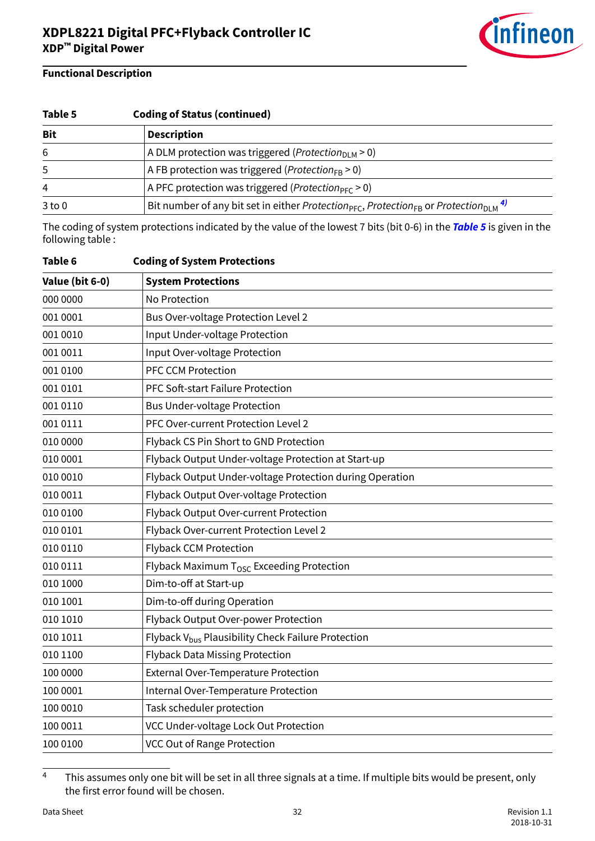

| Table 5    | <b>Coding of Status (continued)</b>                                                                                                 |  |  |  |  |  |  |
|------------|-------------------------------------------------------------------------------------------------------------------------------------|--|--|--|--|--|--|
| <b>Bit</b> | <b>Description</b>                                                                                                                  |  |  |  |  |  |  |
| 6          | A DLM protection was triggered ( <i>Protection</i> <sub>DLM</sub> > 0)                                                              |  |  |  |  |  |  |
| 5          | A FB protection was triggered ( <i>Protection</i> <sub>FB</sub> > 0)                                                                |  |  |  |  |  |  |
| 4          | A PFC protection was triggered ( <i>Protection</i> <sub>PFC</sub> $> 0$ )                                                           |  |  |  |  |  |  |
| $3$ to $0$ | Bit number of any bit set in either Protection <sub>PFC</sub> , Protection <sub>FB</sub> or Protection <sub>DLM</sub> <sup>4)</sup> |  |  |  |  |  |  |

The coding of system protections indicated by the value of the lowest 7 bits (bit 0-6) in the **[Table 5](#page-30-0)** is given in the following table :

| Table 6         | <b>Coding of System Protections</b>                            |
|-----------------|----------------------------------------------------------------|
| Value (bit 6-0) | <b>System Protections</b>                                      |
| 000 0000        | No Protection                                                  |
| 001 0001        | <b>Bus Over-voltage Protection Level 2</b>                     |
| 001 0010        | Input Under-voltage Protection                                 |
| 001 0011        | Input Over-voltage Protection                                  |
| 001 0100        | <b>PFC CCM Protection</b>                                      |
| 001 0101        | PFC Soft-start Failure Protection                              |
| 001 0110        | <b>Bus Under-voltage Protection</b>                            |
| 001 0111        | PFC Over-current Protection Level 2                            |
| 010 0000        | Flyback CS Pin Short to GND Protection                         |
| 010 0001        | Flyback Output Under-voltage Protection at Start-up            |
| 010 0010        | Flyback Output Under-voltage Protection during Operation       |
| 010 0011        | Flyback Output Over-voltage Protection                         |
| 010 0100        | Flyback Output Over-current Protection                         |
| 010 0101        | Flyback Over-current Protection Level 2                        |
| 010 0110        | <b>Flyback CCM Protection</b>                                  |
| 010 0111        | Flyback Maximum T <sub>OSC</sub> Exceeding Protection          |
| 010 1000        | Dim-to-off at Start-up                                         |
| 010 1001        | Dim-to-off during Operation                                    |
| 010 1010        | Flyback Output Over-power Protection                           |
| 010 1011        | Flyback V <sub>bus</sub> Plausibility Check Failure Protection |
| 010 1100        | <b>Flyback Data Missing Protection</b>                         |
| 100 0000        | <b>External Over-Temperature Protection</b>                    |
| 100 0001        | Internal Over-Temperature Protection                           |
| 100 0010        | Task scheduler protection                                      |
| 100 0011        | VCC Under-voltage Lock Out Protection                          |
| 100 0100        | <b>VCC Out of Range Protection</b>                             |

 $\frac{4}{100}$  This assumes only one bit will be set in all three signals at a time. If multiple bits would be present, only the first error found will be chosen.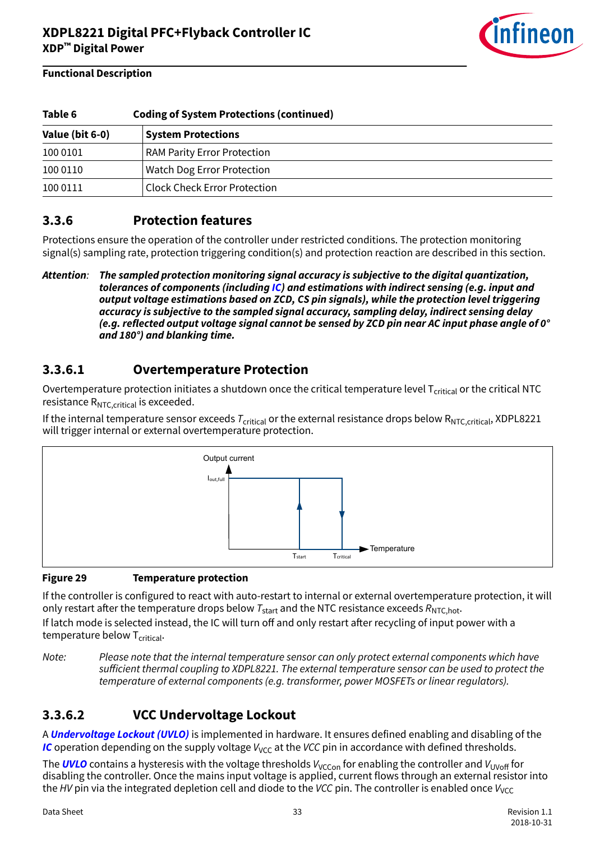

<span id="page-32-0"></span>

| Table 6         | <b>Coding of System Protections (continued)</b> |
|-----------------|-------------------------------------------------|
| Value (bit 6-0) | <b>System Protections</b>                       |
| 100 0101        | <b>RAM Parity Error Protection</b>              |
| 100 0110        | <b>Watch Dog Error Protection</b>               |
| 100 0111        | <b>Clock Check Error Protection</b>             |

### **3.3.6 Protection features**

Protections ensure the operation of the controller under restricted conditions. The protection monitoring signal(s) sampling rate, protection triggering condition(s) and protection reaction are described in this section.

### **3.3.6.1 Overtemperature Protection**

Overtemperature protection initiates a shutdown once the critical temperature level  $T_{critical}$  or the critical NTC resistance  $R_{NTC, critical}$  is exceeded.

If the internal temperature sensor exceeds  $T_{\text{critical}}$  or the external resistance drops below  $R_{\text{NTC},\text{critical}}$ , XDPL8221 will trigger internal or external overtemperature protection.



#### **Figure 29 Temperature protection**

If the controller is configured to react with auto-restart to internal or external overtemperature protection, it will only restart after the temperature drops below  $T_{\text{start}}$  and the NTC resistance exceeds  $R_{\text{NTC,hot}}$ . If latch mode is selected instead, the IC will turn off and only restart after recycling of input power with a temperature below  $T_{critical}$ .

Note: Please note that the internal temperature sensor can only protect external components which have sufficient thermal coupling to XDPL8221. The external temperature sensor can be used to protect the temperature of external components (e.g. transformer, power MOSFETs or linear regulators).

### **3.3.6.2 VCC Undervoltage Lockout**

A **[Undervoltage Lockout \(UVLO\)](#page-55-0)** is implemented in hardware. It ensures defined enabling and disabling of the **[IC](#page-54-0)** operation depending on the supply voltage  $V_{VCC}$  at the VCC pin in accordance with defined thresholds.

The **[UVLO](#page-55-0)** contains a hysteresis with the voltage thresholds  $V_{VCCon}$  for enabling the controller and  $V_{UVoff}$  for disabling the controller. Once the mains input voltage is applied, current flows through an external resistor into the HV pin via the integrated depletion cell and diode to the VCC pin. The controller is enabled once  $V_{\text{VCC}}$ 

**Attention**: **The sampled protection monitoring signal accuracy is subjective to the digital quantization, tolerances of components (including [IC\)](#page-54-0) and estimations with indirect sensing (e.g. input and output voltage estimations based on ZCD, CS pin signals), while the protection level triggering accuracy is subjective to the sampled signal accuracy, sampling delay, indirect sensing delay (e.g. reflected output voltage signal cannot be sensed by ZCD pin near AC input phase angle of 0° and 180°) and blanking time.**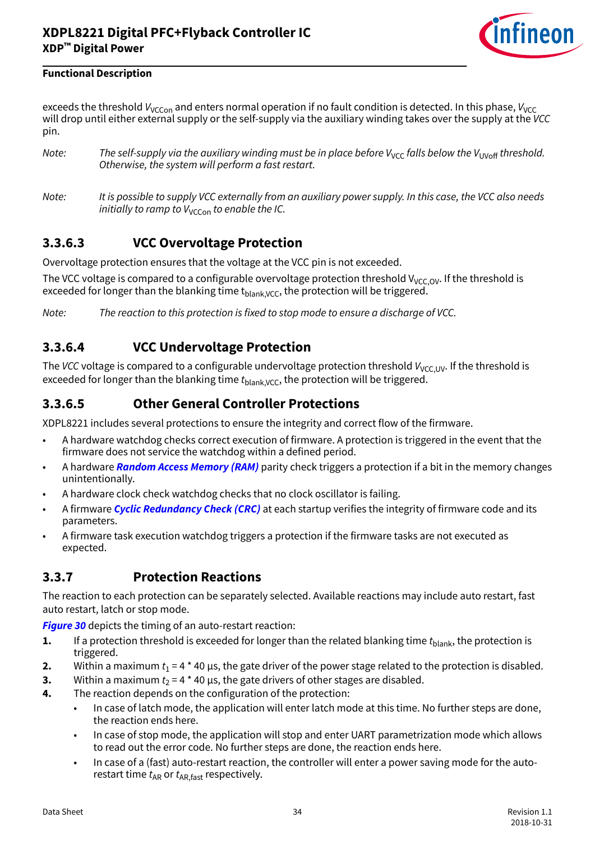

<span id="page-33-0"></span>exceeds the threshold  $V_{VCCon}$  and enters normal operation if no fault condition is detected. In this phase,  $V_{VCC}$ will drop until either external supply or the self-supply via the auxiliary winding takes over the supply at the VCC pin.

- Note: The self-supply via the auxiliary winding must be in place before  $V_{VCC}$  falls below the  $V_{UVOH}$  threshold. Otherwise, the system will perform a fast restart.
- Note: It is possible to supply VCC externally from an auxiliary power supply. In this case, the VCC also needs initially to ramp to  $V_{VCCon}$  to enable the IC.

### **3.3.6.3 VCC Overvoltage Protection**

Overvoltage protection ensures that the voltage at the VCC pin is not exceeded.

The VCC voltage is compared to a configurable overvoltage protection threshold V<sub>VCC OV</sub>. If the threshold is exceeded for longer than the blanking time t<sub>hlank</sub>  $V_{\text{C}}$ , the protection will be triggered.

Note: The reaction to this protection is fixed to stop mode to ensure a discharge of VCC.

### **3.3.6.4 VCC Undervoltage Protection**

The VCC voltage is compared to a configurable undervoltage protection threshold  $V_{VCC,UV}$ . If the threshold is exceeded for longer than the blanking time  $t_{\text{blank VCC}}$ , the protection will be triggered.

### **3.3.6.5 Other General Controller Protections**

XDPL8221 includes several protections to ensure the integrity and correct flow of the firmware.

- A hardware watchdog checks correct execution of firmware. A protection is triggered in the event that the firmware does not service the watchdog within a defined period.
- A hardware **[Random Access Memory \(RAM\)](#page-55-0)** parity check triggers a protection if a bit in the memory changes unintentionally.
- A hardware clock check watchdog checks that no clock oscillator is failing.
- A firmware **[Cyclic Redundancy Check \(CRC\)](#page-53-0)** at each startup verifies the integrity of firmware code and its parameters.
- A firmware task execution watchdog triggers a protection if the firmware tasks are not executed as expected.

### **3.3.7 Protection Reactions**

The reaction to each protection can be separately selected. Available reactions may include auto restart, fast auto restart, latch or stop mode.

**[Figure 30](#page-34-0)** depicts the timing of an auto-restart reaction:

- **1.** If a protection threshold is exceeded for longer than the related blanking time  $t_{\text{blank}}$ , the protection is triggered.
- **2.** Within a maximum  $t_1$  = 4 \* 40 µs, the gate driver of the power stage related to the protection is disabled.
- **3.** Within a maximum  $t_2$  = 4  $*$  40  $\mu$ s, the gate drivers of other stages are disabled.
- **4.** The reaction depends on the configuration of the protection:
	- In case of latch mode, the application will enter latch mode at this time. No further steps are done, the reaction ends here.
	- In case of stop mode, the application will stop and enter UART parametrization mode which allows to read out the error code. No further steps are done, the reaction ends here.
	- In case of a (fast) auto-restart reaction, the controller will enter a power saving mode for the autorestart time  $t_{AR}$  or  $t_{AR,fast}$  respectively.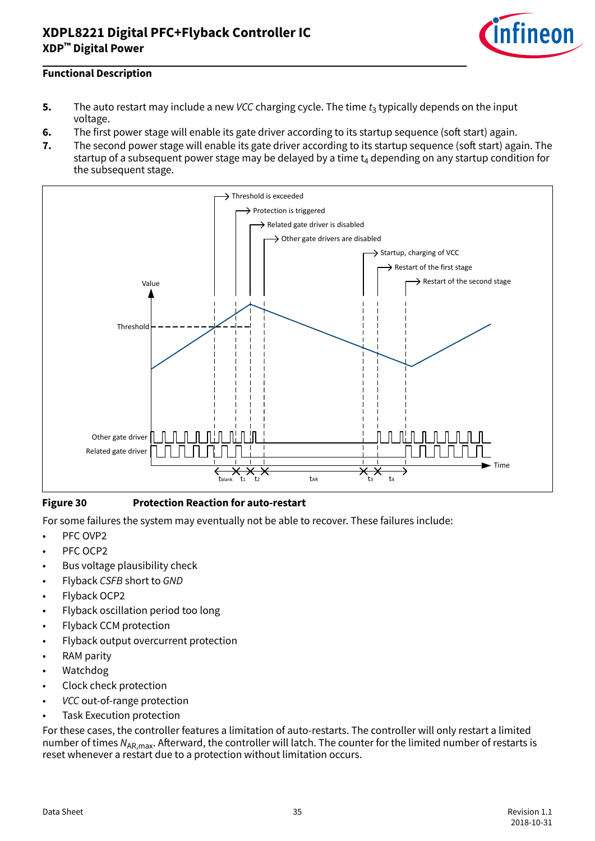

#### <span id="page-34-0"></span>**Functional Description**

- **5.** The auto restart may include a new *VCC* charging cycle. The time  $t_3$  typically depends on the input voltage.
- **6.** The first power stage will enable its gate driver according to its startup sequence (soft start) again.
- **7.** The second power stage will enable its gate driver according to its startup sequence (soft start) again. The startup of a subsequent power stage may be delayed by a time  $\mathsf{t}_4$  depending on any startup condition for the subsequent stage.



#### **Figure 30 Protection Reaction for auto-restart**

For some failures the system may eventually not be able to recover. These failures include:

- PFC OVP2
- PFC OCP2
- Bus voltage plausibility check
- Flyback CSFB short to GND
- Flyback OCP2
- Flyback oscillation period too long
- Flyback CCM protection
- Flyback output overcurrent protection
- RAM parity
- Watchdog
- Clock check protection
- VCC out-of-range protection
- Task Execution protection

For these cases, the controller features a limitation of auto-restarts. The controller will only restart a limited number of times  $N_{AR,max}$ . Afterward, the controller will latch. The counter for the limited number of restarts is reset whenever a restart due to a protection without limitation occurs.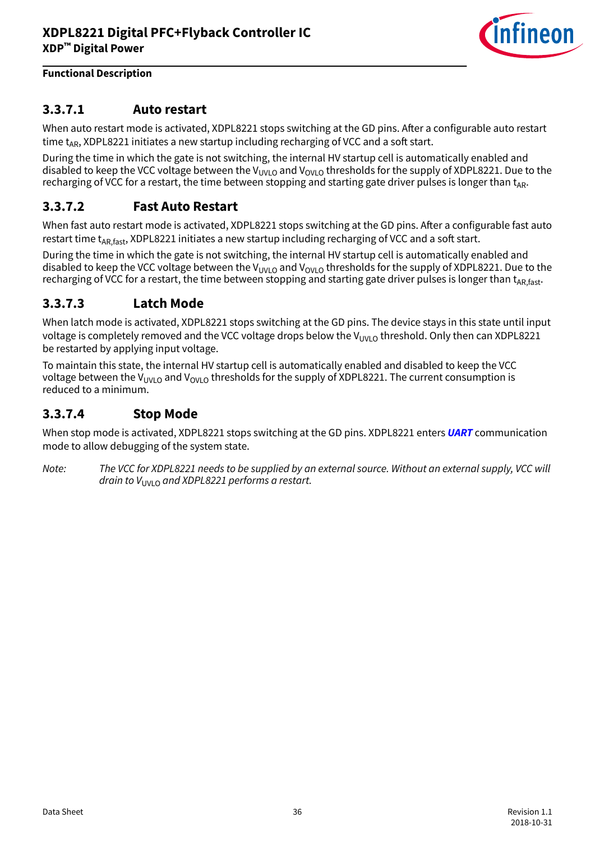

### <span id="page-35-0"></span>**3.3.7.1 Auto restart**

When auto restart mode is activated, XDPL8221 stops switching at the GD pins. After a configurable auto restart time  $t_{AR}$ , XDPL8221 initiates a new startup including recharging of VCC and a soft start.

During the time in which the gate is not switching, the internal HV startup cell is automatically enabled and disabled to keep the VCC voltage between the V<sub>UVLO</sub> and V<sub>OVLO</sub> thresholds for the supply of XDPL8221. Due to the recharging of VCC for a restart, the time between stopping and starting gate driver pulses is longer than  $t_{AR}$ .

### **3.3.7.2 Fast Auto Restart**

When fast auto restart mode is activated, XDPL8221 stops switching at the GD pins. After a configurable fast auto restart time t<sub>AR fast</sub>, XDPL8221 initiates a new startup including recharging of VCC and a soft start.

During the time in which the gate is not switching, the internal HV startup cell is automatically enabled and disabled to keep the VCC voltage between the V<sub>UVLO</sub> and V<sub>OVLO</sub> thresholds for the supply of XDPL8221. Due to the recharging of VCC for a restart, the time between stopping and starting gate driver pulses is longer than t<sub>AR fast</sub>.

### **3.3.7.3 Latch Mode**

When latch mode is activated, XDPL8221 stops switching at the GD pins. The device stays in this state until input voltage is completely removed and the VCC voltage drops below the V<sub>UVLO</sub> threshold. Only then can XDPL8221 be restarted by applying input voltage.

To maintain this state, the internal HV startup cell is automatically enabled and disabled to keep the VCC voltage between the V<sub>UVLO</sub> and V<sub>OVLO</sub> thresholds for the supply of XDPL8221. The current consumption is reduced to a minimum.

### **3.3.7.4 Stop Mode**

When stop mode is activated, XDPL8221 stops switching at the GD pins. XDPL8221 enters **[UART](#page-55-0)** communication mode to allow debugging of the system state.

Note: The VCC for XDPL8221 needs to be supplied by an external source. Without an external supply, VCC will drain to  $V_{UVLO}$  and XDPL8221 performs a restart.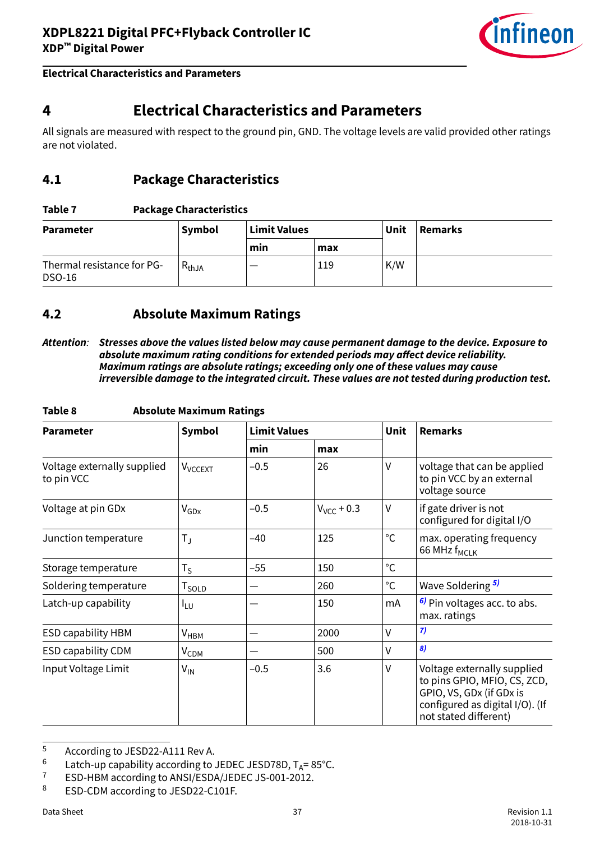

# <span id="page-36-0"></span>**4 Electrical Characteristics and Parameters**

All signals are measured with respect to the ground pin, GND. The voltage levels are valid provided other ratings are not violated.

### **4.1 Package Characteristics**

#### **Table 7 Package Characteristics**

| <b>Parameter</b>                            | Symbol     | <b>Limit Values</b> |     | Unit | <b>Remarks</b> |
|---------------------------------------------|------------|---------------------|-----|------|----------------|
|                                             |            | min                 | max |      |                |
| Thermal resistance for PG-<br><b>DSO-16</b> | $R_{thJA}$ |                     | 119 | K/W  |                |

### **4.2 Absolute Maximum Ratings**

**Attention**: **Stresses above the values listed below may cause permanent damage to the device. Exposure to** absolute maximum rating conditions for extended periods may affect device reliability. **Maximum ratings are absolute ratings; exceeding only one of these values may cause irreversible damage to the integrated circuit. These values are not tested during production test.**

| <b>Parameter</b>                          | Symbol                     | <b>Limit Values</b> |                 | Unit         | <b>Remarks</b>                                                                                                                                      |  |
|-------------------------------------------|----------------------------|---------------------|-----------------|--------------|-----------------------------------------------------------------------------------------------------------------------------------------------------|--|
|                                           |                            | min                 | max             |              |                                                                                                                                                     |  |
| Voltage externally supplied<br>to pin VCC | <b>V</b> <sub>VCCEXT</sub> | $-0.5$              | 26              | $\vee$       | voltage that can be applied<br>to pin VCC by an external<br>voltage source                                                                          |  |
| Voltage at pin GDx                        | $V_{GDx}$                  | $-0.5$              | $V_{VCC}$ + 0.3 | V            | if gate driver is not<br>configured for digital I/O                                                                                                 |  |
| Junction temperature                      | $T_{\rm J}$                | $-40$               | 125             | °C           | max. operating frequency<br>66 MHz f <sub>MCLK</sub>                                                                                                |  |
| Storage temperature                       | $T_S$                      | $-55$               | 150             | $^{\circ}C$  |                                                                                                                                                     |  |
| Soldering temperature                     | T <sub>SOLD</sub>          |                     | 260             | $^{\circ}$ C | Wave Soldering 5)                                                                                                                                   |  |
| Latch-up capability                       | <sup>I</sup> LU            |                     | 150             | mA           | <sup>6)</sup> Pin voltages acc. to abs.<br>max. ratings                                                                                             |  |
| <b>ESD capability HBM</b>                 | $V_{HBM}$                  |                     | 2000            | V            | 7)                                                                                                                                                  |  |
| <b>ESD capability CDM</b>                 | <b>V<sub>CDM</sub></b>     |                     | 500             | v            | 8)                                                                                                                                                  |  |
| Input Voltage Limit                       | $V_{IN}$                   | $-0.5$              | 3.6             | V            | Voltage externally supplied<br>to pins GPIO, MFIO, CS, ZCD,<br>GPIO, VS, GDx (if GDx is<br>configured as digital I/O). (If<br>not stated different) |  |

#### **Table 8 Absolute Maximum Ratings**

<sup>5</sup> According to JESD22-A111 Rev A.<br> $\frac{6}{1}$  Latch-up canability according to

<sup>&</sup>lt;sup>6</sup> Latch-up capability according to JEDEC JESD78D,  $T_A = 85^{\circ}$ C.<br><sup>7</sup> ESD-HBM according to ANSI/ESDA/JEDEC JS-001-2012

<sup>&</sup>lt;sup>7</sup> ESD-HBM according to ANSI/ESDA/JEDEC JS-001-2012.

ESD-CDM according to JESD22-C101F.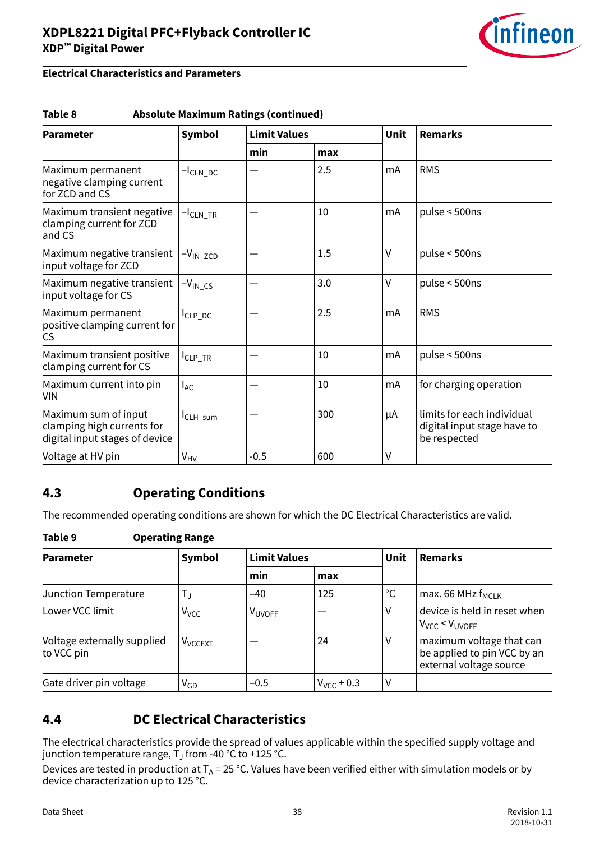

#### <span id="page-37-0"></span>**Electrical Characteristics and Parameters**

#### **Table 8 Absolute Maximum Ratings (continued)**

| <b>Parameter</b>                                                                     | <b>Symbol</b>          | <b>Limit Values</b> |     | Unit | <b>Remarks</b>                                                            |  |
|--------------------------------------------------------------------------------------|------------------------|---------------------|-----|------|---------------------------------------------------------------------------|--|
|                                                                                      |                        | min<br>max          |     |      |                                                                           |  |
| Maximum permanent<br>negative clamping current<br>for ZCD and CS                     | $-I_{CLN\_DC}$         |                     | 2.5 | mA   | <b>RMS</b>                                                                |  |
| Maximum transient negative<br>clamping current for ZCD<br>and CS                     | $-I$ <sub>CLN_TR</sub> |                     | 10  | mA   | pulse < 500ns                                                             |  |
| Maximum negative transient<br>input voltage for ZCD                                  | $-V_{IN\_ZCD}$         |                     | 1.5 | V    | pulse < 500ns                                                             |  |
| Maximum negative transient<br>input voltage for CS                                   | $-V_{IN\_CS}$          |                     | 3.0 | ٧    | pulse $<$ 500ns                                                           |  |
| Maximum permanent<br>positive clamping current for<br><b>CS</b>                      | I <sub>CLP_DC</sub>    |                     | 2.5 | mA   | <b>RMS</b>                                                                |  |
| Maximum transient positive<br>clamping current for CS                                | CLP_TR                 |                     | 10  | mA   | pulse $<$ 500ns                                                           |  |
| Maximum current into pin<br><b>VIN</b>                                               | l <sub>AC</sub>        |                     | 10  | mA   | for charging operation                                                    |  |
| Maximum sum of input<br>clamping high currents for<br>digital input stages of device | I <sub>CLH_sum</sub>   |                     | 300 | μA   | limits for each individual<br>digital input stage have to<br>be respected |  |
| Voltage at HV pin                                                                    | V <sub>HV</sub>        | $-0.5$              | 600 | V    |                                                                           |  |

### **4.3 Operating Conditions**

The recommended operating conditions are shown for which the DC Electrical Characteristics are valid.

#### **Table 9 Operating Range**

| <b>Parameter</b>                          | Symbol              | <b>Limit Values</b> |                 | Unit         | <b>Remarks</b>                                                                     |
|-------------------------------------------|---------------------|---------------------|-----------------|--------------|------------------------------------------------------------------------------------|
|                                           |                     | min                 | max             |              |                                                                                    |
| Junction Temperature                      | T」                  | $-40$               | 125             | $^{\circ}$ C | max. 66 MHz $f_{MCIK}$                                                             |
| Lower VCC limit                           | V <sub>VCC</sub>    | <b>VUVOFF</b>       |                 | v            | device is held in reset when<br>$V_{VCC}$ < $V_{UVOFF}$                            |
| Voltage externally supplied<br>to VCC pin | V <sub>VCCEXT</sub> |                     | 24              | V            | maximum voltage that can<br>be applied to pin VCC by an<br>external voltage source |
| Gate driver pin voltage                   | V <sub>GD</sub>     | $-0.5$              | $V_{VCC}$ + 0.3 | V            |                                                                                    |

### **4.4 DC Electrical Characteristics**

The electrical characteristics provide the spread of values applicable within the specified supply voltage and junction temperature range, T $_{\textrm{\scriptsize{J}}}$  from -40 °C to +125 °C.

Devices are tested in production at  $T_A = 25$  °C. Values have been verified either with simulation models or by device characterization up to 125 °C.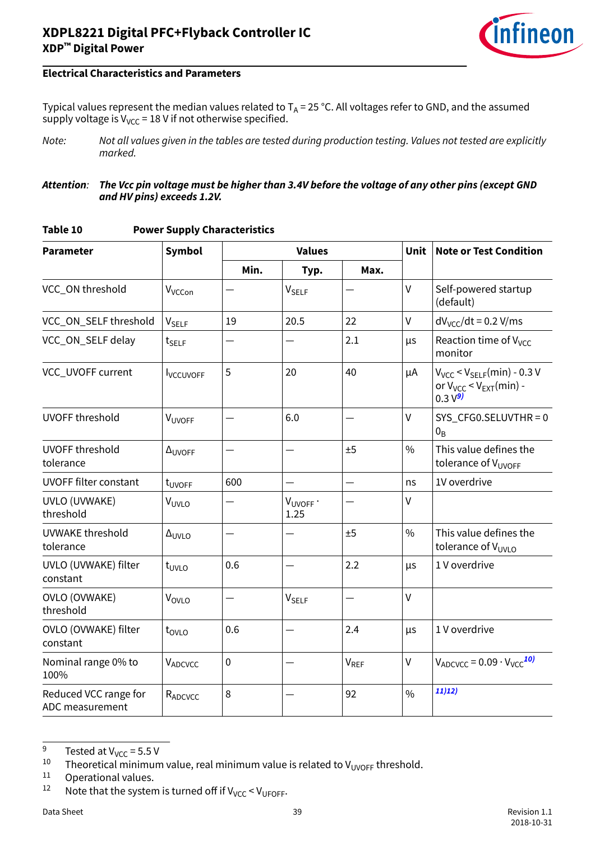

Typical values represent the median values related to  $T_A = 25$  °C. All voltages refer to GND, and the assumed supply voltage is  $V_{VCC}$  = 18 V if not otherwise specified.

Note: Not all values given in the tables are tested during production testing. Values not tested are explicitly marked.

#### **Attention**: **The Vcc pin voltage must be higher than 3.4V before the voltage of any other pins (except GND and HV pins) exceeds 1.2V.**

| <b>Parameter</b>                         | <b>Symbol</b>             |           | <b>Values</b>           |                  | Unit          | <b>Note or Test Condition</b>                                                         |
|------------------------------------------|---------------------------|-----------|-------------------------|------------------|---------------|---------------------------------------------------------------------------------------|
|                                          |                           | Min.      | Typ.                    | Max.             |               |                                                                                       |
| VCC_ON threshold                         | V <sub>VCCon</sub>        |           | <b>V<sub>SELF</sub></b> |                  | $\vee$        | Self-powered startup<br>(default)                                                     |
| VCC_ON_SELF threshold                    | V <sub>SELF</sub>         | 19        | 20.5                    | 22               | $\vee$        | $dV_{VCC}/dt$ = 0.2 V/ms                                                              |
| VCC_ON_SELF delay                        | $t_{SELF}$                |           |                         | 2.1              | μs            | Reaction time of V <sub>VCC</sub><br>monitor                                          |
| VCC_UVOFF current                        | <b>I</b> VCCUVOFF         | 5         | 20                      | 40               | μA            | $V_{VCC}$ < $V_{SELF}(min)$ - 0.3 V<br>or $V_{VCC}$ < $V_{EXT}(min)$ -<br>$0.3 V^{9}$ |
| <b>UVOFF threshold</b>                   | VUVOFF                    |           | 6.0                     |                  | $\vee$        | $SYS_CFG0.SELUVTHR = 0$<br>$0_B$                                                      |
| <b>UVOFF threshold</b><br>tolerance      | $\Delta$ <sub>UVOFF</sub> |           |                         | ±5               | $\frac{0}{0}$ | This value defines the<br>tolerance of V <sub>UVOFF</sub>                             |
| <b>UVOFF filter constant</b>             | t <sub>UVOFF</sub>        | 600       |                         |                  | ns            | 1V overdrive                                                                          |
| UVLO (UVWAKE)<br>threshold               | V <sub>UVLO</sub>         |           | VUVOFF .<br>1.25        |                  | $\vee$        |                                                                                       |
| UVWAKE threshold<br>tolerance            | $\Delta_{UVLO}$           |           |                         | ±5               | $\frac{0}{0}$ | This value defines the<br>tolerance of V <sub>UVLO</sub>                              |
| UVLO (UVWAKE) filter<br>constant         | $t_{UVLO}$                | 0.6       |                         | 2.2              | μs            | 1 V overdrive                                                                         |
| <b>OVLO (OVWAKE)</b><br>threshold        | VOVLO                     |           | <b>V<sub>SELF</sub></b> |                  | $\mathsf{V}$  |                                                                                       |
| OVLO (OVWAKE) filter<br>constant         | t <sub>ovlo</sub>         | 0.6       |                         | 2.4              | μs            | 1 V overdrive                                                                         |
| Nominal range 0% to<br>100%              | VADCVCC                   | $\pmb{0}$ |                         | V <sub>REF</sub> | V             | $V_{ADCC} = 0.09 \cdot V_{VCC}^{10}$                                                  |
| Reduced VCC range for<br>ADC measurement | R <sub>ADCVCC</sub>       | 8         |                         | 92               | $\frac{0}{0}$ | 11)12)                                                                                |

#### **Table 10 Power Supply Characteristics**

<sup>9</sup> Tested at  $V_{VCC} = 5.5 V$ <br><sup>10</sup> Theoretical minimum

<sup>&</sup>lt;sup>10</sup> Theoretical minimum value, real minimum value is related to V<sub>UVOFF</sub> threshold.<br><sup>11</sup> Operational values

Operational values.

<sup>&</sup>lt;sup>12</sup> Note that the system is turned off if  $V_{VCC}$  <  $V_{UFOFF}$ .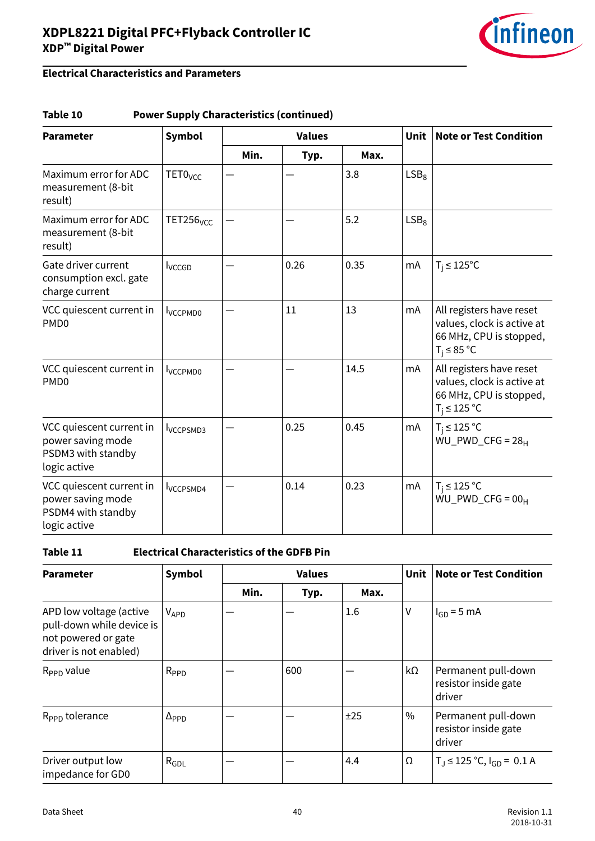

### **Electrical Characteristics and Parameters**

#### **Table 10 Power Supply Characteristics (continued)**

| <b>Parameter</b>                                                                    | <b>Symbol</b>                | <b>Values</b> |      |      |                  | <b>Note or Test Condition</b>                                                                          |
|-------------------------------------------------------------------------------------|------------------------------|---------------|------|------|------------------|--------------------------------------------------------------------------------------------------------|
|                                                                                     |                              | Min.          | Typ. | Max. |                  |                                                                                                        |
| Maximum error for ADC<br>measurement (8-bit<br>result)                              | TETO <sub>VCC</sub>          |               |      | 3.8  | LSB <sub>8</sub> |                                                                                                        |
| Maximum error for ADC<br>measurement (8-bit<br>result)                              | <b>TET256</b> <sub>VCC</sub> |               |      | 5.2  | LSB <sub>8</sub> |                                                                                                        |
| Gate driver current<br>consumption excl. gate<br>charge current                     | <b>I</b> vccGD               |               | 0.26 | 0.35 | mA               | $T_i \leq 125^{\circ}C$                                                                                |
| VCC quiescent current in<br>PMD <sub>0</sub>                                        | <b>I</b> VCCPMD0             |               | 11   | 13   | mA               | All registers have reset<br>values, clock is active at<br>66 MHz, CPU is stopped,<br>$T_i \leq 85$ °C  |
| VCC quiescent current in<br>PMD <sub>0</sub>                                        | <b>I</b> VCCPMD0             |               |      | 14.5 | mA               | All registers have reset<br>values, clock is active at<br>66 MHz, CPU is stopped,<br>$T_i \leq 125$ °C |
| VCC quiescent current in<br>power saving mode<br>PSDM3 with standby<br>logic active | <b>I</b> VCCPSMD3            |               | 0.25 | 0.45 | mA               | $T_i \leq 125$ °C<br>$\overline{WU}$ PWD_CFG = 28 <sub>H</sub>                                         |
| VCC quiescent current in<br>power saving mode<br>PSDM4 with standby<br>logic active | <b>I</b> VCCPSMD4            |               | 0.14 | 0.23 | mA               | $T_i \leq 125$ °C<br>$WU_PWD_CFG = 00_H$                                                               |

#### **Table 11 Electrical Characteristics of the GDFB Pin**

| <b>Parameter</b>                                                                                      | <b>Symbol</b>         |      | <b>Values</b> |      | <b>Unit</b> | <b>Note or Test Condition</b>                         |
|-------------------------------------------------------------------------------------------------------|-----------------------|------|---------------|------|-------------|-------------------------------------------------------|
|                                                                                                       |                       | Min. | Typ.          | Max. |             |                                                       |
| APD low voltage (active<br>pull-down while device is<br>not powered or gate<br>driver is not enabled) | $V_{APD}$             |      |               | 1.6  | ٧           | $I_{GD} = 5$ mA                                       |
| $R_{\text{PPD}}$ value                                                                                | $R_{PPD}$             |      | 600           |      | kΩ          | Permanent pull-down<br>resistor inside gate<br>driver |
| R <sub>PPD</sub> tolerance                                                                            | $\Delta_{\text{PPD}}$ |      |               | ±25  | $\%$        | Permanent pull-down<br>resistor inside gate<br>driver |
| Driver output low<br>impedance for GD0                                                                | $R_{GDL}$             |      |               | 4.4  | Ω           | $T_J \le 125$ °C, $I_{GD} = 0.1$ A                    |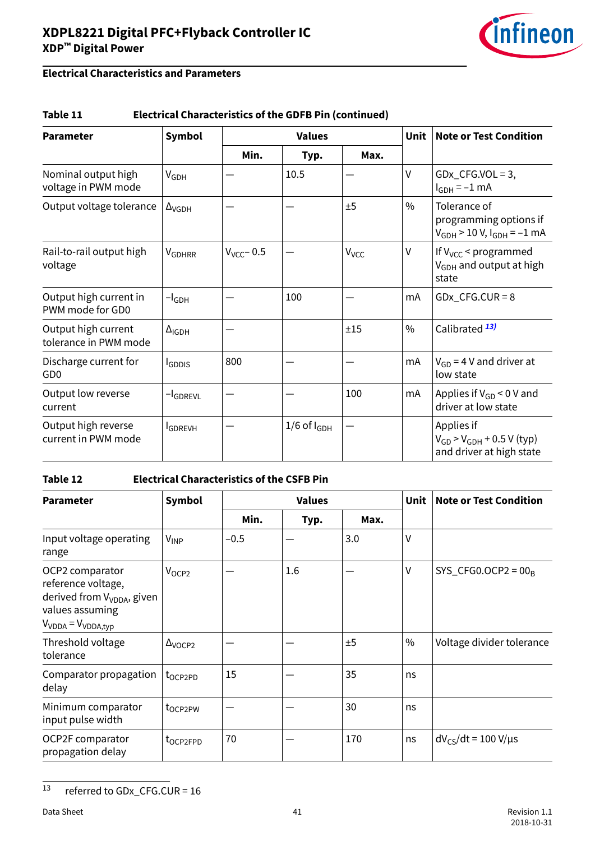

### **Electrical Characteristics and Parameters**

#### **Table 11 Electrical Characteristics of the GDFB Pin (continued)**

| <b>Parameter</b>                             | <b>Symbol</b>            | <b>Values</b>   |                    |                  | Unit          | <b>Note or Test Condition</b>                                                 |
|----------------------------------------------|--------------------------|-----------------|--------------------|------------------|---------------|-------------------------------------------------------------------------------|
|                                              |                          | Min.            | Typ.               | Max.             |               |                                                                               |
| Nominal output high<br>voltage in PWM mode   | $V_{GDH}$                |                 | 10.5               |                  | V             | $GDx_CFG.VOL = 3$ ,<br>$I_{GDH} = -1$ mA                                      |
| Output voltage tolerance                     | $\Delta$ <sub>VGDH</sub> |                 |                    | ±5               | $\%$          | Tolerance of<br>programming options if<br>$V_{GDH}$ > 10 V, $I_{GDH}$ = -1 mA |
| Rail-to-rail output high<br>voltage          | VGDHRR                   | $V_{VCC}$ – 0.5 |                    | V <sub>VCC</sub> | V             | If $V_{VCC}$ < programmed<br>V <sub>GDH</sub> and output at high<br>state     |
| Output high current in<br>PWM mode for GD0   | $-I_{GDH}$               |                 | 100                |                  | mA            | $GDx_CFG.CUR = 8$                                                             |
| Output high current<br>tolerance in PWM mode | $\Delta_{IGDH}$          |                 |                    | ±15              | $\frac{0}{0}$ | Calibrated <sup>13)</sup>                                                     |
| Discharge current for<br>GD <sub>0</sub>     | <b>I</b> GDDIS           | 800             |                    |                  | mA            | $V_{GD}$ = 4 V and driver at<br>low state                                     |
| Output low reverse<br>current                | -I <sub>GDREVL</sub>     |                 |                    | 100              | mA            | Applies if $V_{GD}$ < 0 V and<br>driver at low state                          |
| Output high reverse<br>current in PWM mode   | <b>I</b> GDREVH          |                 | $1/6$ of $I_{GDH}$ |                  |               | Applies if<br>$V_{GD}$ > $V_{GDH}$ + 0.5 V (typ)<br>and driver at high state  |

#### **Table 12 Electrical Characteristics of the CSFB Pin**

| <b>Parameter</b>                                                                                                                | <b>Values</b><br><b>Symbol</b> |        |      |      | <b>Unit</b> | <b>Note or Test Condition</b> |
|---------------------------------------------------------------------------------------------------------------------------------|--------------------------------|--------|------|------|-------------|-------------------------------|
|                                                                                                                                 |                                | Min.   | Typ. | Max. |             |                               |
| Input voltage operating<br>range                                                                                                | $V_{INP}$                      | $-0.5$ |      | 3.0  | V           |                               |
| OCP2 comparator<br>reference voltage,<br>derived from V <sub>VDDA</sub> , given<br>values assuming<br>$V_{VDDA} = V_{VDDA,typ}$ | V <sub>OCP2</sub>              |        | 1.6  |      | V           | $SYS_CFG0. OCP2 = 00_B$       |
| Threshold voltage<br>tolerance                                                                                                  | $\Delta$ <sub>VOCP2</sub>      |        |      | ±5   | $\%$        | Voltage divider tolerance     |
| Comparator propagation<br>delay                                                                                                 | t <sub>OCP2PD</sub>            | 15     |      | 35   | ns          |                               |
| Minimum comparator<br>input pulse width                                                                                         | t <sub>oCP2PW</sub>            |        |      | 30   | ns          |                               |
| OCP2F comparator<br>propagation delay                                                                                           | t <sub>OCP2FPD</sub>           | 70     |      | 170  | ns          | $dV_{CS}/dt = 100 V/\mu s$    |

 $13$  referred to GDx\_CFG.CUR = 16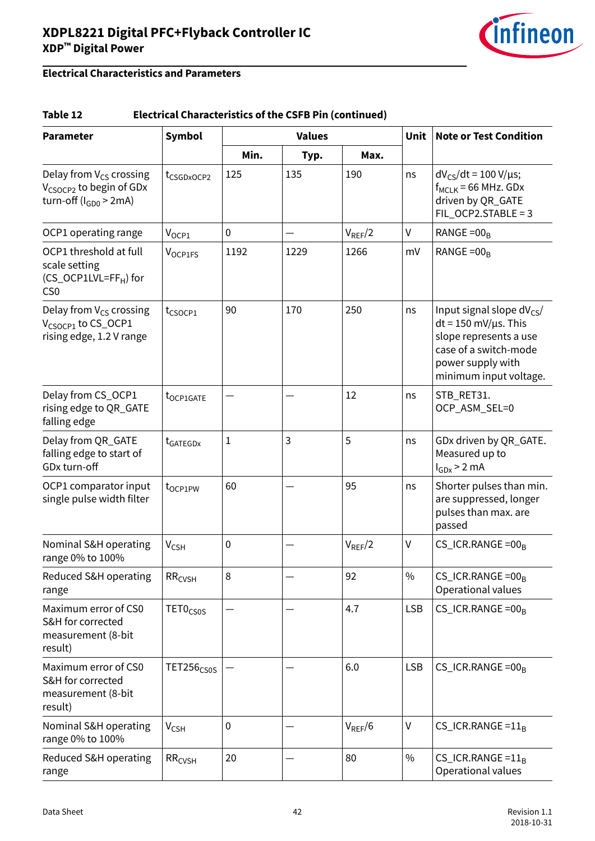

#### **Table 12 Electrical Characteristics of the CSFB Pin (continued)**

| <b>Parameter</b>                                                                                   | <b>Symbol</b><br><b>Values</b> |                  |      | <b>Unit</b> | <b>Note or Test Condition</b> |                                                                                                                                                                 |
|----------------------------------------------------------------------------------------------------|--------------------------------|------------------|------|-------------|-------------------------------|-----------------------------------------------------------------------------------------------------------------------------------------------------------------|
|                                                                                                    |                                | Min.             | Typ. | Max.        |                               |                                                                                                                                                                 |
| Delay from $V_{CS}$ crossing<br>V <sub>CSOCP2</sub> to begin of GDx<br>turn-off ( $I_{GDO}$ > 2mA) | t <sub>CSGDxOCP2</sub>         | 125              | 135  | 190         | ns                            | $dV_{CS}/dt = 100 V/\mu s$ ;<br>$f_{MCLK}$ = 66 MHz. GDx<br>driven by QR_GATE<br>$FIL_OCP2.STABLE = 3$                                                          |
| OCP1 operating range                                                                               | $V_{OCP1}$                     | $\boldsymbol{0}$ |      | $V_{REF}/2$ | $\sf V$                       | RANGE = $00B$                                                                                                                                                   |
| OCP1 threshold at full<br>scale setting<br>(CS_OCP1LVL=FF <sub>H</sub> ) for<br>CS <sub>0</sub>    | V <sub>OCP1FS</sub>            | 1192             | 1229 | 1266        | mV                            | RANGE = $00R$                                                                                                                                                   |
| Delay from $V_{CS}$ crossing<br>V <sub>CSOCP1</sub> to CS_OCP1<br>rising edge, 1.2 V range         | $t_{CSOCP1}$                   | 90               | 170  | 250         | ns                            | Input signal slope $dV_{CS}/$<br>$dt = 150$ mV/ $\mu$ s. This<br>slope represents a use<br>case of a switch-mode<br>power supply with<br>minimum input voltage. |
| Delay from CS_OCP1<br>rising edge to QR_GATE<br>falling edge                                       | t <sub>OCP1GATE</sub>          |                  |      | 12          | ns                            | STB_RET31.<br>OCP_ASM_SEL=0                                                                                                                                     |
| Delay from QR_GATE<br>falling edge to start of<br>GDx turn-off                                     | t <sub>GATEGDx</sub>           | $\mathbf 1$      | 3    | 5           | ns                            | GDx driven by QR_GATE.<br>Measured up to<br>$I_{GDx}$ > 2 mA                                                                                                    |
| OCP1 comparator input<br>single pulse width filter                                                 | $t_{OCP1PW}$                   | 60               |      | 95          | ns                            | Shorter pulses than min.<br>are suppressed, longer<br>pulses than max. are<br>passed                                                                            |
| Nominal S&H operating<br>range 0% to 100%                                                          | $V_{CSH}$                      | $\mathbf 0$      |      | $V_{REF}/2$ | V                             | $CS_ICR.RANGE = 00_B$                                                                                                                                           |
| Reduced S&H operating<br>range                                                                     | RR <sub>CVSH</sub>             | 8                |      | 92          | $\frac{0}{0}$                 | $CS$ <sub>L</sub> ICR.RANGE = 00 <sub>B</sub><br>Operational values                                                                                             |
| Maximum error of CS0<br>S&H for corrected<br>measurement (8-bit<br>result)                         | TET0 <sub>CS0S</sub>           |                  |      | 4.7         | <b>LSB</b>                    | $CS_ICR.RANGE = 00_B$                                                                                                                                           |
| Maximum error of CS0<br>S&H for corrected<br>measurement (8-bit<br>result)                         | TET256 <sub>CS0S</sub>         |                  |      | 6.0         | <b>LSB</b>                    | $CS$ <sub>_ICR</sub> .RANGE = 00 <sub>B</sub>                                                                                                                   |
| Nominal S&H operating<br>range 0% to 100%                                                          | $V_{CSH}$                      | $\mathbf 0$      |      | $V_{REF}/6$ | V                             | $CS$ <sub>_ICR</sub> .RANGE = $11_B$                                                                                                                            |
| Reduced S&H operating<br>range                                                                     | RR <sub>CVSH</sub>             | 20               |      | 80          | $\%$                          | $CS$ <sub>_ICR</sub> .RANGE = $11_B$<br>Operational values                                                                                                      |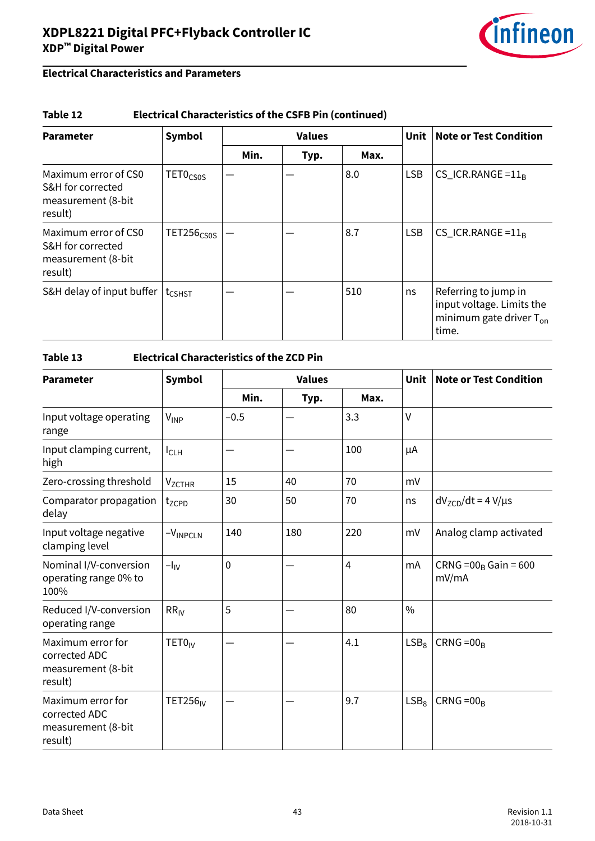

#### **Table 12 Electrical Characteristics of the CSFB Pin (continued)**

| <b>Parameter</b>                                                           | <b>Symbol</b>          | <b>Values</b> |      |      | Unit       | <b>Note or Test Condition</b>                                                              |
|----------------------------------------------------------------------------|------------------------|---------------|------|------|------------|--------------------------------------------------------------------------------------------|
|                                                                            |                        | Min.          | Typ. | Max. |            |                                                                                            |
| Maximum error of CS0<br>S&H for corrected<br>measurement (8-bit<br>result) | TETO <sub>CSOS</sub>   |               |      | 8.0  | <b>LSB</b> | $CS$ <sub>_ICR</sub> .RANGE = $11B$                                                        |
| Maximum error of CS0<br>S&H for corrected<br>measurement (8-bit<br>result) | TET256 <sub>CS0S</sub> |               |      | 8.7  | <b>LSB</b> | $CS$ <sub>_ICR</sub> .RANGE = $11_B$                                                       |
| S&H delay of input buffer                                                  | t <sub>CSHST</sub>     |               |      | 510  | ns         | Referring to jump in<br>input voltage. Limits the<br>minimum gate driver $T_{on}$<br>time. |

| <b>Parameter</b>                                                    | <b>Symbol</b>               |        | <b>Values</b> |                |                  | <b>Note or Test Condition</b>    |
|---------------------------------------------------------------------|-----------------------------|--------|---------------|----------------|------------------|----------------------------------|
|                                                                     |                             | Min.   | Typ.          | Max.           |                  |                                  |
| Input voltage operating<br>range                                    | $V_{\mathsf{INP}}$          | $-0.5$ |               | 3.3            | V                |                                  |
| Input clamping current,<br>high                                     | $I_{CLH}$                   |        |               | 100            | μA               |                                  |
| Zero-crossing threshold                                             | <b>V<sub>ZCTHR</sub></b>    | 15     | 40            | 70             | mV               |                                  |
| Comparator propagation<br>delay                                     | tzcpp                       | 30     | 50            | 70             | ns               | $dVZCD/dt = 4 V/µs$              |
| Input voltage negative<br>clamping level                            | $-VINPCLN$                  | 140    | 180           | 220            | mV               | Analog clamp activated           |
| Nominal I/V-conversion<br>operating range 0% to<br>100%             | $-I_{IV}$                   | 0      |               | $\overline{4}$ | mA               | $CRNG = 00B Gain = 600$<br>mV/mA |
| Reduced I/V-conversion<br>operating range                           | $RR_{IV}$                   | 5      |               | 80             | $\frac{0}{0}$    |                                  |
| Maximum error for<br>corrected ADC<br>measurement (8-bit<br>result) | TET0 <sub>IV</sub>          |        |               | 4.1            | LSB <sub>8</sub> | $CRNG = 00B$                     |
| Maximum error for<br>corrected ADC<br>measurement (8-bit<br>result) | <b>TET256</b> <sub>IV</sub> |        |               | 9.7            | LSB <sub>8</sub> | $CRNG = 00R$                     |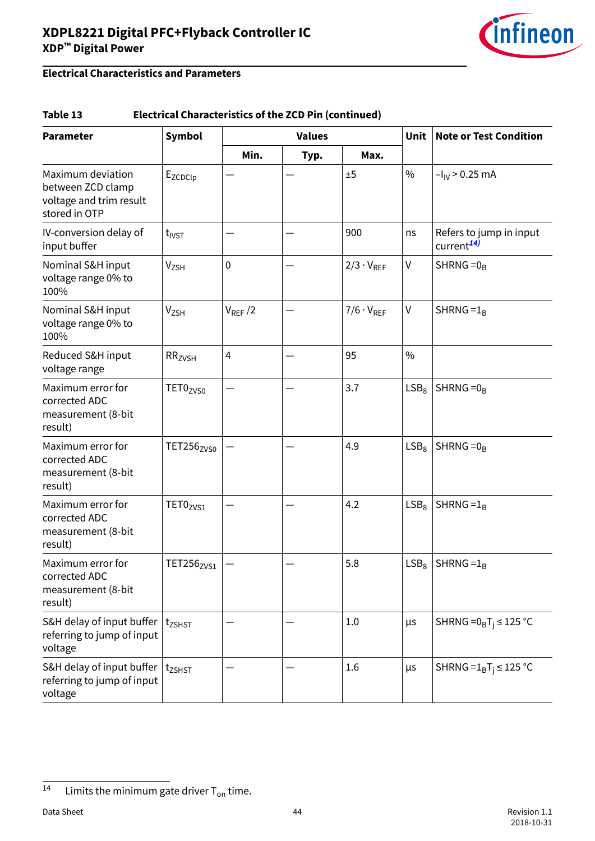

#### **Table 13 Electrical Characteristics of the ZCD Pin (continued)**

| <b>Parameter</b>                                                                   | Symbol                 | <b>Values</b>  |      | <b>Unit</b>         | <b>Note or Test Condition</b> |                                                   |
|------------------------------------------------------------------------------------|------------------------|----------------|------|---------------------|-------------------------------|---------------------------------------------------|
|                                                                                    |                        | Min.           | Typ. | Max.                |                               |                                                   |
| Maximum deviation<br>between ZCD clamp<br>voltage and trim result<br>stored in OTP | Ezcpclp                |                |      | ±5                  | $\frac{0}{0}$                 | $-I_{\text{IV}}$ > 0.25 mA                        |
| IV-conversion delay of<br>input buffer                                             | $t_{IVST}$             |                |      | 900                 | ns                            | Refers to jump in input<br>current <sup>14)</sup> |
| Nominal S&H input<br>voltage range 0% to<br>100%                                   | Vzsh                   | $\mathbf 0$    |      | $2/3 \cdot V_{REF}$ | $\sf V$                       | SHRNG = $0_B$                                     |
| Nominal S&H input<br>voltage range 0% to<br>100%                                   | V <sub>ZSH</sub>       | $V_{REF}/2$    |      | $7/6 \cdot V_{REF}$ | $\sf V$                       | SHRNG = $1_B$                                     |
| Reduced S&H input<br>voltage range                                                 | RR <sub>ZVSH</sub>     | $\overline{4}$ |      | 95                  | $\frac{0}{0}$                 |                                                   |
| Maximum error for<br>corrected ADC<br>measurement (8-bit<br>result)                | TET0 <sub>ZVS0</sub>   |                |      | 3.7                 | LSB <sub>8</sub>              | SHRNG $=0_B$                                      |
| Maximum error for<br>corrected ADC<br>measurement (8-bit<br>result)                | TET256 <sub>ZVS0</sub> |                |      | 4.9                 | LSB <sub>8</sub>              | SHRNG $=0_R$                                      |
| Maximum error for<br>corrected ADC<br>measurement (8-bit<br>result)                | TET0 <sub>ZVS1</sub>   |                |      | 4.2                 | LSB <sub>8</sub>              | SHRNG = $1_B$                                     |
| Maximum error for<br>corrected ADC<br>measurement (8-bit<br>result)                | TET256 <sub>ZVS1</sub> |                |      | 5.8                 | $LSB_8$                       | SHRNG = $1_B$                                     |
| S&H delay of input buffer<br>referring to jump of input<br>voltage                 | $t_{ZSHST}$            |                |      | 1.0                 | $\mu$ s                       | SHRNG = $0_BT_i \leq 125$ °C                      |
| S&H delay of input buffer<br>referring to jump of input<br>voltage                 | $t_{ZSHST}$            |                |      | 1.6                 | μs                            | SHRNG = $1_BT_i \le 125$ °C                       |

<sup>14</sup> Limits the minimum gate driver  $T_{on}$  time.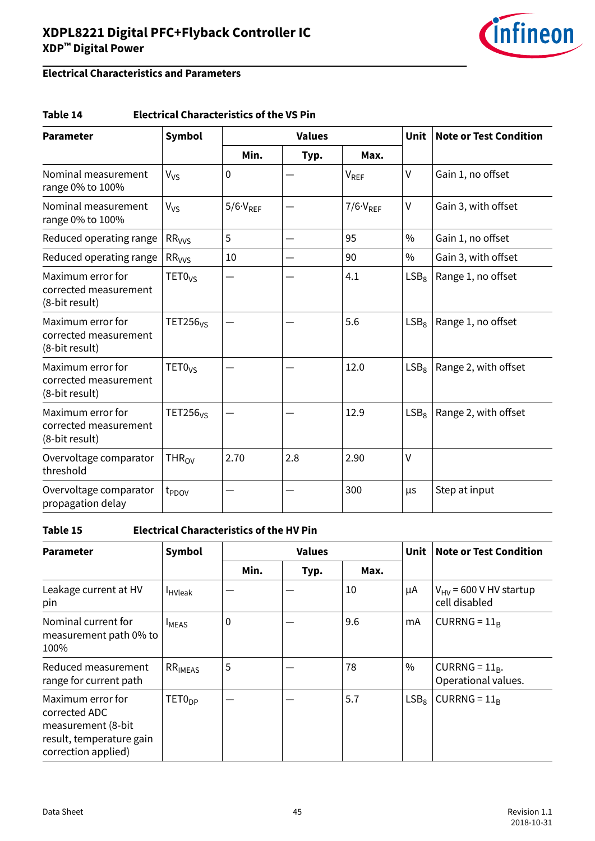

### **Electrical Characteristics and Parameters**

#### **Table 14 Electrical Characteristics of the VS Pin**

| <b>Parameter</b>                                             | <b>Symbol</b>              |                     | <b>Values</b> |                     |                  | <b>Note or Test Condition</b> |
|--------------------------------------------------------------|----------------------------|---------------------|---------------|---------------------|------------------|-------------------------------|
|                                                              |                            | Min.                | Typ.          | Max.                |                  |                               |
| Nominal measurement<br>range 0% to 100%                      | $V_{VS}$                   | $\mathbf{0}$        |               | V <sub>REF</sub>    | $\vee$           | Gain 1, no offset             |
| Nominal measurement<br>range 0% to 100%                      | $V_{VS}$                   | $5/6 \cdot V_{REF}$ |               | $7/6 \cdot V_{REF}$ | $\vee$           | Gain 3, with offset           |
| Reduced operating range                                      | $RR_{VVS}$                 | 5                   |               | 95                  | $\frac{0}{0}$    | Gain 1, no offset             |
| Reduced operating range                                      | RR <sub>VVS</sub>          | 10                  |               | 90                  | $\frac{0}{0}$    | Gain 3, with offset           |
| Maximum error for<br>corrected measurement<br>(8-bit result) | TET0 <sub>VS</sub>         |                     |               | 4.1                 | LSB <sub>8</sub> | Range 1, no offset            |
| Maximum error for<br>corrected measurement<br>(8-bit result) | TET256 <sub>VS</sub>       |                     |               | 5.6                 | LSB <sub>8</sub> | Range 1, no offset            |
| Maximum error for<br>corrected measurement<br>(8-bit result) | TETO <sub>VS</sub>         |                     |               | 12.0                | LSB <sub>8</sub> | Range 2, with offset          |
| Maximum error for<br>corrected measurement<br>(8-bit result) | <b>TET256<sub>VS</sub></b> |                     |               | 12.9                | LSB <sub>8</sub> | Range 2, with offset          |
| Overvoltage comparator<br>threshold                          | $THR_{OV}$                 | 2.70                | 2.8           | 2.90                | $\vee$           |                               |
| Overvoltage comparator<br>propagation delay                  | t <sub>PDOV</sub>          |                     |               | 300                 | μs               | Step at input                 |

#### **Table 15 Electrical Characteristics of the HV Pin**

| <b>Parameter</b>                                                                                             | <b>Symbol</b>       |      | <b>Values</b> |      | <b>Unit</b>      | <b>Note or Test Condition</b>                |
|--------------------------------------------------------------------------------------------------------------|---------------------|------|---------------|------|------------------|----------------------------------------------|
|                                                                                                              |                     | Min. | Typ.          | Max. |                  |                                              |
| Leakage current at HV<br>pin                                                                                 | <b>HVleak</b>       |      |               | 10   | μA               | $V_{HV}$ = 600 V HV startup<br>cell disabled |
| Nominal current for<br>measurement path 0% to<br>100%                                                        | <b>IMEAS</b>        | 0    |               | 9.6  | mA               | CURRNG = $11_R$                              |
| Reduced measurement<br>range for current path                                                                | RR <sub>IMEAS</sub> | 5    |               | 78   | $\%$             | CURRNG = $11_R$ .<br>Operational values.     |
| Maximum error for<br>corrected ADC<br>measurement (8-bit)<br>result, temperature gain<br>correction applied) | TET0 <sub>DP</sub>  |      |               | 5.7  | LSB <sub>8</sub> | CURRNG = $11_R$                              |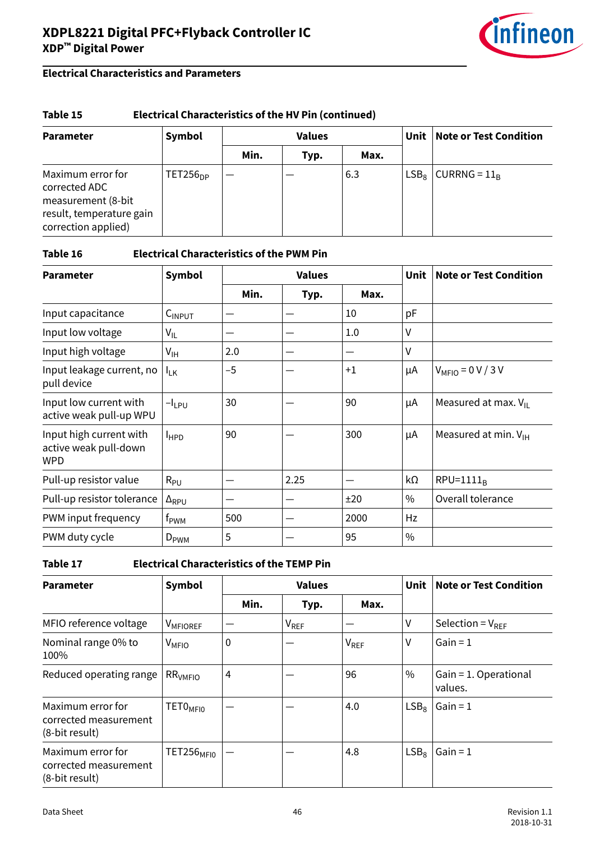

#### **Table 15 Electrical Characteristics of the HV Pin (continued)**

| <b>Parameter</b>                                                                                            | Symbol        | <b>Values</b> |      |      | Unit    | <b>Note or Test Condition</b> |
|-------------------------------------------------------------------------------------------------------------|---------------|---------------|------|------|---------|-------------------------------|
|                                                                                                             |               | Min.          | Typ. | Max. |         |                               |
| Maximum error for<br>corrected ADC<br>measurement (8-bit<br>result, temperature gain<br>correction applied) | $TET256_{DP}$ |               |      | 6.3  | $LSB_8$ | CURRNG = $11_R$               |

**Table 16 Electrical Characteristics of the PWM Pin**

| <b>Parameter</b>                                        | <b>Symbol</b>   |      | <b>Values</b> |      | <b>Unit</b>   | <b>Note or Test Condition</b>   |
|---------------------------------------------------------|-----------------|------|---------------|------|---------------|---------------------------------|
|                                                         |                 | Min. | Typ.          | Max. |               |                                 |
| Input capacitance                                       | $C_{INPUT}$     |      |               | 10   | pF            |                                 |
| Input low voltage                                       | $V_{IL}$        |      | —             | 1.0  | V             |                                 |
| Input high voltage                                      | $V_{\text{IH}}$ | 2.0  |               |      | V             |                                 |
| Input leakage current, no<br>pull device                | $I_{LK}$        | $-5$ |               | $+1$ | μA            | $V_{\text{MFIO}} = 0 V / 3 V$   |
| Input low current with<br>active weak pull-up WPU       | $-I_{LPU}$      | 30   |               | 90   | μA            | Measured at max. $V_{II}$       |
| Input high current with<br>active weak pull-down<br>WPD | $I_{HPD}$       | 90   |               | 300  | μA            | Measured at min. $V_{\text{H}}$ |
| Pull-up resistor value                                  | $R_{PU}$        |      | 2.25          |      | kΩ            | $RPU=1111_B$                    |
| Pull-up resistor tolerance                              | $\Delta_{RPU}$  |      |               | ±20  | $\%$          | Overall tolerance               |
| PWM input frequency                                     | $f_{\rm PWM}$   | 500  |               | 2000 | Hz            |                                 |
| PWM duty cycle                                          | $D_{\rm PWM}$   | 5    |               | 95   | $\frac{0}{0}$ |                                 |

**Table 17 Electrical Characteristics of the TEMP Pin**

| <b>Parameter</b>                                             | Symbol                 |                | <b>Values</b>    |                  |                  | <b>Note or Test Condition</b>    |
|--------------------------------------------------------------|------------------------|----------------|------------------|------------------|------------------|----------------------------------|
|                                                              |                        | Min.           | Typ.             | Max.             |                  |                                  |
| MFIO reference voltage                                       | V <sub>MFIOREF</sub>   |                | V <sub>REF</sub> |                  | ٧                | Selection = $V_{RFF}$            |
| Nominal range 0% to<br>100%                                  | $V_{MFIO}$             | $\mathbf 0$    |                  | V <sub>REF</sub> | v                | $Gain = 1$                       |
| Reduced operating range                                      | RR <sub>VMFIO</sub>    | $\overline{4}$ |                  | 96               | $\%$             | Gain = 1. Operational<br>values. |
| Maximum error for<br>corrected measurement<br>(8-bit result) | TETO <sub>MFI0</sub>   |                |                  | 4.0              | LSB <sub>8</sub> | $Gain = 1$                       |
| Maximum error for<br>corrected measurement<br>(8-bit result) | TET256 <sub>MFI0</sub> |                |                  | 4.8              | LSB <sub>8</sub> | $Gain = 1$                       |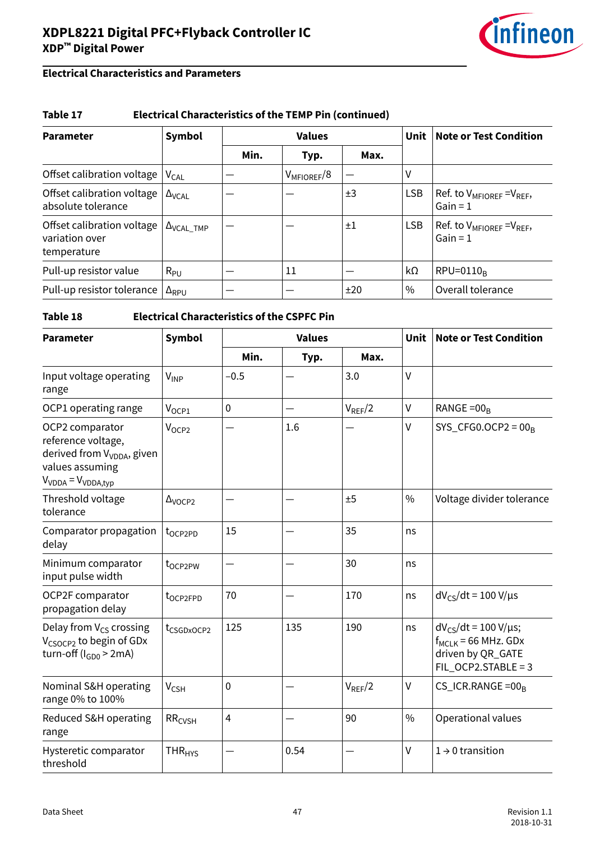

### **Electrical Characteristics and Parameters**

#### **Table 17 Electrical Characteristics of the TEMP Pin (continued)**

| <b>Parameter</b>                                            | Symbol                       |      | <b>Values</b>   |         |            | <b>Note or Test Condition</b>                   |
|-------------------------------------------------------------|------------------------------|------|-----------------|---------|------------|-------------------------------------------------|
|                                                             |                              | Min. | Typ.            | Max.    |            |                                                 |
| Offset calibration voltage                                  | <b>V<sub>CAL</sub></b>       |      | $V_{MFIOREF}/8$ |         | V          |                                                 |
| Offset calibration voltage<br>absolute tolerance            | $\Delta_{\text{VCAL}}$       |      |                 | ±3      | <b>LSB</b> | Ref. to $V_{MFIOREF} = V_{REF}$ ,<br>$Gain = 1$ |
| Offset calibration voltage<br>variation over<br>temperature | $\Delta$ <sub>VCAL</sub> TMP |      |                 | $\pm 1$ | <b>LSB</b> | Ref. to $V_{MFIOREF} = V_{REF}$ ,<br>$Gain = 1$ |
| Pull-up resistor value                                      | $R_{PU}$                     |      | 11              |         | kΩ         | $RPU=0110_R$                                    |
| Pull-up resistor tolerance                                  | $\Delta_{RPU}$               |      |                 | ±20     | $\%$       | Overall tolerance                               |

#### **Table 18 Electrical Characteristics of the CSPFC Pin**

| <b>Parameter</b>                                                                                                                 | Symbol                    | <b>Values</b>  |      |             | <b>Unit</b>   | <b>Note or Test Condition</b>                                                                          |
|----------------------------------------------------------------------------------------------------------------------------------|---------------------------|----------------|------|-------------|---------------|--------------------------------------------------------------------------------------------------------|
|                                                                                                                                  |                           | Min.           | Typ. | Max.        |               |                                                                                                        |
| Input voltage operating<br>range                                                                                                 | $V_{INP}$                 | $-0.5$         |      | 3.0         | $\vee$        |                                                                                                        |
| OCP1 operating range                                                                                                             | $V_{OCP1}$                | $\mathbf 0$    |      | $V_{REF}/2$ | $\vee$        | RANGE = $00_B$                                                                                         |
| OCP2 comparator<br>reference voltage,<br>derived from V <sub>VDDA</sub> , given<br>values assuming<br>$V_{VDDA} = V_{VDDA, tvp}$ | V <sub>OCP2</sub>         |                | 1.6  |             | $\vee$        | SYS_CFG0.OCP2 = $00_B$                                                                                 |
| Threshold voltage<br>tolerance                                                                                                   | $\Delta$ <sub>VOCP2</sub> |                |      | ±5          | $\frac{0}{0}$ | Voltage divider tolerance                                                                              |
| Comparator propagation<br>delay                                                                                                  | t <sub>OCP2PD</sub>       | 15             |      | 35          | ns            |                                                                                                        |
| Minimum comparator<br>input pulse width                                                                                          | t <sub>oCP2PW</sub>       |                |      | 30          | ns            |                                                                                                        |
| OCP2F comparator<br>propagation delay                                                                                            | t <sub>OCP2FPD</sub>      | 70             |      | 170         | ns            | $dV_{CS}/dt = 100 V/\mu s$                                                                             |
| Delay from $V_{CS}$ crossing<br>V <sub>CSOCP2</sub> to begin of GDx<br>turn-off ( $I_{GDD}$ > 2mA)                               | t <sub>CSGDxOCP2</sub>    | 125            | 135  | 190         | ns            | $dV_{CS}/dt = 100 V/\mu s$ ;<br>$f_{MCLK}$ = 66 MHz. GDx<br>driven by QR_GATE<br>$FIL_OCP2.STABLE = 3$ |
| Nominal S&H operating<br>range 0% to 100%                                                                                        | $V_{CSH}$                 | $\mathbf 0$    |      | $V_{REF}/2$ | $\vee$        | $CS$ <sub>ICR</sub> .RANGE = 00 <sub>R</sub>                                                           |
| Reduced S&H operating<br>range                                                                                                   | RR <sub>CVSH</sub>        | $\overline{4}$ |      | 90          | $\frac{0}{0}$ | Operational values                                                                                     |
| Hysteretic comparator<br>threshold                                                                                               | <b>THR<sub>HYS</sub></b>  |                | 0.54 |             | $\vee$        | $1 \rightarrow 0$ transition                                                                           |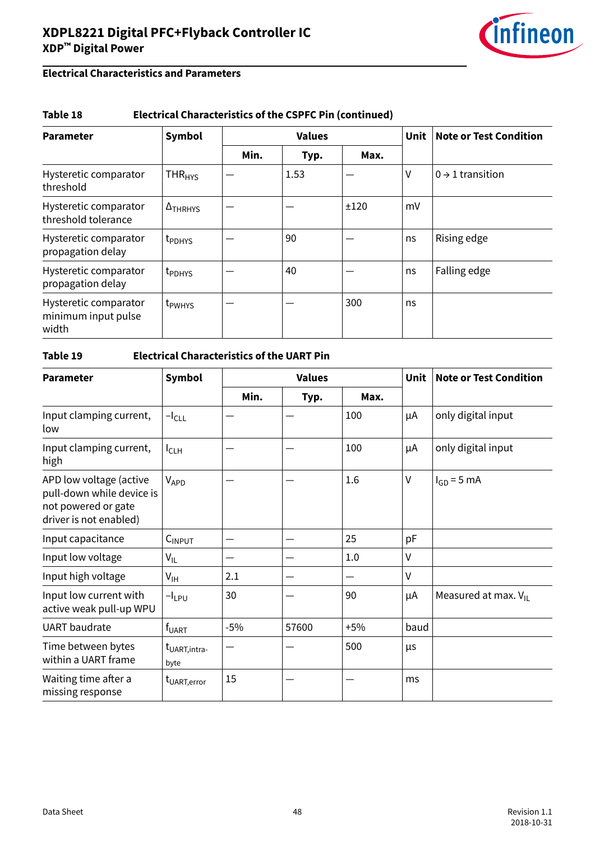

#### **Table 18 Electrical Characteristics of the CSPFC Pin (continued)**

| <b>Parameter</b>                                      | <b>Symbol</b>            |      | <b>Values</b> |      |    | <b>Note or Test Condition</b> |
|-------------------------------------------------------|--------------------------|------|---------------|------|----|-------------------------------|
|                                                       |                          | Min. | Typ.          | Max. |    |                               |
| Hysteretic comparator<br>threshold                    | <b>THR<sub>HYS</sub></b> |      | 1.53          |      | ٧  | $0 \rightarrow 1$ transition  |
| Hysteretic comparator<br>threshold tolerance          | $\Delta$ THRHYS          |      |               | ±120 | mV |                               |
| Hysteretic comparator<br>propagation delay            | t <sub>PDHYS</sub>       |      | 90            |      | ns | Rising edge                   |
| Hysteretic comparator<br>propagation delay            | t <sub>PDHYS</sub>       |      | 40            |      | ns | Falling edge                  |
| Hysteretic comparator<br>minimum input pulse<br>width | t <sub>PWHYS</sub>       |      |               | 300  | ns |                               |

#### **Table 19 Electrical Characteristics of the UART Pin**

| <b>Parameter</b>                                                                                      | <b>Symbol</b>                     | <b>Values</b> |       |       | <b>Unit</b> | <b>Note or Test Condition</b> |
|-------------------------------------------------------------------------------------------------------|-----------------------------------|---------------|-------|-------|-------------|-------------------------------|
|                                                                                                       |                                   | Min.          | Typ.  | Max.  |             |                               |
| Input clamping current,<br>low                                                                        | $-l_{CLL}$                        |               |       | 100   | μA          | only digital input            |
| Input clamping current,<br>high                                                                       | $I_{CLH}$                         |               |       | 100   | μA          | only digital input            |
| APD low voltage (active<br>pull-down while device is<br>not powered or gate<br>driver is not enabled) | VAPD                              |               |       | 1.6   | $\vee$      | $I_{GD} = 5$ mA               |
| Input capacitance                                                                                     | $C_{INPUT}$                       |               |       | 25    | рF          |                               |
| Input low voltage                                                                                     | $V_{IL}$                          |               |       | 1.0   | $\vee$      |                               |
| Input high voltage                                                                                    | $V_{\text{IH}}$                   | 2.1           |       |       | $\vee$      |                               |
| Input low current with<br>active weak pull-up WPU                                                     | $-I_{LPU}$                        | 30            |       | 90    | μA          | Measured at max. $V_{II}$     |
| <b>UART</b> baudrate                                                                                  | f <sub>UART</sub>                 | $-5%$         | 57600 | $+5%$ | baud        |                               |
| Time between bytes<br>within a UART frame                                                             | t <sub>UART, intra-</sub><br>byte |               |       | 500   | μs          |                               |
| Waiting time after a<br>missing response                                                              | t <sub>UART,error</sub>           | 15            |       |       | ms          |                               |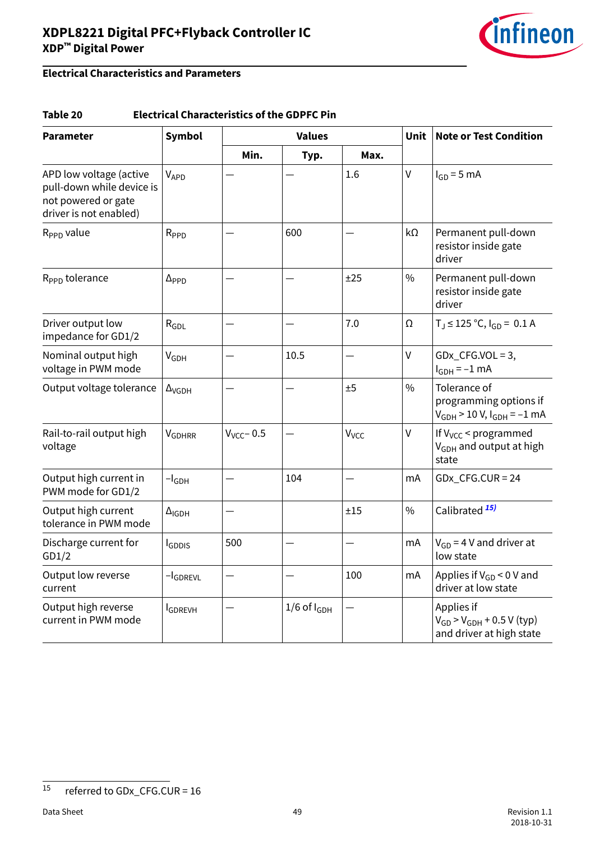

### **Electrical Characteristics and Parameters**

#### **Table 20 Electrical Characteristics of the GDPFC Pin**

| <b>Parameter</b>                                                                                      | <b>Symbol</b>            | <b>Values</b>   |                    |                  |               | Unit<br><b>Note or Test Condition</b>                                         |
|-------------------------------------------------------------------------------------------------------|--------------------------|-----------------|--------------------|------------------|---------------|-------------------------------------------------------------------------------|
|                                                                                                       |                          | Min.            | Typ.               | Max.             |               |                                                                               |
| APD low voltage (active<br>pull-down while device is<br>not powered or gate<br>driver is not enabled) | VAPD                     |                 |                    | 1.6              | $\mathsf{V}$  | $I_{GD} = 5$ mA                                                               |
| $R_{\rm PPD}$ value                                                                                   | R <sub>PPD</sub>         |                 | 600                |                  | $k\Omega$     | Permanent pull-down<br>resistor inside gate<br>driver                         |
| R <sub>PPD</sub> tolerance                                                                            | $\Delta_{\text{PPD}}$    |                 |                    | ±25              | $\frac{0}{0}$ | Permanent pull-down<br>resistor inside gate<br>driver                         |
| Driver output low<br>impedance for GD1/2                                                              | $R_{GDL}$                |                 |                    | 7.0              | Ω             | $T_J \le 125$ °C, $I_{GD} = 0.1$ A                                            |
| Nominal output high<br>voltage in PWM mode                                                            | $V_{GDH}$                |                 | 10.5               |                  | V             | $GDx_CFG.VOL = 3$ ,<br>$I_{GDH} = -1$ mA                                      |
| Output voltage tolerance                                                                              | $\Delta$ <sub>VGDH</sub> |                 |                    | ±5               | $\frac{0}{0}$ | Tolerance of<br>programming options if<br>$V_{GDH}$ > 10 V, $I_{GDH}$ = -1 mA |
| Rail-to-rail output high<br>voltage                                                                   | <b>V<sub>GDHRR</sub></b> | $V_{VCC}$ - 0.5 |                    | V <sub>VCC</sub> | V             | If $V_{VCC}$ < programmed<br>V <sub>GDH</sub> and output at high<br>state     |
| Output high current in<br>PWM mode for GD1/2                                                          | $-I$ <sub>GDH</sub>      |                 | 104                |                  | mA            | $GDx_CFG.CUR = 24$                                                            |
| Output high current<br>tolerance in PWM mode                                                          | $\Delta$ <sub>IGDH</sub> |                 |                    | ±15              | $\frac{0}{0}$ | Calibrated <sup>15)</sup>                                                     |
| Discharge current for<br>GD1/2                                                                        | <b>I</b> GDDIS           | 500             |                    |                  | mA            | $V_{GD}$ = 4 V and driver at<br>low state                                     |
| Output low reverse<br>current                                                                         | $-I$ GDREVL              |                 |                    | 100              | mA            | Applies if $V_{GD}$ < 0 V and<br>driver at low state                          |
| Output high reverse<br>current in PWM mode                                                            | <b>I</b> GDREVH          |                 | $1/6$ of $I_{GDH}$ |                  |               | Applies if<br>$V_{GD}$ > $V_{GDH}$ + 0.5 V (typ)<br>and driver at high state  |

<sup>15</sup> referred to GDx\_CFG.CUR = 16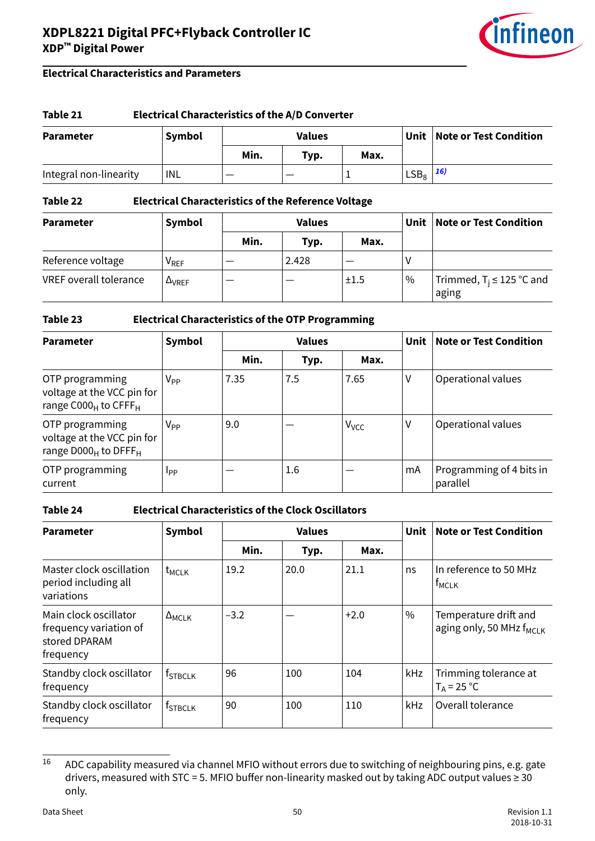

#### **Electrical Characteristics and Parameters**

#### **Table 21 Electrical Characteristics of the A/D Converter**

| <b>Parameter</b>       | <b>Symbol</b> | Values |      |      |         | Unit   Note or Test Condition |
|------------------------|---------------|--------|------|------|---------|-------------------------------|
|                        |               | Min.   | Typ. | Max. |         |                               |
| Integral non-linearity | INL           |        |      |      | $LSB_8$ | <b>16)</b>                    |

#### **Table 22 Electrical Characteristics of the Reference Voltage**

| <b>Parameter</b>              | Symbol                      |      | <b>Values</b> |      | Unit   Note or Test Condition |                                        |
|-------------------------------|-----------------------------|------|---------------|------|-------------------------------|----------------------------------------|
|                               |                             | Min. | Typ.          | Max. |                               |                                        |
| Reference voltage             | $\mathsf{V}_{\mathsf{REF}}$ |      | 2.428         |      | ν                             |                                        |
| <b>VREF</b> overall tolerance | $\Delta$ <sub>VREF</sub>    |      |               | ±1.5 | $^{\circ}$ %                  | Trimmed, $T_i \le 125$ °C and<br>aging |

#### **Table 23 Electrical Characteristics of the OTP Programming**

| <b>Parameter</b>                                                                     | Symbol      | <b>Values</b> |      |                         | Unit | <b>Note or Test Condition</b>        |
|--------------------------------------------------------------------------------------|-------------|---------------|------|-------------------------|------|--------------------------------------|
|                                                                                      |             | Min.          | Typ. | Max.                    |      |                                      |
| OTP programming<br>voltage at the VCC pin for<br>range $C000_H$ to CFFF <sub>H</sub> | $V_{PP}$    | 7.35          | 7.5  | 7.65                    | ۷    | Operational values                   |
| OTP programming<br>voltage at the VCC pin for<br>range $D000_H$ to DFFF $H$          | $V_{PP}$    | 9.0           |      | <b>V</b> <sub>VCC</sub> | ۷    | Operational values                   |
| OTP programming<br>current                                                           | <b>I</b> pp |               | 1.6  |                         | mA   | Programming of 4 bits in<br>parallel |

#### **Table 24 Electrical Characteristics of the Clock Oscillators**

| <b>Parameter</b>                                                              | Symbol                         |        | <b>Values</b> |        | <b>Unit</b>   | <b>Note or Test Condition</b>                          |
|-------------------------------------------------------------------------------|--------------------------------|--------|---------------|--------|---------------|--------------------------------------------------------|
|                                                                               |                                | Min.   | Typ.          | Max.   |               |                                                        |
| Master clock oscillation<br>period including all<br>variations                | $t_{MCLK}$                     | 19.2   | 20.0          | 21.1   | ns            | In reference to 50 MHz<br><b>TMCLK</b>                 |
| Main clock oscillator<br>frequency variation of<br>stored DPARAM<br>frequency | $\Delta_{\text{MCLK}}$         | $-3.2$ |               | $+2.0$ | $\frac{0}{0}$ | Temperature drift and<br>aging only, 50 MHz $f_{MCLK}$ |
| Standby clock oscillator<br>frequency                                         | <sup>t</sup> STBCLK            | 96     | 100           | 104    | kHz           | Trimming tolerance at<br>$T_A = 25 °C$                 |
| Standby clock oscillator<br>frequency                                         | $\epsilon$ f <sub>STBCLK</sub> | 90     | 100           | 110    | kHz           | Overall tolerance                                      |

 $16$  ADC capability measured via channel MFIO without errors due to switching of neighbouring pins, e.g. gate drivers, measured with STC = 5. MFIO buffer non-linearity masked out by taking ADC output values  $\geq$  30 only.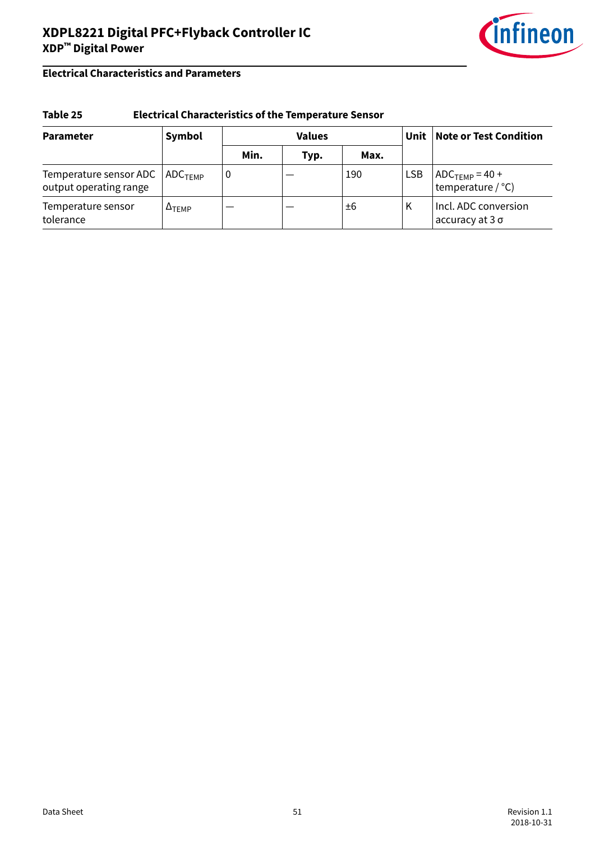

### **Electrical Characteristics and Parameters**

#### **Table 25 Electrical Characteristics of the Temperature Sensor**

| <b>Parameter</b>                                 | Symbol                | <b>Values</b> |      |      | Unit       | <b>Note or Test Condition</b>                       |
|--------------------------------------------------|-----------------------|---------------|------|------|------------|-----------------------------------------------------|
|                                                  |                       | Min.          | Typ. | Max. |            |                                                     |
| Temperature sensor ADC<br>output operating range | $\sf{ADC}_{\sf TFMP}$ | O             |      | 190  | <b>LSB</b> | $ADC$ <sub>TEMP</sub> = 40 +<br>temperature $/$ °C) |
| Temperature sensor<br>tolerance                  | $\Delta$ TEMP         |               |      | ±6   | Κ          | Incl. ADC conversion<br>accuracy at $3\sigma$       |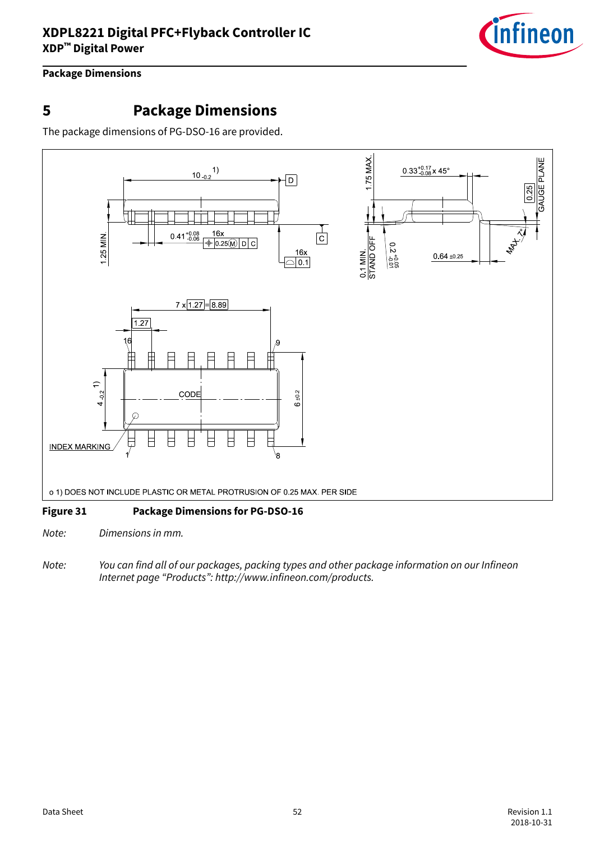

### <span id="page-51-0"></span>**Package Dimensions**

# **5 Package Dimensions**

The package dimensions of PG-DSO-16 are provided.



#### **Figure 31 Package Dimensions for PG-DSO-16**

Note: Dimensions in mm.

Note: You can find all of our packages, packing types and other package information on our Infineon Internet page "Products": http://www.infineon.com/products.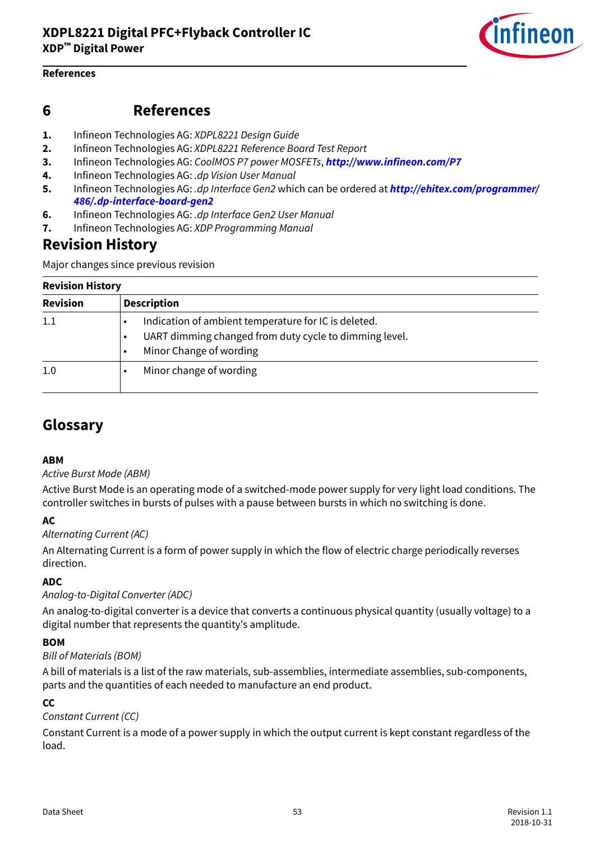

#### <span id="page-52-0"></span>**References**

### **6 References**

- **1.** Infineon Technologies AG: XDPL8221 Design Guide
- **2.** Infineon Technologies AG: XDPL8221 Reference Board Test Report
- **3.** Infineon Technologies AG: CoolMOS P7 power MOSFETs, **<http://www.infineon.com/P7>**
- **4.** Infineon Technologies AG: .dp Vision User Manual
- **5.** Infineon Technologies AG: .dp Interface Gen2 which can be ordered at **[http://ehitex.com/programmer/](http://ehitex.com/programmer/486/.dp-interface-board-gen2) [486/.dp-interface-board-gen2](http://ehitex.com/programmer/486/.dp-interface-board-gen2)**
- **6.** Infineon Technologies AG: .dp Interface Gen2 User Manual
- **7.** Infineon Technologies AG: XDP Programming Manual

## **Revision History**

Major changes since previous revision

#### **Revision History**

| <b>Revision</b> | <b>Description</b>                                                                                                                        |
|-----------------|-------------------------------------------------------------------------------------------------------------------------------------------|
| 1.1             | Indication of ambient temperature for IC is deleted.<br>UART dimming changed from duty cycle to dimming level.<br>Minor Change of wording |
| 1.0             | Minor change of wording                                                                                                                   |

# **Glossary**

#### **ABM**

#### Active Burst Mode (ABM)

Active Burst Mode is an operating mode of a switched-mode power supply for very light load conditions. The controller switches in bursts of pulses with a pause between bursts in which no switching is done.

#### **AC**

#### Alternating Current (AC)

An Alternating Current is a form of power supply in which the flow of electric charge periodically reverses direction.

#### **ADC**

#### Analog-to-Digital Converter (ADC)

An analog-to-digital converter is a device that converts a continuous physical quantity (usually voltage) to a digital number that represents the quantity's amplitude.

#### **BOM**

#### Bill of Materials (BOM)

A bill of materials is a list of the raw materials, sub-assemblies, intermediate assemblies, sub-components, parts and the quantities of each needed to manufacture an end product.

#### **CC**

#### Constant Current (CC)

Constant Current is a mode of a power supply in which the output current is kept constant regardless of the load.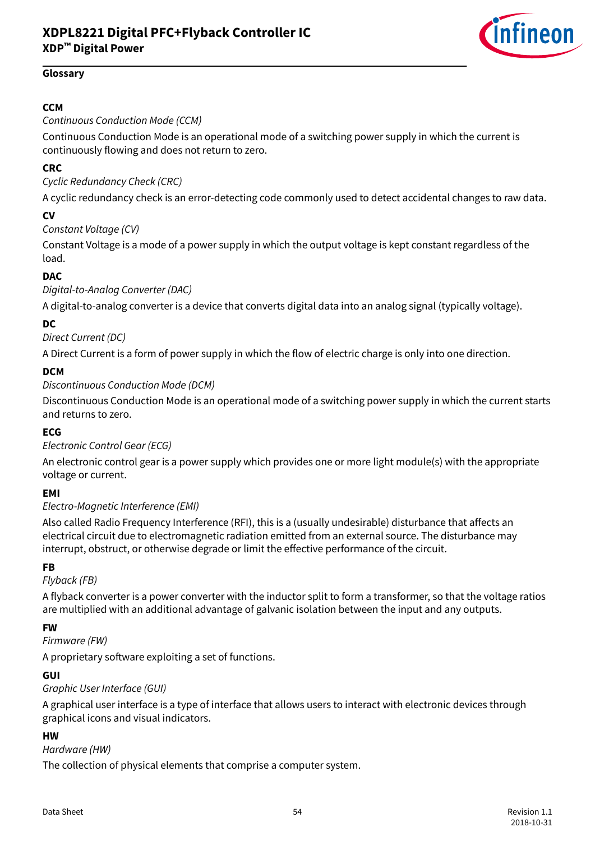

#### <span id="page-53-0"></span>**Glossary**

#### **CCM**

#### Continuous Conduction Mode (CCM)

Continuous Conduction Mode is an operational mode of a switching power supply in which the current is continuously flowing and does not return to zero.

#### **CRC**

#### Cyclic Redundancy Check (CRC)

A cyclic redundancy check is an error-detecting code commonly used to detect accidental changes to raw data.

#### **CV**

#### Constant Voltage (CV)

Constant Voltage is a mode of a power supply in which the output voltage is kept constant regardless of the load.

#### **DAC**

#### Digital-to-Analog Converter (DAC)

A digital-to-analog converter is a device that converts digital data into an analog signal (typically voltage).

#### **DC**

#### Direct Current (DC)

A Direct Current is a form of power supply in which the flow of electric charge is only into one direction.

#### **DCM**

#### Discontinuous Conduction Mode (DCM)

Discontinuous Conduction Mode is an operational mode of a switching power supply in which the current starts and returns to zero.

#### **ECG**

#### Electronic Control Gear (ECG)

An electronic control gear is a power supply which provides one or more light module(s) with the appropriate voltage or current.

#### **EMI**

#### Electro-Magnetic Interference (EMI)

Also called Radio Frequency Interference (RFI), this is a (usually undesirable) disturbance that affects an electrical circuit due to electromagnetic radiation emitted from an external source. The disturbance may interrupt, obstruct, or otherwise degrade or limit the effective performance of the circuit.

#### **FB**

#### Flyback (FB)

A flyback converter is a power converter with the inductor split to form a transformer, so that the voltage ratios are multiplied with an additional advantage of galvanic isolation between the input and any outputs.

#### **FW**

#### Firmware (FW)

A proprietary software exploiting a set of functions.

#### **GUI**

#### Graphic User Interface (GUI)

A graphical user interface is a type of interface that allows users to interact with electronic devices through graphical icons and visual indicators.

#### **HW**

#### Hardware (HW)

The collection of physical elements that comprise a computer system.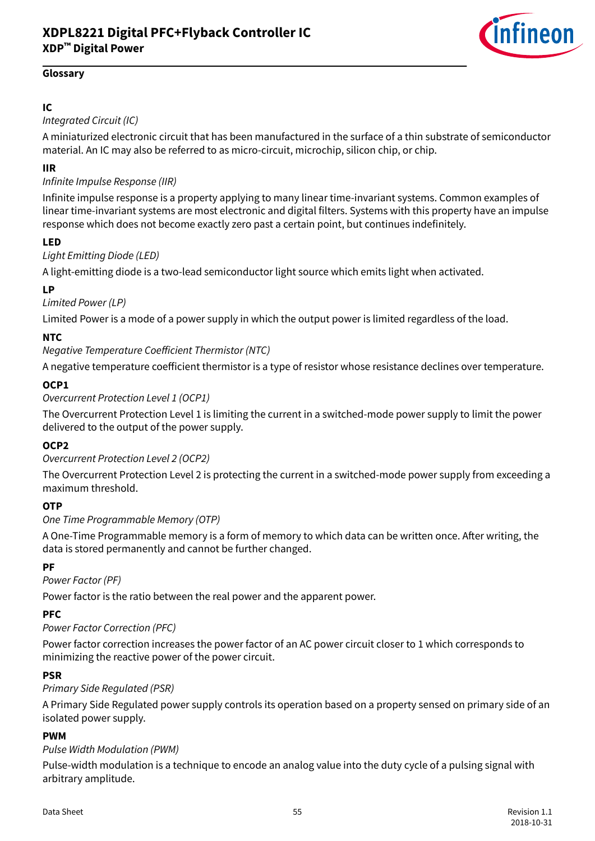

#### <span id="page-54-0"></span>**Glossary**

### **IC**

### Integrated Circuit (IC)

A miniaturized electronic circuit that has been manufactured in the surface of a thin substrate of semiconductor material. An IC may also be referred to as micro-circuit, microchip, silicon chip, or chip.

#### **IIR**

### Infinite Impulse Response (IIR)

Infinite impulse response is a property applying to many linear time-invariant systems. Common examples of linear time-invariant systems are most electronic and digital filters. Systems with this property have an impulse response which does not become exactly zero past a certain point, but continues indefinitely.

#### **LED**

#### Light Emitting Diode (LED)

A light-emitting diode is a two-lead semiconductor light source which emits light when activated.

#### **LP**

#### Limited Power (LP)

Limited Power is a mode of a power supply in which the output power is limited regardless of the load.

#### **NTC**

#### Negative Temperature Coefficient Thermistor (NTC)

A negative temperature coefficient thermistor is a type of resistor whose resistance declines over temperature.

#### **OCP1**

#### Overcurrent Protection Level 1 (OCP1)

The Overcurrent Protection Level 1 is limiting the current in a switched-mode power supply to limit the power delivered to the output of the power supply.

#### **OCP2**

#### Overcurrent Protection Level 2 (OCP2)

The Overcurrent Protection Level 2 is protecting the current in a switched-mode power supply from exceeding a maximum threshold.

#### **OTP**

#### One Time Programmable Memory (OTP)

A One-Time Programmable memory is a form of memory to which data can be written once. After writing, the data is stored permanently and cannot be further changed.

#### **PF**

#### Power Factor (PF)

Power factor is the ratio between the real power and the apparent power.

#### **PFC**

#### Power Factor Correction (PFC)

Power factor correction increases the power factor of an AC power circuit closer to 1 which corresponds to minimizing the reactive power of the power circuit.

#### **PSR**

#### Primary Side Regulated (PSR)

A Primary Side Regulated power supply controls its operation based on a property sensed on primary side of an isolated power supply.

#### **PWM**

#### Pulse Width Modulation (PWM)

Pulse-width modulation is a technique to encode an analog value into the duty cycle of a pulsing signal with arbitrary amplitude.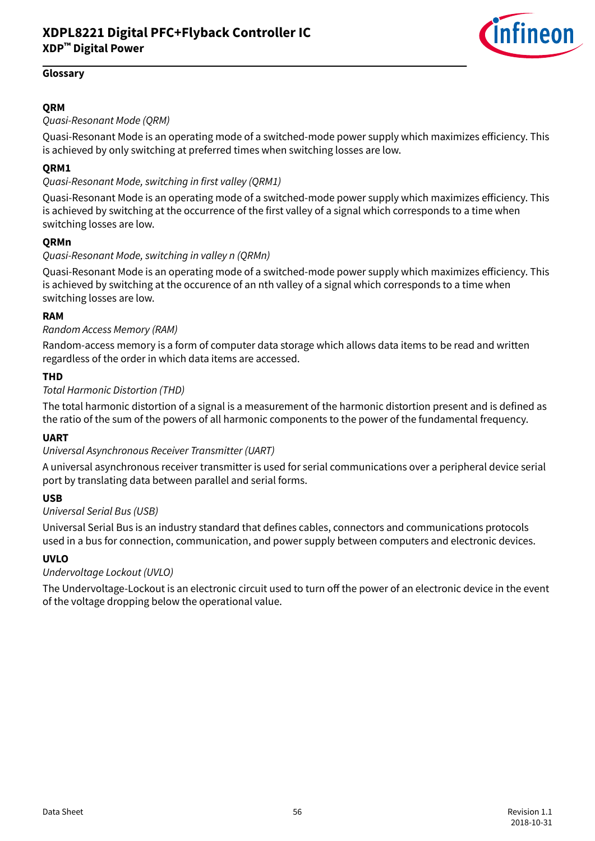

#### <span id="page-55-0"></span>**Glossary**

#### **QRM**

Quasi-Resonant Mode (QRM)

Quasi-Resonant Mode is an operating mode of a switched-mode power supply which maximizes efficiency. This is achieved by only switching at preferred times when switching losses are low.

#### **QRM1**

#### Quasi-Resonant Mode, switching in first valley (QRM1)

Quasi-Resonant Mode is an operating mode of a switched-mode power supply which maximizes efficiency. This is achieved by switching at the occurrence of the first valley of a signal which corresponds to a time when switching losses are low.

#### **QRMn**

#### Quasi-Resonant Mode, switching in valley n (QRMn)

Quasi-Resonant Mode is an operating mode of a switched-mode power supply which maximizes efficiency. This is achieved by switching at the occurence of an nth valley of a signal which corresponds to a time when switching losses are low.

#### **RAM**

#### Random Access Memory (RAM)

Random-access memory is a form of computer data storage which allows data items to be read and written regardless of the order in which data items are accessed.

#### **THD**

#### Total Harmonic Distortion (THD)

The total harmonic distortion of a signal is a measurement of the harmonic distortion present and is defined as the ratio of the sum of the powers of all harmonic components to the power of the fundamental frequency.

#### **UART**

#### Universal Asynchronous Receiver Transmitter (UART)

A universal asynchronous receiver transmitter is used for serial communications over a peripheral device serial port by translating data between parallel and serial forms.

#### **USB**

#### Universal Serial Bus (USB)

Universal Serial Bus is an industry standard that defines cables, connectors and communications protocols used in a bus for connection, communication, and power supply between computers and electronic devices.

#### **UVLO**

#### Undervoltage Lockout (UVLO)

The Undervoltage-Lockout is an electronic circuit used to turn off the power of an electronic device in the event of the voltage dropping below the operational value.